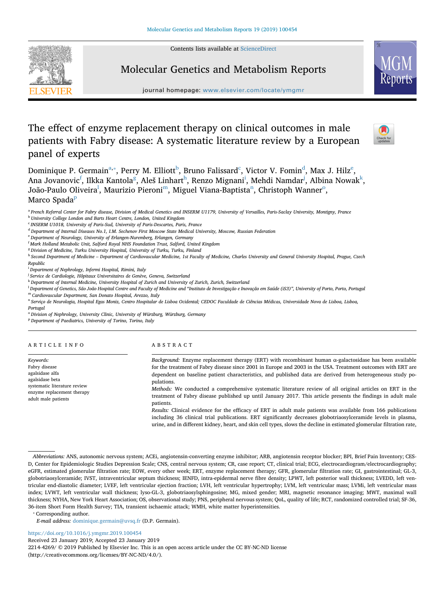Contents lists available at [ScienceDirect](http://www.sciencedirect.com/science/journal/22144269)



# Molecular Genetics and Metabolism Reports

journal homepage: [www.elsevier.com/locate/ymgmr](https://www.elsevier.com/locate/ymgmr)

# The effect of enzyme replacement therapy on clinical outcomes in male patients with Fabry disease: A systematic literature review by a European panel of experts



Dominique P. Germ[a](#page-0-0)in $^{\rm a, *},$  Perry M. Elliott $^{\rm b}$  $^{\rm b}$  $^{\rm b}$ , Bruno Falissard $^{\rm c}$  $^{\rm c}$  $^{\rm c}$ , Victor V. Fomin $^{\rm d}$ , Max J. Hilz $^{\rm e}$ , Ana Jovanovic<sup>[f](#page-0-6)</sup>, Ilkka Kantola<sup>g</sup>, Aleš Lin[h](#page-0-8)art<sup>h</sup>, Renzo M[i](#page-0-9)gnani<sup>i</sup>, Mehdi Namdar<sup>j</sup>, Albina Nowa[k](#page-0-11)<sup>k</sup>, João-Pau[l](#page-0-12)o Oliveira<sup>l</sup>, Maurizio Pieroni<sup>m</sup>, Miguel Vi[an](#page-0-14)a-Baptista<sup>n</sup>, Christ[o](#page-0-15)ph Wanner<sup>o</sup>, Marco S[p](#page-0-16)ada<sup>p</sup>

<span id="page-0-0"></span><sup>a</sup> *French Referral Center for Fabry disease, Division of Medical Genetics and INSERM U1179, University of Versailles, Paris-Saclay University, Montigny, France*

<span id="page-0-9"></span>i *Department of Nephrology, Infermi Hospital, Rimini, Italy*

<span id="page-0-12"></span><sup>1</sup> Department of Genetics, São João Hospital Centre and Faculty of Medicine and "Instituto de Investigação e Inovação em Saúde (iS3)", University of Porto, Porto, Portugai

<span id="page-0-13"></span><sup>m</sup> *Cardiovascular Department, San Donato Hospital, Arezzo, Italy*

<span id="page-0-14"></span><sup>n</sup> *Serviço de Neurologia, Hospital Egas Moniz, Centro Hospitalar de Lisboa Ocidental; CEDOC Faculdade de Ciências Médicas, Universidade Nova de Lisboa, Lisboa, Portugal*

<span id="page-0-15"></span><sup>o</sup> *Division of Nephrology, University Clinic, University of Würzburg, Würzburg, Germany*

<span id="page-0-16"></span><sup>p</sup> *Department of Paediatrics, University of Torino, Torino, Italy*

| <b>ARTICLE INFO</b> |  |  |  |  |  |
|---------------------|--|--|--|--|--|
|                     |  |  |  |  |  |

*Keywords:* Fabry disease agalsidase alfa agalsidase beta systematic literature review enzyme replacement therapy adult male patients

#### ABSTRACT

*Background:* Enzyme replacement therapy (ERT) with recombinant human α-galactosidase has been available for the treatment of Fabry disease since 2001 in Europe and 2003 in the USA. Treatment outcomes with ERT are dependent on baseline patient characteristics, and published data are derived from heterogeneous study populations. *Methods:* We conducted a comprehensive systematic literature review of all original articles on ERT in the

treatment of Fabry disease published up until January 2017. This article presents the findings in adult male patients.

*Results:* Clinical evidence for the efficacy of ERT in adult male patients was available from 166 publications including 36 clinical trial publications. ERT significantly decreases globotriaosylceramide levels in plasma, urine, and in different kidney, heart, and skin cell types, slows the decline in estimated glomerular filtration rate,

<span id="page-0-1"></span>⁎ Corresponding author.

*E-mail address:* [dominique.germain@uvsq.fr](mailto:dominique.germain@uvsq.fr) (D.P. Germain).

<https://doi.org/10.1016/j.ymgmr.2019.100454>

Received 23 January 2019; Accepted 23 January 2019

2214-4269/ © 2019 Published by Elsevier Inc. This is an open access article under the CC BY-NC-ND license (http://creativecommons.org/licenses/BY-NC-ND/4.0/).

<span id="page-0-2"></span><sup>b</sup> *University College London and Barts Heart Centre, London, United Kingdom*

<span id="page-0-3"></span><sup>c</sup> *INSERM U1018, University of Paris-Sud, University of Paris-Descartes, Paris, France*

<span id="page-0-4"></span><sup>d</sup> *Department of Internal Diseases No.1, I.M. Sechenov First Moscow State Medical University, Moscow, Russian Federation*

<span id="page-0-5"></span><sup>e</sup> *Department of Neurology, University of Erlangen-Nuremberg, Erlangen, Germany*

<span id="page-0-6"></span>f *Mark Holland Metabolic Unit, Salford Royal NHS Foundation Trust, Salford, United Kingdom*

<span id="page-0-7"></span><sup>g</sup> *Division of Medicine, Turku University Hospital, University of Turku, Turku, Finland*

<span id="page-0-8"></span><sup>h</sup> *Second Department of Medicine – Department of Cardiovascular Medicine, 1st Faculty of Medicine, Charles University and General University Hospital, Prague, Czech*

*Republic*

<span id="page-0-10"></span>j *Service de Cardiologie, Hôpitaux Universitaires de Genève, Geneva, Switzerland*

<span id="page-0-11"></span><sup>k</sup> *Department of Internal Medicine, University Hospital of Zurich and University of Zurich, Zurich, Switzerland*

*Abbreviations:* ANS, autonomic nervous system; ACEi, angiotensin-converting enzyme inhibitor; ARB, angiotensin receptor blocker; BPI, Brief Pain Inventory; CES-D, Center for Epidemiologic Studies Depression Scale; CNS, central nervous system; CR, case report; CT, clinical trial; ECG, electrocardiogram/electrocardiography; eGFR, estimated glomerular filtration rate; EOW, every other week; ERT, enzyme replacement therapy; GFR, glomerular filtration rate; GI, gastrointestinal; GL-3, globotriaosylceramide; IVST, intraventricular septum thickness; IENFD, intra-epidermal nerve fibre density; LPWT, left posterior wall thickness; LVEDD, left ventricular end-diastolic diameter; LVEF, left ventricular ejection fraction; LVH, left ventricular hypertrophy; LVM, left ventricular mass; LVMi, left ventricular mass index; LVWT, left ventricular wall thickness; lyso-GL-3, globotriaosylsphingosine; MG, mixed gender; MRI, magnetic resonance imaging; MWT, maximal wall thickness; NYHA, New York Heart Association; OS, observational study; PNS, peripheral nervous system; QoL, quality of life; RCT, randomized controlled trial; SF-36, 36-item Short Form Health Survey; TIA, transient ischaemic attack; WMH, white matter hyperintensities.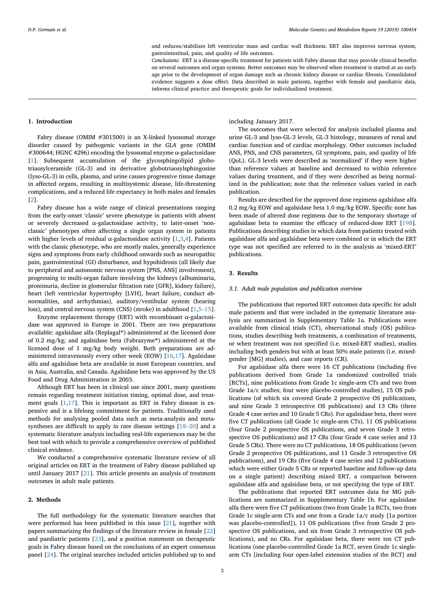and reduces/stabilizes left ventricular mass and cardiac wall thickness. ERT also improves nervous system, gastrointestinal, pain, and quality of life outcomes.

*Conclusions:* ERT is a disease-specific treatment for patients with Fabry disease that may provide clinical benefits on several outcomes and organ systems. Better outcomes may be observed when treatment is started at an early age prior to the development of organ damage such as chronic kidney disease or cardiac fibrosis. Consolidated evidence suggests a dose effect. Data described in male patients, together with female and paediatric data, informs clinical practice and therapeutic goals for individualized treatment.

#### **1. Introduction**

Fabry disease (OMIM #301500) is an X-linked lysosomal storage disorder caused by pathogenic variants in the *GLA* gene (OMIM #300644; HGNC 4296) encoding the lysosomal enzyme α-galactosidase [[1](#page-15-0)]. Subsequent accumulation of the glycosphingolipid globotriaosylceramide (GL-3) and its derivative globotriaosylsphingosine (lyso-GL-3) in cells, plasma, and urine causes progressive tissue damage in affected organs, resulting in multisystemic disease, life-threatening complications, and a reduced life expectancy in both males and females [[2](#page-15-1)].

Fabry disease has a wide range of clinical presentations ranging from the early-onset 'classic' severe phenotype in patients with absent or severely decreased α-galactosidase activity, to later-onset 'nonclassic' phenotypes often affecting a single organ system in patients with higher levels of residual  $\alpha$ -galactosidase activity [\[1,](#page-15-0)[3,](#page-15-2)[4](#page-15-3)]. Patients with the classic phenotype, who are mostly males, generally experience signs and symptoms from early childhood onwards such as neuropathic pain, gastrointestinal (GI) disturbance, and hypohidrosis (all likely due to peripheral and autonomic nervous system [PNS, ANS] involvement), progressing to multi-organ failure involving the kidneys (albuminuria, proteinuria, decline in glomerular filtration rate [GFR], kidney failure), heart (left ventricular hypertrophy [LVH], heart failure, conduct abnormalities, and arrhythmias), auditory/vestibular system (hearing loss), and central nervous system (CNS) (stroke) in adulthood [[1](#page-15-0),[5–15](#page-15-4)].

Enzyme replacement therapy (ERT) with recombinant  $\alpha$ -galactosidase was approved in Europe in 2001. There are two preparations available: agalsidase alfa (Replagal®) administered at the licensed dose of 0.2 mg/kg; and agalsidase beta (Fabrazyme®) administered at the licensed dose of 1 mg/kg body weight. Both preparations are administered intravenously every other week (EOW) [[16](#page-15-5)[,17](#page-15-6)]. Agalsidase alfa and agalsidase beta are available in most European countries, and in Asia, Australia, and Canada. Agalsidase beta was approved by the US Food and Drug Administration in 2003.

Although ERT has been in clinical use since 2001, many questions remain regarding treatment initiation timing, optimal dose, and treatment goals [\[1](#page-15-0)[,17](#page-15-6)]. This is important as ERT in Fabry disease is expensive and is a lifelong commitment for patients. Traditionally used methods for analysing pooled data such as meta-analysis and metasyntheses are difficult to apply in rare disease settings [\[18–20](#page-15-7)] and a systematic literature analysis including real-life experiences may be the best tool with which to provide a comprehensive overview of published clinical evidence.

We conducted a comprehensive systematic literature review of all original articles on ERT in the treatment of Fabry disease published up until January 2017 [[21\]](#page-15-8). This article presents an analysis of treatment outcomes in adult male patients.

# **2. Methods**

The full methodology for the systematic literature searches that were performed has been published in this issue [[21\]](#page-15-8), together with papers summarizing the findings of the literature review in female [\[22](#page-15-9)] and paediatric patients [[23\]](#page-15-10), and a position statement on therapeutic goals in Fabry disease based on the conclusions of an expert consensus panel [[24\]](#page-15-11). The original searches included articles published up to and including January 2017.

The outcomes that were selected for analysis included plasma and urine GL-3 and lyso-GL-3 levels, GL-3 histology, measures of renal and cardiac function and of cardiac morphology. Other outcomes included ANS, PNS, and CNS parameters, GI symptoms, pain, and quality of life (QoL). GL-3 levels were described as 'normalized' if they were higher than reference values at baseline and decreased to within reference values during treatment, and if they were described as being normalized in the publication; note that the reference values varied in each publication.

Results are described for the approved dose regimens agalsidase alfa 0.2 mg/kg EOW and agalsidase beta 1.0 mg/kg EOW. Specific note has been made of altered dose regimens due to the temporary shortage of agalsidase beta to examine the efficacy of reduced-dose ERT [[198](#page-19-0)]. Publications describing studies in which data from patients treated with agalsidase alfa and agalsidase beta were combined or in which the ERT type was not specified are referred to in the analysis as 'mixed-ERT' publications.

# **3. Results**

# *3.1. Adult male population and publication overview*

The publications that reported ERT outcomes data specific for adult male patients and that were included in the systematic literature analysis are summarized in Supplementary Table 1a. Publications were available from clinical trials (CT), observational study (OS) publications, studies describing both treatments, a combination of treatments, or when treatment was not specified (i.e. mixed-ERT studies), studies including both genders but with at least 50% male patients (i.e. mixedgender [MG] studies), and case reports (CR).

For agalsidase alfa there were 16 CT publications (including five publications derived from Grade 1a randomized controlled trials [RCTs], nine publications from Grade 1c single-arm CTs and two from Grade 1a/c studies; four were placebo-controlled studies), 15 OS publications (of which six covered Grade 2 prospective OS publications, and nine Grade 3 retrospective OS publications) and 13 CRs (three Grade 4 case series and 10 Grade 5 CRs). For agalsidase beta, there were five CT publications (all Grade 1c single-arm CTs), 11 OS publications (four Grade 2 prospective OS publications, and seven Grade 3 retrospective OS publications) and 17 CRs (four Grade 4 case series and 13 Grade 5 CRs). There were no CT publications, 18 OS publications (seven Grade 2 prospective OS publications, and 11 Grade 3 retrospective OS publications), and 19 CRs (five Grade 4 case series and 12 publications which were either Grade 5 CRs or reported baseline and follow-up data on a single patient) describing mixed ERT, a comparison between agalsidase alfa and agalsidase beta, or not specifying the type of ERT.

The publications that reported ERT outcomes data for MG publications are summarized in Supplementary Table 1b. For agalsidase alfa there were five CT publications (two from Grade 1a RCTs, two from Grade 1c single-arm CTs and one from a Grade 1a/c study [1a portion was placebo-controlled]), 11 OS publications (five from Grade 2 prospective OS publications, and six from Grade 3 retrospective OS publications), and no CRs. For agalsidase beta, there were ten CT publications (one placebo-controlled Grade 1a RCT, seven Grade 1c singlearm CTs [including four open-label extension studies of the RCT] and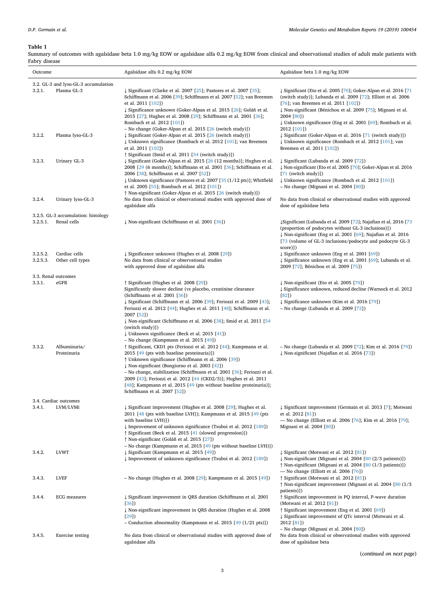# <span id="page-2-0"></span>**Table 1**

Summary of outcomes with agalsidase beta 1.0 mg/kg EOW or agalsidase alfa 0.2 mg/kg EOW from clinical and observational studies of adult male patients with Fabry disease  $\overline{\phantom{a}}$ 

| Outcome              |                                                     | Agalsidase alfa 0.2 mg/kg EOW                                                                                                                                                                                                                                                                                                                                                                                                                                                                                             | Agalsidase beta 1.0 mg/kg EOW                                                                                                                                                                                                                                                                                                        |  |  |
|----------------------|-----------------------------------------------------|---------------------------------------------------------------------------------------------------------------------------------------------------------------------------------------------------------------------------------------------------------------------------------------------------------------------------------------------------------------------------------------------------------------------------------------------------------------------------------------------------------------------------|--------------------------------------------------------------------------------------------------------------------------------------------------------------------------------------------------------------------------------------------------------------------------------------------------------------------------------------|--|--|
| 3.2.1.               | 3.2. GL-3 and lyso-GL-3 accumulation<br>Plasma GL-3 | $\downarrow$ Significant (Clarke et al. 2007 [25]; Pastores et al. 2007 [35];<br>Schiffmann et al. 2006 [39]; Schiffmann et al. 2007 [52]; van Breemen<br>et al. 2011 [102])<br>↓ Significance unknown (Goker-Alpan et al. 2015 [26]; Goláň et al.<br>2015 [27]; Hughes et al. 2008 [29]; Schiffmann et al. 2001 [36];<br>Rombach et al. 2012 [101])                                                                                                                                                                      | $\downarrow$ Significant (Eto et al. 2005 [70]; Goker-Alpan et al. 2016 [71]<br>(switch study)]; Lubanda et al. 2009 [72]; Elliott et al. 2006<br>[76]; van Breemen et al. 2011 [102])<br>↓ Non-significant (Bénichou et al. 2009 [75]; Mignani et al.<br>2004 [80])<br>↓ Unknown significance (Eng et al. 2001 [69]; Rombach et al. |  |  |
| 3.2.2.               | Plasma lyso-GL-3                                    | - No change (Goker-Alpan et al. 2015 [26 (switch study)])<br>↓ Significant (Goker-Alpan et al. 2015 [26 (switch study)])<br>↓ Unknown significance (Rombach et al. 2012 [101]; van Breemen<br>et al. 2011 [102])<br>§ Significant (Smid et al. 2011 [54 (switch study)])                                                                                                                                                                                                                                                  | 2012 [101])<br>↓ Significant (Goker-Alpan et al. 2016 [71 (switch study)])<br>↓ Unknown significance (Rombach et al. 2012 [101]; van<br>Breemen et al. 2011 [102])                                                                                                                                                                   |  |  |
| 3.2.3.               | Urinary GL-3                                        | ↓ Significant (Goker-Alpan et al. 2015 [26 (12 months)]; Hughes et al.<br>2008 [29 (6 months)]; Schiffmann et al. 2001 [36]; Schiffmann et al.<br>2006 [38]; Schiffmann et al. 2007 [52])<br>↓ Unknown significance (Pastores et al. 2007 [35 (1/12 pts)]; Whitfield<br>et al. 2005 [55]; Rombach et al. 2012 [101])<br>↑ Non-significant (Goker-Alpan et al. 2015 [26 (switch study)])                                                                                                                                   | Significant (Lubanda et al. 2009 [72])<br>↓ Non-significant (Eto et al. 2005 [70]; Goker-Alpan et al. 2016<br>$[71$ (switch study)])<br>↓ Unknown significance (Rombach et al. 2012 [101])<br>- No change (Mignani et al. 2004 [80])                                                                                                 |  |  |
| 3.2.4.               | Urinary lyso-GL-3                                   | No data from clinical or observational studies with approved dose of<br>agalsidase alfa                                                                                                                                                                                                                                                                                                                                                                                                                                   | No data from clinical or observational studies with approved<br>dose of agalsidase beta                                                                                                                                                                                                                                              |  |  |
| 3.2.5.1.             | 3.2.5. GL-3 accumulation: histology<br>Renal cells  | ↓ Non-significant (Schiffmann et al. 2001 [36])                                                                                                                                                                                                                                                                                                                                                                                                                                                                           | ↓Significant (Lubanda et al. 2009 [72]; Najafian et al. 2016 [73<br>(proportion of podocytes without GL-3 inclusions)])<br>↓ Non-significant (Eng et al. 2001 [69]; Najafian et al. 2016<br>[73 (volume of GL-3 inclusions/podocyte and podocyte GL-3<br>score)])                                                                    |  |  |
| 3.2.5.2.<br>3.2.5.3. | Cardiac cells<br>Other cell types                   | ↓ Significance unknown (Hughes et al. 2008 [29])<br>No data from clinical or observational studies<br>with approved dose of agalsidase alfa                                                                                                                                                                                                                                                                                                                                                                               | ↓ Significance unknown (Eng et al. 2001 [69])<br>↓ Significance unknown (Eng et al. 2001 [69]; Lubanda et al.<br>2009 [72]; Bénichou et al. 2009 [75])                                                                                                                                                                               |  |  |
|                      | 3.3. Renal outcomes                                 |                                                                                                                                                                                                                                                                                                                                                                                                                                                                                                                           |                                                                                                                                                                                                                                                                                                                                      |  |  |
| 3.3.1.               | eGFR                                                | <i><u><b>f</b></u></i> Significant (Hughes et al. 2008 [29])<br>Significantly slower decline (vs placebo, creatinine clearance<br>(Schiffmann et al. 2001 [36])<br>↓ Significant (Schiffmann et al. 2006 [39]; Feriozzi et al. 2009 [43];<br>Feriozzi et al. 2012 [44]; Hughes et al. 2011 [48]; Schiffmann et al.<br>2007 [52])<br>↓ Non-significant (Schiffmann et al. 2006 [38]; Smid et al. 2011 [54<br>(switch study)])<br>↓ Unknown significance (Beck et al. 2015 [41])<br>- No change (Kampmann et al. 2015 [49]) | ↓ Non-significant (Eto et al. 2005 [70])<br>↓ Significance unknown, reduced decline (Warnock et al. 2012<br>[82]<br>↓ Significance unknown (Kim et al. 2016 [79])<br>$-$ No change (Lubanda et al. 2009 [72])                                                                                                                        |  |  |
| 3.3.2.               | Albuminuria/<br>Proteinuria                         | <i>î</i> Significant, CKD1 pts (Feriozzi et al. 2012 [44]; Kampmann et al.<br>2015 [49 (pts with baseline proteinuria)])<br>↑ Unknown significance (Schiffmann et al. 2006 [39])<br>↓ Non-significant (Bongiorno et al. 2003 [42])<br>- No change, stabilization (Schiffmann et al. 2001 [36]; Feriozzi et al.<br>2009 [43]; Feriozzi et al. 2012 [44 (CKD2/3)]; Hughes et al. 2011<br>[48]; Kampmann et al. 2015 [49 (pts without baseline proteinuria)];<br>Schiffmann et al. 2007 [52])                                | - No change (Lubanda et al. 2009 [72]; Kim et al. 2016 [79])<br>↓ Non-significant (Najafian et al. 2016 [73])                                                                                                                                                                                                                        |  |  |
|                      | 3.4. Cardiac outcomes                               |                                                                                                                                                                                                                                                                                                                                                                                                                                                                                                                           |                                                                                                                                                                                                                                                                                                                                      |  |  |
| 3.4.1.               | LVM/LVMi                                            | ↓ Significant improvement (Hughes et al. 2008 [29]; Hughes et al.<br>2011 [48 (pts with baseline LVH]); Kampmann et al. 2015 [49 (pts<br>with baseline LVH)])<br>↓ Improvement of unknown significance (Tsuboi et al. 2012 [189])<br><i><u><b>f</b></u></i> Significant (Beck et al. 2015 [41 (slowed progression)])<br>↑ Non-significant (Goláň et al. 2015 [27])<br>- No change (Kampmann et al. 2015 [49 (pts without baseline LVH)])                                                                                  | ↓ Significant improvement (Germain et al. 2013 [7]; Motwani<br>et al. 2012 [81])<br>- No change (Elliott et al. 2006 [76]; Kim et al. 2016 [79];<br>Mignani et al. 2004 [80])                                                                                                                                                        |  |  |
| 3.4.2.               | <b>LVWT</b>                                         | ↓ Significant (Kampmann et al. 2015 [49])<br>↓ Improvement of unknown significance (Tsuboi et al. 2012 [189])                                                                                                                                                                                                                                                                                                                                                                                                             | ↓ Significant (Motwani et al. 2012 [81])<br>↓ Non-significant (Mignani et al. 2004 [80 (2/3 patients)])<br>↑ Non-significant (Mignani et al. 2004 [80 (1/3 patients)])                                                                                                                                                               |  |  |
| 3.4.3.               | LVEF                                                | – No change (Hughes et al. 2008 [29]; Kampmann et al. 2015 [49])                                                                                                                                                                                                                                                                                                                                                                                                                                                          | — No change (Elliott et al. 2006 $[76]$ )<br><i><u><b>A</b></u></i> Significant (Motwani et al. 2012 [81])<br>Non-significant improvement (Mignani et al. 2004 [80 (1/3)<br>patients)])                                                                                                                                              |  |  |
| 3.4.4.               | <b>ECG</b> measures                                 | ↓ Significant improvement in QRS duration (Schiffmann et al. 2001<br>[36]<br>↓ Non-significant improvement in QRS duration (Hughes et al. 2008<br>[29]                                                                                                                                                                                                                                                                                                                                                                    | ↑ Significant improvement in PQ interval, P-wave duration<br>(Motwani et al. 2012 [81])<br>Significant improvement (Eng et al. 2001 [69])<br>↓ Significant improvement of QTc interval (Motwani et al.                                                                                                                               |  |  |
|                      |                                                     | - Conduction abnormality (Kampmann et al. 2015 [49 (1/21 pts)])                                                                                                                                                                                                                                                                                                                                                                                                                                                           | 2012 [81])                                                                                                                                                                                                                                                                                                                           |  |  |
| 3.4.5.               | <b>Exercise</b> testing                             | No data from clinical or observational studies with approved dose of<br>agalsidase alfa                                                                                                                                                                                                                                                                                                                                                                                                                                   | - No change (Mignani et al. 2004 [80])<br>No data from clinical or observational studies with approved<br>dose of agalsidase beta                                                                                                                                                                                                    |  |  |

(*continued on next page*)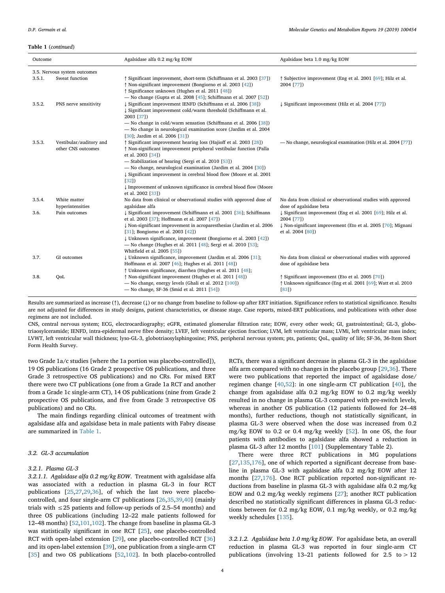#### **Table 1** (*continued*)

| Outcome |                                               | Agalsidase alfa 0.2 mg/kg EOW                                                                                                                                                                                                                                                                                                                                                                                                                                                           | Agalsidase beta 1.0 mg/kg EOW                                                                                          |
|---------|-----------------------------------------------|-----------------------------------------------------------------------------------------------------------------------------------------------------------------------------------------------------------------------------------------------------------------------------------------------------------------------------------------------------------------------------------------------------------------------------------------------------------------------------------------|------------------------------------------------------------------------------------------------------------------------|
|         | 3.5. Nervous system outcomes                  |                                                                                                                                                                                                                                                                                                                                                                                                                                                                                         |                                                                                                                        |
| 3.5.1.  | Sweat function                                | ↑ Significant improvement, short-term (Schiffmann et al. 2003 [37])<br>↑ Non-significant improvement (Bongiorno et al. 2003 [42])<br>↑ Significance unknown (Hughes et al. 2011 [48])<br>- No change (Gupta et al. 2008 [45]; Schiffmann et al. 2007 [52])                                                                                                                                                                                                                              | ↑ Subjective improvement (Eng et al. 2001 [69]; Hilz et al.<br>2004 [77])                                              |
| 3.5.2.  | PNS nerve sensitivity                         | ↓ Significant improvement IENFD (Schiffmann et al. 2006 [38])<br>Significant improvement cold/warm threshold (Schiffmann et al.<br>2003 [37])<br>- No change in cold/warm sensation (Schiffmann et al. 2006 [38])<br>- No change in neurological examination score (Jardim et al. 2004<br>$[30]$ ; Jardim et al. 2006 $[31]$ )                                                                                                                                                          | ↓ Significant improvement (Hilz et al. 2004 [77])                                                                      |
| 3.5.3.  | Vestibular/auditory and<br>other CNS outcomes | <i><u><b>↑ Significant improvement hearing loss (Hajioff et al. 2003 [28])</b></u></i><br>↑ Non-significant improvement peripheral vestibular function (Palla<br>et al. 2003 [34])<br>- Stabilization of hearing (Sergi et al. 2010 [53])<br>- No change, neurological examination (Jardim et al. 2004 [30])<br>↓ Significant improvement in cerebral blood flow (Moore et al. 2001<br>[32]<br>↓ Improvement of unknown significance in cerebral blood flow (Moore<br>et al. 2002 [33]) | - No change, neurological examination (Hilz et al. 2004 [77])                                                          |
| 3.5.4.  | White matter<br>hyperintensities              | No data from clinical or observational studies with approved dose of<br>agalsidase alfa                                                                                                                                                                                                                                                                                                                                                                                                 | No data from clinical or observational studies with approved<br>dose of agalsidase beta                                |
| 3.6.    | Pain outcomes                                 | ↓ Significant improvement (Schiffmann et al. 2001 [36]; Schiffmann<br>et al. 2003 [37]; Hoffmann et al. 2007 [47])                                                                                                                                                                                                                                                                                                                                                                      | ↓ Significant improvement (Eng et al. 2001 [69]; Hilz et al.<br>2004 [77])                                             |
|         |                                               | ↓ Non-significant improvement in acroparesthesias (Jardim et al. 2006<br>$[31]$ ; Bongiorno et al. 2003 $[42]$ )<br>Unknown significance, improvement (Bongiorno et al. 2003 [42])<br>- No change (Hughes et al. 2011 [48]; Sergi et al. 2010 [53];<br>Whitfield et al. 2005 [55])                                                                                                                                                                                                      | ↓ Non-significant improvement (Eto et al. 2005 [70]; Mignani<br>et al. 2004 [80])                                      |
| 3.7.    | GI outcomes                                   | Unknown significance, improvement (Jardim et al. 2006 [31];<br>Hoffmann et al. 2007 [46]; Hughes et al. 2011 [48])<br>† Unknown significance, diarrhea (Hughes et al. 2011 [48];                                                                                                                                                                                                                                                                                                        | No data from clinical or observational studies with approved<br>dose of agalsidase beta                                |
| 3.8.    | QoL                                           | ↑ Non-significant improvement (Hughes et al. 2011 [48])<br>- No change, energy levels (Ghali et al. $2012$ [ $100$ ])<br>- No change, SF-36 (Smid et al. 2011 [54])                                                                                                                                                                                                                                                                                                                     | Significant improvement (Eto et al. 2005 [70])<br>Unknown significance (Eng et al. 2001 [69]; Watt et al. 2010<br>[83] |

Results are summarized as increase (↑), decrease (↓) or no change from baseline to follow-up after ERT initiation. Significance refers to statistical significance. Results are not adjusted for differences in study designs, patient characteristics, or disease stage. Case reports, mixed-ERT publications, and publications with other dose regimens are not included.

CNS, central nervous system; ECG, electrocardiography; eGFR, estimated glomerular filtration rate; EOW, every other week; GI, gastrointestinal; GL-3, globotriaosylceramide; IENFD, intra-epidermal nerve fibre density; LVEF, left ventricular ejection fraction; LVM, left ventricular mass; LVMi, left ventricular mass index; LVWT, left ventricular wall thickness; lyso-GL-3, globotriaosylsphingosine; PNS, peripheral nervous system; pts, patients; QoL, quality of life; SF-36, 36-Item Short Form Health Survey.

two Grade 1a/c studies [where the 1a portion was placebo-controlled]), 19 OS publications (16 Grade 2 prospective OS publications, and three Grade 3 retrospective OS publications) and no CRs. For mixed ERT there were two CT publications (one from a Grade 1a RCT and another from a Grade 1c single-arm CT), 14 OS publications (nine from Grade 2 prospective OS publications, and five from Grade 3 retrospective OS publications) and no CRs.

The main findings regarding clinical outcomes of treatment with agalsidase alfa and agalsidase beta in male patients with Fabry disease are summarized in [Table 1](#page-2-0).

# *3.2. GL-3 accumulation*

#### *3.2.1. Plasma GL-3*

*3.2.1.1. Agalsidase alfa 0.2 mg/kg EOW*. Treatment with agalsidase alfa was associated with a reduction in plasma GL-3 in four RCT publications [[25,](#page-15-12)[27,](#page-15-14)[29](#page-15-15)[,36](#page-16-3)], of which the last two were placebocontrolled, and four single-arm CT publications [[26,](#page-15-13)[35,](#page-16-0)[39](#page-16-1)[,40](#page-16-24)] (mainly trials with  $\leq$  25 patients and follow-up periods of 2.5–54 months) and three OS publications (including 12–22 male patients followed for 12–48 months) [\[52](#page-16-2)[,101,](#page-17-1)[102](#page-17-0)]. The change from baseline in plasma GL-3 was statistically significant in one RCT [\[25](#page-15-12)], one placebo-controlled RCT with open-label extension [[29\]](#page-15-15), one placebo-controlled RCT [\[36](#page-16-3)] and its open-label extension [\[39](#page-16-1)], one publication from a single-arm CT [[35\]](#page-16-0) and two OS publications [\[52](#page-16-2)[,102\]](#page-17-0). In both placebo-controlled RCTs, there was a significant decrease in plasma GL-3 in the agalsidase alfa arm compared with no changes in the placebo group [[29,](#page-15-15)[36\]](#page-16-3). There were two publications that reported the impact of agalsidase dose/ regimen change [[40](#page-16-24)[,52](#page-16-2)]: in one single-arm CT publication [\[40](#page-16-24)], the change from agalsidase alfa 0.2 mg/kg EOW to 0.2 mg/kg weekly resulted in no change in plasma GL-3 compared with pre-switch levels, whereas in another OS publication (12 patients followed for 24–48 months), further reductions, though not statistically significant, in plasma GL-3 were observed when the dose was increased from 0.2 mg/kg EOW to 0.2 or 0.4 mg/kg weekly [\[52](#page-16-2)]. In one OS, the four patients with antibodies to agalsidase alfa showed a reduction in plasma GL-3 after 12 months [\[101\]](#page-17-1) (Supplementary Table 2).

There were three RCT publications in MG populations [[27](#page-15-14)[,135,](#page-17-2)[176](#page-18-1)], one of which reported a significant decrease from baseline in plasma GL-3 with agalsidase alfa 0.2 mg/kg EOW after 12 months [\[27](#page-15-14),[176](#page-18-1)]. One RCT publication reported non-significant reductions from baseline in plasma GL-3 with agalsidase alfa 0.2 mg/kg EOW and 0.2 mg/kg weekly regimens [\[27](#page-15-14)]; another RCT publication described no statistically significant differences in plasma GL-3 reductions between for 0.2 mg/kg EOW, 0.1 mg/kg weekly, or 0.2 mg/kg weekly schedules [\[135](#page-17-2)].

*3.2.1.2. Agalsidase beta 1.0 mg/kg EOW*. For agalsidase beta, an overall reduction in plasma GL-3 was reported in four single-arm CT publications (involving 13–21 patients followed for 2.5 to > 12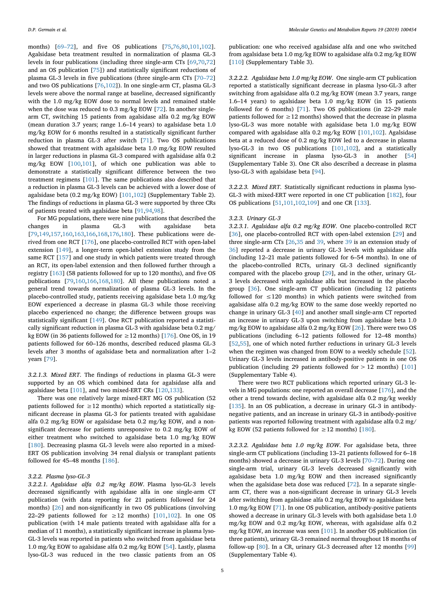months) [[69–72\]](#page-16-10), and five OS publications [\[75](#page-16-8)[,76](#page-16-7),[80,](#page-16-9)[101](#page-17-1),[102](#page-17-0)]. Agalsidase beta treatment resulted in normalization of plasma GL-3 levels in four publications (including three single-arm CTs [[69,](#page-16-10)[70](#page-16-4)[,72](#page-16-6)] and an OS publication [[75\]](#page-16-8)) and statistically significant reductions of plasma GL-3 levels in five publications (three single-arm CTs [\[70–72](#page-16-4)] and two OS publications [\[76](#page-16-7)[,102\]](#page-17-0)). In one single-arm CT, plasma GL-3 levels were above the normal range at baseline, decreased significantly with the 1.0 mg/kg EOW dose to normal levels and remained stable when the dose was reduced to 0.3 mg/kg EOW [[72\]](#page-16-6). In another singlearm CT, switching 15 patients from agalsidase alfa 0.2 mg/kg EOW (mean duration 3.7 years; range 1.6–14 years) to agalsidase beta 1.0 mg/kg EOW for 6 months resulted in a statistically significant further reduction in plasma GL-3 after switch [\[71](#page-16-5)]. Two OS publications showed that treatment with agalsidase beta 1.0 mg/kg EOW resulted in larger reductions in plasma GL-3 compared with agalsidase alfa 0.2 mg/kg EOW [\[100](#page-17-3)[,101\]](#page-17-1), of which one publication was able to demonstrate a statistically significant difference between the two treatment regimens [[101](#page-17-1)]. The same publications also described that a reduction in plasma GL-3 levels can be achieved with a lower dose of agalsidase beta (0.2 mg/kg EOW) [\[101,](#page-17-1)[102](#page-17-0)] (Supplementary Table 2). The findings of reductions in plasma GL-3 were supported by three CRs of patients treated with agalsidase beta [[91,](#page-17-4)[94,](#page-17-5)[98\]](#page-17-6).

For MG populations, there were nine publications that described the changes in plasma GL-3 with agalsidase beta [[79](#page-16-21)[,149,](#page-18-2)[157](#page-18-3),[160](#page-18-4)[,163,](#page-18-5)[166](#page-18-6),[168](#page-18-7)[,176,](#page-18-1)[180](#page-18-8)]. These publications were derived from one RCT [\[176\]](#page-18-1), one placebo-controlled RCT with open-label extension [[149](#page-18-2)], a longer-term open-label extension study from the same RCT [[157](#page-18-3)] and one study in which patients were treated through an RCT, its open-label extension and then followed further through a registry [\[163\]](#page-18-5) (58 patients followed for up to 120 months), and five OS publications [\[79](#page-16-21),[160](#page-18-4)[,166,](#page-18-6)[168](#page-18-7),[180](#page-18-8)]. All these publications noted a general trend towards normalization of plasma GL-3 levels. In the placebo-controlled study, patients receiving agalsidase beta 1.0 mg/kg EOW experienced a decrease in plasma GL-3 while those receiving placebo experienced no change; the difference between groups was statistically significant [\[149\]](#page-18-2). One RCT publication reported a statistically significant reduction in plasma GL-3 with agalsidase beta 0.2 mg/ kg EOW (in 36 patients followed for ≥12 months) [ $176$ ]. One OS, in 19 patients followed for 60–126 months, described reduced plasma GL-3 levels after 3 months of agalsidase beta and normalization after 1–2 years [\[79](#page-16-21)].

*3.2.1.3. Mixed ERT*. The findings of reductions in plasma GL-3 were supported by an OS which combined data for agalsidase alfa and agalsidase beta [\[101\]](#page-17-1), and two mixed-ERT CRs [\[120](#page-17-7)[,133\]](#page-17-8).

There was one relatively large mixed-ERT MG OS publication (52 patients followed for  $\geq$  12 months) which reported a statistically significant decrease in plasma GL-3 for patients treated with agalsidase alfa 0.2 mg/kg EOW or agalsidase beta 0.2 mg/kg EOW, and a nonsignificant decrease for patients unresponsive to 0.2 mg/kg EOW of either treatment who switched to agalsidase beta 1.0 mg/kg EOW [[180](#page-18-8)]. Decreasing plasma GL-3 levels were also reported in a mixed-ERT OS publication involving 34 renal dialysis or transplant patients followed for 45–48 months [\[186\]](#page-18-9).

### *3.2.2. Plasma lyso-GL-3*

*3.2.2.1. Agalsidase alfa 0.2 mg/kg EOW*. Plasma lyso-GL-3 levels decreased significantly with agalsidase alfa in one single-arm CT publication (with data reporting for 21 patients followed for 24 months) [\[26](#page-15-13)] and non-significantly in two OS publications (involving 22–29 patients followed for  $\geq$  12 months) [[101](#page-17-1)[,102\]](#page-17-0). In one OS publication (with 14 male patients treated with agalsidase alfa for a median of 11 months), a statistically significant increase in plasma lyso-GL-3 levels was reported in patients who switched from agalsidase beta 1.0 mg/kg EOW to agalsidase alfa 0.2 mg/kg EOW [[54\]](#page-16-11). Lastly, plasma lyso-GL-3 was reduced in the two classic patients from an OS

publication: one who received agalsidase alfa and one who switched from agalsidase beta 1.0 mg/kg EOW to agalsidase alfa 0.2 mg/kg EOW [[110](#page-17-9)] (Supplementary Table 3).

*3.2.2.2. Agalsidase beta 1.0 mg/kg EOW*. One single-arm CT publication reported a statistically significant decrease in plasma lyso-GL-3 after switching from agalsidase alfa 0.2 mg/kg EOW (mean 3.7 years, range 1.6–14 years) to agalsidase beta 1.0 mg/kg EOW (in 15 patients followed for 6 months) [[71\]](#page-16-5). Two OS publications (in 22–29 male patients followed for  $\geq$  12 months) showed that the decrease in plasma lyso-GL-3 was more notable with agalsidase beta 1.0 mg/kg EOW compared with agalsidase alfa 0.2 mg/kg EOW [[101](#page-17-1)[,102\]](#page-17-0). Agalsidase beta at a reduced dose of 0.2 mg/kg EOW led to a decrease in plasma lyso-GL-3 in two OS publications [\[101,](#page-17-1)[102\]](#page-17-0), and a statistically significant increase in plasma lyso-GL-3 in another [\[54](#page-16-11)] (Supplementary Table 3). One CR also described a decrease in plasma lyso-GL-3 with agalsidase beta [[94\]](#page-17-5).

*3.2.2.3. Mixed ERT*. Statistically significant reductions in plasma lyso-GL-3 with mixed-ERT were reported in one CT publication [\[182\]](#page-18-10), four OS publications [\[51](#page-16-33),[101](#page-17-1)[,102,](#page-17-0)[109](#page-17-10)] and one CR [[133](#page-17-8)].

#### *3.2.3. Urinary GL-3*

*3.2.3.1. Agalsidase alfa 0.2 mg/kg EOW*. One placebo-controlled RCT [[36\]](#page-16-3), one placebo-controlled RCT with open-label extension [\[29](#page-15-15)] and three single-arm CTs [[26,](#page-15-13)[35](#page-16-0) and [39](#page-16-1), where [39](#page-16-1) is an extension study of [36\]](#page-16-3) reported a decrease in urinary GL-3 levels with agalsidase alfa (including 12–21 male patients followed for 6–54 months). In one of the placebo-controlled RCTs, urinary GL-3 declined significantly compared with the placebo group [[29\]](#page-15-15), and in the other, urinary GL-3 levels decreased with agalsidase alfa but increased in the placebo group [\[36](#page-16-3)]. One single-arm CT publication (including 12 patients followed for  $\leq$ 120 months) in which patients were switched from agalsidase alfa 0.2 mg/kg EOW to the same dose weekly reported no change in urinary GL-3 [[40\]](#page-16-24) and another small single-arm CT reported an increase in urinary GL-3 upon switching from agalsidase beta 1.0 mg/kg EOW to agalsidase alfa 0.2 mg/kg EOW [[26\]](#page-15-13). There were two OS publications (including 6–12 patients followed for 12–48 months) [[52](#page-16-2)[,55](#page-16-13)], one of which noted further reductions in urinary GL-3 levels when the regimen was changed from EOW to a weekly schedule [\[52](#page-16-2)]. Urinary GL-3 levels increased in antibody-positive patients in one OS publication (including 29 patients followed for  $> 12$  months) [[101](#page-17-1)] (Supplementary Table 4).

There were two RCT publications which reported urinary GL-3 levels in MG populations: one reported an overall decrease [\[176\]](#page-18-1), and the other a trend towards decline, with agalsidase alfa 0.2 mg/kg weekly [[135](#page-17-2)]. In an OS publication, a decrease in urinary GL-3 in antibodynegative patients, and an increase in urinary GL-3 in antibody-positive patients was reported following treatment with agalsidase alfa 0.2 mg/ kg EOW (52 patients followed for  $\geq$  12 months) [\[180\]](#page-18-8).

*3.2.3.2. Agalsidase beta 1.0 mg/kg EOW*. For agalsidase beta, three single-arm CT publications (including 13–21 patients followed for 6–18 months) showed a decrease in urinary GL-3 levels [\[70–72](#page-16-4)]. During one single-arm trial, urinary GL-3 levels decreased significantly with agalsidase beta 1.0 mg/kg EOW and then increased significantly when the agalsidase beta dose was reduced [\[72](#page-16-6)]. In a separate singlearm CT, there was a non-significant decrease in urinary GL-3 levels after switching from agalsidase alfa 0.2 mg/kg EOW to agalsidase beta 1.0 mg/kg EOW [[71\]](#page-16-5). In one OS publication, antibody-positive patients showed a decrease in urinary GL-3 levels with both agalsidase beta 1.0 mg/kg EOW and 0.2 mg/kg EOW, whereas, with agalsidase alfa 0.2 mg/kg EOW, an increase was seen [\[101\]](#page-17-1). In another OS publication (in three patients), urinary GL-3 remained normal throughout 18 months of follow-up [[80\]](#page-16-9). In a CR, urinary GL-3 decreased after 12 months [\[99](#page-17-11)] (Supplementary Table 4).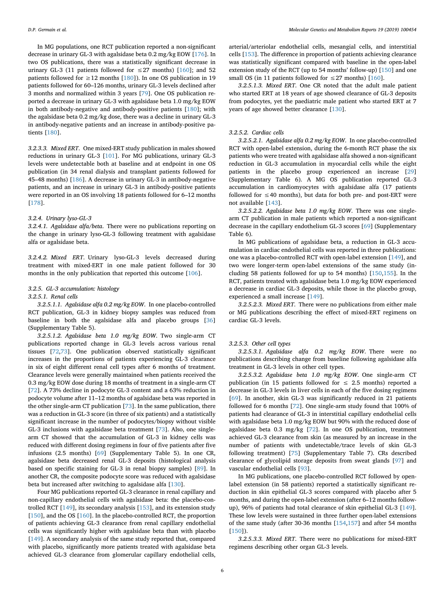In MG populations, one RCT publication reported a non-significant decrease in urinary GL-3 with agalsidase beta 0.2 mg/kg EOW [\[176\]](#page-18-1). In two OS publications, there was a statistically significant decrease in urinary GL-3 (11 patients followed for  $\leq$  27 months) [\[160\]](#page-18-4); and 52 patients followed for  $\geq$  12 months [\[180\]](#page-18-8)). In one OS publication in 19 patients followed for 60–126 months, urinary GL-3 levels declined after 3 months and normalized within 3 years [\[79](#page-16-21)]. One OS publication reported a decrease in urinary GL-3 with agalsidase beta 1.0 mg/kg EOW in both antibody-negative and antibody-positive patients [\[180\]](#page-18-8); with the agalsidase beta 0.2 mg/kg dose, there was a decline in urinary GL-3 in antibody-negative patients and an increase in antibody-positive patients [\[180\]](#page-18-8).

*3.2.3.3. Mixed ERT*. One mixed-ERT study publication in males showed reductions in urinary GL-3 [[101](#page-17-1)]. For MG publications, urinary GL-3 levels were undetectable both at baseline and at endpoint in one OS publication (in 34 renal dialysis and transplant patients followed for 45–48 months) [[186](#page-18-9)]. A decrease in urinary GL-3 in antibody-negative patients, and an increase in urinary GL-3 in antibody-positive patients were reported in an OS involving 18 patients followed for 6–12 months [[178](#page-18-11)].

## *3.2.4. Urinary lyso-GL-3*

*3.2.4.1. Agalsidase alfa/beta*. There were no publications reporting on the change in urinary lyso-GL-3 following treatment with agalsidase alfa or agalsidase beta.

*3.2.4.2. Mixed ERT*. Urinary lyso-GL-3 levels decreased during treatment with mixed-ERT in one male patient followed for 30 months in the only publication that reported this outcome [[106](#page-17-12)].

#### *3.2.5. GL-3 accumulation: histology*

#### *3.2.5.1. Renal cells*

*3.2.5.1.1. Agalsidase alfa 0.2 mg/kg EOW*. In one placebo-controlled RCT publication, GL-3 in kidney biopsy samples was reduced from baseline in both the agalsidase alfa and placebo groups [\[36](#page-16-3)] (Supplementary Table 5).

*3.2.5.1.2. Agalsidase beta 1.0 mg/kg EOW*. Two single-arm CT publications reported change in GL-3 levels across various renal tissues [\[72](#page-16-6)[,73](#page-16-14)]. One publication observed statistically significant increases in the proportions of patients experiencing GL-3 clearance in six of eight different renal cell types after 6 months of treatment. Clearance levels were generally maintained when patients received the 0.3 mg/kg EOW dose during 18 months of treatment in a single-arm CT [[72\]](#page-16-6). A 73% decline in podocyte GL-3 content and a 63% reduction in podocyte volume after 11–12 months of agalsidase beta was reported in the other single-arm CT publication [[73](#page-16-14)]. In the same publication, there was a reduction in GL-3 score (in three of six patients) and a statistically significant increase in the number of podocytes/biopsy without visible GL-3 inclusions with agalsidase beta treatment [[73\]](#page-16-14). Also, one singlearm CT showed that the accumulation of GL-3 in kidney cells was reduced with different dosing regimens in four of five patients after five infusions (2.5 months) [\[69](#page-16-10)] (Supplementary Table 5). In one CR, agalsidase beta decreased renal GL-3 deposits (histological analysis based on specific staining for GL-3 in renal biopsy samples) [[89\]](#page-17-13). In another CR, the composite podocyte score was reduced with agalsidase beta but increased after switching to agalsidase alfa [[130](#page-17-14)].

Four MG publications reported GL-3 clearance in renal capillary and non-capillary endothelial cells with agalsidase beta: the placebo-controlled RCT [[149](#page-18-2)], its secondary analysis [[153](#page-18-12)], and its extension study [[150](#page-18-13)], and the OS [\[160\]](#page-18-4). In the placebo-controlled RCT, the proportion of patients achieving GL-3 clearance from renal capillary endothelial cells was significantly higher with agalsidase beta than with placebo [[149](#page-18-2)]. A secondary analysis of the same study reported that, compared with placebo, significantly more patients treated with agalsidase beta achieved GL-3 clearance from glomerular capillary endothelial cells, arterial/arteriolar endothelial cells, mesangial cells, and interstitial cells [\[153\]](#page-18-12). The difference in proportion of patients achieving clearance was statistically significant compared with baseline in the open-label extension study of the RCT (up to 54 months' follow-up) [[150](#page-18-13)] and one small OS (in 11 patients followed for  $\leq$  27 months) [\[160\]](#page-18-4).

*3.2.5.1.3. Mixed ERT*. One CR noted that the adult male patient who started ERT at 18 years of age showed clearance of GL-3 deposits from podocytes, yet the paediatric male patient who started ERT at 7 years of age showed better clearance [\[130\]](#page-17-14).

# *3.2.5.2. Cardiac cells*

*3.2.5.2.1. Agalsidase alfa 0.2 mg/kg EOW*. In one placebo-controlled RCT with open-label extension, during the 6-month RCT phase the six patients who were treated with agalsidase alfa showed a non-significant reduction in GL-3 accumulation in myocardial cells while the eight patients in the placebo group experienced an increase [\[29](#page-15-15)] (Supplementary Table 6). A MG OS publication reported GL-3 accumulation in cardiomyocytes with agalsidase alfa (17 patients followed for  $\leq 40$  months), but data for both pre- and post-ERT were not available [[143](#page-18-14)].

*3.2.5.2.2. Agalsidase beta 1.0 mg/kg EOW*. There was one singlearm CT publication in male patients which reported a non-significant decrease in the capillary endothelium GL-3 scores [[69\]](#page-16-10) (Supplementary Table 6).

In MG publications of agalsidase beta, a reduction in GL-3 accumulation in cardiac endothelial cells was reported in three publications: one was a placebo-controlled RCT with open-label extension [[149\]](#page-18-2), and two were longer-term open-label extensions of the same study (including 58 patients followed for up to 54 months) [[150](#page-18-13),[155](#page-18-15)]. In the RCT, patients treated with agalsidase beta 1.0 mg/kg EOW experienced a decrease in cardiac GL-3 deposits, while those in the placebo group, experienced a small increase [[149](#page-18-2)].

*3.2.5.2.3. Mixed ERT*. There were no publications from either male or MG publications describing the effect of mixed-ERT regimens on cardiac GL-3 levels.

## *3.2.5.3. Other cell types*

*3.2.5.3.1. Agalsidase alfa 0.2 mg/kg EOW*. There were no publications describing change from baseline following agalsidase alfa treatment in GL-3 levels in other cell types.

*3.2.5.3.2. Agalsidase beta 1.0 mg/kg EOW*. One single-arm CT publication (in 15 patients followed for  $\leq$  2.5 months) reported a decrease in GL-3 levels in liver cells in each of the five dosing regimens [[69\]](#page-16-10). In another, skin GL-3 was significantly reduced in 21 patients followed for 6 months [[72\]](#page-16-6). One single-arm study found that 100% of patients had clearance of GL-3 in interstitial capillary endothelial cells with agalsidase beta 1.0 mg/kg EOW but 90% with the reduced dose of agalsidase beta 0.3 mg/kg [[72\]](#page-16-6). In one OS publication, treatment achieved GL-3 clearance from skin (as measured by an increase in the number of patients with undetectable/trace levels of skin GL-3 following treatment) [[75\]](#page-16-8) (Supplementary Table 7). CRs described clearance of glycolipid storage deposits from sweat glands [[97\]](#page-17-15) and vascular endothelial cells [\[93](#page-17-16)].

In MG publications, one placebo-controlled RCT followed by openlabel extension (in 58 patients) reported a statistically significant reduction in skin epithelial GL-3 scores compared with placebo after 5 months, and during the open-label extension (after 6–12 months followup), 96% of patients had total clearance of skin epithelial GL-3 [[149](#page-18-2)]. These low levels were sustained in three further open-label extensions of the same study (after 30-36 months [[154](#page-18-16),[157](#page-18-3)] and after 54 months [[150](#page-18-13)]).

*3.2.5.3.3. Mixed ERT*. There were no publications for mixed-ERT regimens describing other organ GL-3 levels.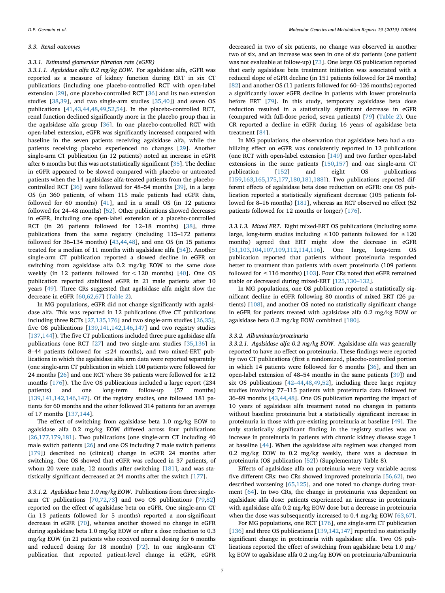#### *3.3. Renal outcomes*

## *3.3.1. Estimated glomerular filtration rate (eGFR)*

*3.3.1.1. Agalsidase alfa 0.2 mg/kg EOW*. For agalsidase alfa, eGFR was reported as a measure of kidney function during ERT in six CT publications (including one placebo-controlled RCT with open-label extension [\[29\]](#page-15-15), one placebo-controlled RCT [\[36](#page-16-3)] and its two extension studies [[38](#page-16-12),[39\]](#page-16-1), and two single-arm studies [\[35](#page-16-0)[,40](#page-16-24)]) and seven OS publications [\[41](#page-16-18),[43,](#page-16-15)[44,](#page-16-16)[48](#page-16-17)[,49](#page-16-19)[,52](#page-16-2),[54\]](#page-16-11). In the placebo-controlled RCT, renal function declined significantly more in the placebo group than in the agalsidase alfa group [[36\]](#page-16-3). In one placebo-controlled RCT with open-label extension, eGFR was significantly increased compared with baseline in the seven patients receiving agalsidase alfa, while the patients receiving placebo experienced no changes [\[29](#page-15-15)]. Another single-arm CT publication (in 12 patients) noted an increase in eGFR after 6 months but this was not statistically significant [[35\]](#page-16-0). The decline in eGFR appeared to be slowed compared with placebo or untreated patients when the 14 agalsidase alfa-treated patients from the placebocontrolled RCT [[36\]](#page-16-3) were followed for 48–54 months [[39\]](#page-16-1), in a large OS (in 360 patients, of whom 115 male patients had eGFR data, followed for 60 months) [[41\]](#page-16-18), and in a small OS (in 12 patients followed for 24–48 months) [[52\]](#page-16-2). Other publications showed decreases in eGFR, including one open-label extension of a placebo-controlled RCT (in 26 patients followed for 12–18 months) [\[38\]](#page-16-12), three publications from the same registry (including 115–172 patients followed for 36–134 months) [[43](#page-16-15)[,44](#page-16-16)[,48](#page-16-17)], and one OS (in 15 patients treated for a median of 11 months with agalsidase alfa [[54\]](#page-16-11)). Another single-arm CT publication reported a slowed decline in eGFR on switching from agalsidase alfa 0.2 mg/kg EOW to the same dose weekly (in 12 patients followed for < 120 months) [\[40](#page-16-24)]. One OS publication reported stabilized eGFR in 21 male patients after 10 years [\[49\]](#page-16-19). Three CRs suggested that agalsidase alfa might slow the decrease in eGFR [\[60](#page-16-34)[,62](#page-16-35),[67](#page-16-36)] [\(Table 2](#page-7-0)).

In MG populations, eGFR did not change significantly with agalsidase alfa. This was reported in 12 publications (five CT publications including three RCTs [\[27](#page-15-14)[,135,](#page-17-2)[176](#page-18-1)] and two single-arm studies [[26,](#page-15-13)[35](#page-16-0)], five OS publications [[139](#page-18-17)[,141,](#page-18-18)[142](#page-18-19),[146](#page-18-20)[,147\]](#page-18-21) and two registry studies [[137](#page-17-17),[144](#page-18-22)]). The five CT publications included three pure agalsidase alfa publications (one RCT [[27\]](#page-15-14) and two single-arm studies [[35,](#page-16-0)[136](#page-17-18)] in 8–44 patients followed for  $\leq$  24 months), and two mixed-ERT publications in which the agalsidase alfa arm data were reported separately (one single-arm CT publication in which 100 patients were followed for 24 months [\[26](#page-15-13)] and one RCT where 36 patients were followed for  $\geq$  12 months [\[176\]](#page-18-1)). The five OS publications included a large report (234 patients) and one long-term follow-up (57 months) [[139](#page-18-17),[141](#page-18-18)[,142,](#page-18-19)[146,](#page-18-20)[147](#page-18-21)]. Of the registry studies, one followed 181 patients for 60 months and the other followed 314 patients for an average of 17 months [[137](#page-17-17),[144](#page-18-22)].

The effect of switching from agalsidase beta 1.0 mg/kg EOW to agalsidase alfa 0.2 mg/kg EOW differed across four publications [[26](#page-15-13)[,177,](#page-18-23)[179](#page-18-24),[181](#page-18-25)]. Two publications (one single-arm CT including 40 male switch patients [[26\]](#page-15-13) and one OS including 7 male switch patients [[179](#page-18-24)]) described no (clinical) change in eGFR 24 months after switching. One OS showed that eGFR was reduced in 37 patients, of whom 20 were male, 12 months after switching [[181](#page-18-25)], and was statistically significant decreased at 24 months after the switch [[177](#page-18-23)].

*3.3.1.2. Agalsidase beta 1.0 mg/kg EOW*. Publications from three singlearm CT publications [[70,](#page-16-4)[72](#page-16-6)[,73](#page-16-14)] and two OS publications [\[79](#page-16-21)[,82](#page-16-20)] reported on the effect of agalsidase beta on eGFR. One single-arm CT (in 13 patients followed for 5 months) reported a non-significant decrease in eGFR [\[70](#page-16-4)], whereas another showed no change in eGFR during agalsidase beta 1.0 mg/kg EOW or after a dose reduction to 0.3 mg/kg EOW (in 21 patients who received normal dosing for 6 months and reduced dosing for 18 months) [[72\]](#page-16-6). In one single-arm CT publication that reported patient-level change in eGFR, eGFR

decreased in two of six patients, no change was observed in another two of six, and an increase was seen in one of six patients (one patient was not evaluable at follow-up) [[73\]](#page-16-14). One large OS publication reported that early agalsidase beta treatment initiation was associated with a reduced slope of eGFR decline (in 151 patients followed for 24 months) [[82\]](#page-16-20) and another OS (11 patients followed for 60–126 months) reported a significantly lower eGFR decline in patients with lower proteinuria before ERT [\[79](#page-16-21)]. In this study, temporary agalsidase beta dose reduction resulted in a statistically significant decrease in eGFR (compared with full-dose period, seven patients) [\[79](#page-16-21)] ([Table 2\)](#page-7-0). One CR reported a decline in eGFR during 16 years of agalsidase beta treatment [\[84](#page-16-37)].

In MG populations, the observation that agalsidase beta had a stabilizing effect on eGFR was consistently reported in 12 publications (one RCT with open-label extension [\[149\]](#page-18-2) and two further open-label extensions in the same patients [[150](#page-18-13),[157](#page-18-3)] and one single-arm CT publication [\[152\]](#page-18-26) and eight OS publications [[159](#page-18-27),[163](#page-18-5)[,165,](#page-18-28)[175](#page-18-29),[177](#page-18-23)[,180](#page-18-8)[,181,](#page-18-25)[188](#page-18-30)]). Two publications reported different effects of agalsidase beta dose reduction on eGFR: one OS publication reported a statistically significant decrease (105 patients followed for 8–16 months) [\[181\]](#page-18-25), whereas an RCT observed no effect (52 patients followed for 12 months or longer) [\[176\]](#page-18-1).

*3.3.1.3. Mixed ERT*. Eight mixed-ERT OS publications (including some large, long-term studies including ≤100 patients followed for ≤120 months) agreed that ERT might slow the decrease in eGFR [[51](#page-16-33)[,103,](#page-17-19)[104](#page-17-20),[107](#page-17-21)[,109,](#page-17-10)[112](#page-17-22),[114](#page-17-23)[,116\]](#page-17-24). One large, long-term OS publication reported that patients without proteinuria responded better to treatment than patients with overt proteinuria (109 patients followed for  $\leq$  116 months) [[103](#page-17-19)]. Four CRs noted that eGFR remained stable or decreased during mixed-ERT [\[125,](#page-17-25)[130–132\]](#page-17-14).

In MG populations, one OS publication reported a statistically significant decline in eGFR following 80 months of mixed ERT (26 patients) [\[108\]](#page-17-26), and another OS noted no statistically significant change in eGFR for patients treated with agalsidase alfa 0.2 mg/kg EOW or agalsidase beta 0.2 mg/kg EOW combined [[180](#page-18-8)].

## *3.3.2. Albuminuria/proteinuria*

*3.3.2.1. Agalsidase alfa 0.2 mg/kg EOW*. Agalsidase alfa was generally reported to have no effect on proteinuria. These findings were reported by two CT publications (first a randomized, placebo-controlled portion in which 14 patients were followed for 6 months [\[36](#page-16-3)], and then an open-label extension of 48–54 months in the same patients [\[39](#page-16-1)]) and six OS publications [[42–44,](#page-16-22)[48,](#page-16-17)[49](#page-16-19)[,52](#page-16-2)], including three large registry studies involving 77–115 patients with proteinuria data followed for 36–89 months [\[43](#page-16-15)[,44](#page-16-16),[48\]](#page-16-17). One OS publication reporting the impact of 10 years of agalsidase alfa treatment noted no changes in patients without baseline proteinuria but a statistically significant increase in proteinuria in those with pre-existing proteinuria at baseline [\[49](#page-16-19)]. The only statistically significant finding in the registry studies was an increase in proteinuria in patients with chronic kidney disease stage 1 at baseline [\[44](#page-16-16)]. When the agalsidase alfa regimen was changed from 0.2 mg/kg EOW to 0.2 mg/kg weekly, there was a decrease in proteinuria (OS publication [\[52](#page-16-2)]) (Supplementary Table 8).

Effects of agalsidase alfa on proteinuria were very variable across five different CRs: two CRs showed improved proteinuria [\[56](#page-16-38)[,62](#page-16-35)], two described worsening [[65,](#page-16-39)[125](#page-17-25)], and one noted no change during treatment [\[64](#page-16-40)]. In two CRs, the change in proteinuria was dependent on agalsidase alfa dose: patients experienced an increase in proteinuria with agalsidase alfa 0.2 mg/kg EOW dose but a decrease in proteinuria when the dose was subsequently increased to 0.4 mg/kg EOW [[63,](#page-16-41)[67](#page-16-36)].

For MG populations, one RCT [[176](#page-18-1)], one single-arm CT publication [[136](#page-17-18)] and three OS publications [[139](#page-18-17)[,142,](#page-18-19)[147](#page-18-21)] reported no statistically significant change in proteinuria with agalsidase alfa. Two OS publications reported the effect of switching from agalsidase beta 1.0 mg/ kg EOW to agalsidase alfa 0.2 mg/kg EOW on proteinuria/albuminuria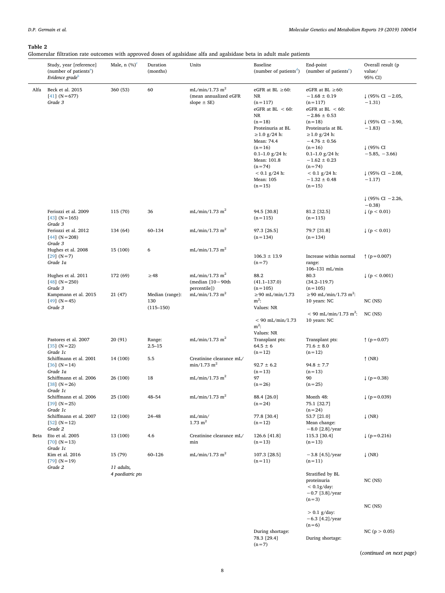# <span id="page-7-0"></span>**Table 2**

Glomerular filtration rate outcomes with approved doses of agalsidase alfa and agalsidase beta in adult male patients

|      | Study, year [reference]<br>(number of patients <sup>a</sup> )<br>Evidence grade <sup>b</sup> | Male, $n$ $(\%)^c$             | Duration<br>(months)   | Units                                                                  | Baseline<br>(number of patients <sup>d</sup> )                          | End-point<br>(number of patients <sup>e</sup> )                                             | Overall result (p<br>value/<br>95% CI)   |
|------|----------------------------------------------------------------------------------------------|--------------------------------|------------------------|------------------------------------------------------------------------|-------------------------------------------------------------------------|---------------------------------------------------------------------------------------------|------------------------------------------|
| Alfa | Beck et al. 2015<br>$[41]$ (N = 677)<br>Grade 3                                              | 360 (53)                       | 60                     | mL/min/1.73 $\mathrm{m}^2$<br>(mean annualized eGFR<br>slope $\pm$ SE) | eGFR at BL $\geq 60$ :<br>NR<br>$(n=117)$<br>eGFR at BL $< 60$ :        | eGFR at BL $\geq 60$ :<br>$-1.68 \pm 0.19$<br>$(n=117)$<br>eGFR at BL $<$ 60:               | $\downarrow$ (95% CI - 2.05,<br>$-1.31)$ |
|      |                                                                                              |                                |                        |                                                                        | NR<br>$(n=18)$<br>Proteinuria at BL<br>$\geq$ 1.0 g/24 h:<br>Mean: 74.4 | $-2.86 \pm 0.53$<br>$(n=18)$<br>Proteinuria at BL<br>$\geq$ 1.0 g/24 h:<br>$-4.76 \pm 0.56$ | $\downarrow$ (95% CI - 3.90,<br>$-1.83$  |
|      |                                                                                              |                                |                        |                                                                        | $(n=16)$<br>$0.1 - 1.0$ g/24 h:<br>Mean: 101.8<br>$(n=74)$              | $(n=16)$<br>$0.1 - 1.0$ g/24 h:<br>$-1.62 \pm 0.23$<br>$(n=74)$                             | ↓ (95% CI<br>$-5.85, -3.66$              |
|      |                                                                                              |                                |                        |                                                                        | $< 0.1$ g/24 h:<br>Mean: 105<br>$(n=15)$                                | $< 0.1$ g/24 h:<br>$-1.32 \pm 0.48$<br>$(n=15)$                                             | $\downarrow$ (95% CI - 2.08,<br>$-1.17$  |
|      |                                                                                              |                                |                        |                                                                        |                                                                         |                                                                                             | $\downarrow$ (95% CI - 2.26,<br>$-0.38$  |
|      | Feriozzi et al. 2009<br>$[43]$ (N = 165)<br>Grade 3                                          | 115 (70)                       | 36                     | $mL/min/1.73$ m <sup>2</sup>                                           | 94.5 [30.8]<br>$(n=115)$                                                | 81.2 [32.5]<br>$(n=115)$                                                                    | $\downarrow$ (p < 0.01)                  |
|      | Feriozzi et al. 2012<br>$[44]$ (N = 208)<br>Grade 3                                          | 134 (64)                       | 60-134                 | $mL/min/1.73$ m <sup>2</sup>                                           | 97.3 [26.5]<br>$(n=134)$                                                | 79.7 [31.8]<br>$(n=134)$                                                                    | $\downarrow$ (p < 0.01)                  |
|      | Hughes et al. 2008                                                                           | 15 (100)                       | 6                      | $mL/min/1.73$ m <sup>2</sup>                                           |                                                                         |                                                                                             |                                          |
|      | $[29]$ (N = 7)<br>Grade 1a                                                                   |                                |                        |                                                                        | $106.3 \pm 13.9$<br>$(n=7)$                                             | Increase within normal<br>range:                                                            | $\uparrow$ (p = 0.007)                   |
|      | Hughes et al. 2011                                                                           | 172 (69)                       | $\geq$ 48              | $mL/min/1.73$ m <sup>2</sup>                                           | 88.2                                                                    | 106-131 mL/min<br>80.3                                                                      | $\downarrow$ (p < 0.001)                 |
|      | $[48]$ (N = 250)                                                                             |                                |                        | (median $[10-90th]$                                                    | $(41.1 - 137.0)$                                                        | $(34.2 - 119.7)$                                                                            |                                          |
|      | Grade 3                                                                                      |                                |                        | percentile])                                                           | $(n=105)$                                                               | $(n=105)$                                                                                   |                                          |
|      | Kampmann et al. 2015<br>$[49]$ (N = 45)                                                      | 21 (47)                        | Median (range):<br>130 | $mL/min/1.73$ m <sup>2</sup>                                           | $\geq$ 90 mL/min/1.73<br>$m^2$ :                                        | ≥90 mL/min/1.73 m <sup>2</sup> :<br>10 years: NC                                            | $NC$ ( $NS$ )                            |
|      | Grade 3                                                                                      |                                | $(115 - 150)$          |                                                                        | Values: NR                                                              |                                                                                             |                                          |
|      |                                                                                              |                                |                        |                                                                        | $< 90$ mL/min/1.73<br>$m^2$ :                                           | $< 90$ mL/min/1.73 m <sup>2</sup> :<br>10 years: NC                                         | $NC$ (NS)                                |
|      |                                                                                              |                                |                        | $mL/min/1.73$ m <sup>2</sup>                                           | Values: NR                                                              |                                                                                             |                                          |
|      | Pastores et al. 2007<br>$[35]$ (N = 22)<br>Grade 1c                                          | 20 (91)                        | Range:<br>$2.5 - 15$   |                                                                        | Transplant pts:<br>$64.5 \pm 6$<br>$(n=12)$                             | Transplant pts:<br>$71.6 \pm 8.0$<br>$(n=12)$                                               | $\uparrow$ (p = 0.07)                    |
|      | Schiffmann et al. 2001                                                                       | 14 (100)                       | 5.5                    | Creatinine clearance mL/                                               |                                                                         |                                                                                             | $\uparrow$ (NR)                          |
|      | $[36]$ (N = 14)<br>Grade 1a                                                                  |                                |                        | $min/1.73$ m <sup>2</sup>                                              | $92.7 \pm 6.2$                                                          | $94.8 \pm 7.7$                                                                              |                                          |
|      | Schiffmann et al. 2006                                                                       | 26 (100)                       | 18                     | mL/min/1.73 m <sup>2</sup>                                             | $(n=13)$<br>97                                                          | $(n=13)$<br>90                                                                              | $(p = 0.38)$                             |
|      | $[38] (N = 26)$<br>Grade 1c                                                                  |                                |                        |                                                                        | $(n = 26)$                                                              | $(n=25)$                                                                                    |                                          |
|      | Schiffmann et al. 2006<br>$[39] (N = 25)$<br>Grade 1c                                        | 25 (100)                       | $48 - 54$              | $mL/min/1.73$ m <sup>2</sup>                                           | 88.4 [26.0]<br>$(n = 24)$                                               | Month 48:<br>75.1 [32.7]<br>$(n = 24)$                                                      | $(p = 0.039)$                            |
|      | Schiffmann et al. 2007<br>$[52] (N=12)$                                                      | 12 (100)                       | $24 - 48$              | mL/min/<br>$1.73 \text{ m}^2$                                          | 77.8 [30.4]<br>$(n=12)$                                                 | 53.7 [21.0]<br>Mean change:                                                                 | $\downarrow$ (NR)                        |
| Beta | Grade 2<br>Eto et al. 2005<br>$[70]$ (N = 13)<br>Grade 1c                                    | 13 (100)                       | 4.6                    | Creatinine clearance mL/<br>min                                        | 126.6 [41.8]<br>$(n=13)$                                                | $-8.0$ [2.8]/year<br>115.3 [30.4]<br>$(n=13)$                                               | $(p = 0.216)$                            |
|      | Kim et al. 2016<br>$[79] (N = 19)$                                                           | 15 (79)                        | 60-126                 | $mL/min/1.73$ m <sup>2</sup>                                           | 107.3 [28.5]<br>$(n=11)$                                                | $-3.8$ [4.5]/year<br>$(n=11)$                                                               | $\downarrow$ (NR)                        |
|      | Grade 2                                                                                      | 11 adults,<br>4 paediatric pts |                        |                                                                        |                                                                         | Stratified by BL                                                                            |                                          |
|      |                                                                                              |                                |                        |                                                                        |                                                                         | proteinuria                                                                                 | $NC$ ( $NS$ )                            |
|      |                                                                                              |                                |                        |                                                                        |                                                                         | $< 0.1$ g/day:                                                                              |                                          |
|      |                                                                                              |                                |                        |                                                                        |                                                                         | $-0.7$ [3.8]/year<br>$(n=3)$                                                                |                                          |
|      |                                                                                              |                                |                        |                                                                        |                                                                         |                                                                                             | $NC$ ( $NS$ )                            |
|      |                                                                                              |                                |                        |                                                                        |                                                                         | $> 0.1$ g/day:<br>$-6.3$ [4.2]/year                                                         |                                          |
|      |                                                                                              |                                |                        |                                                                        |                                                                         | $(n=6)$                                                                                     |                                          |
|      |                                                                                              |                                |                        |                                                                        | During shortage:<br>78.3 [29.4]<br>$(n=7)$                              | During shortage:                                                                            | NC ( $p > 0.05$ )                        |

(*continued on next page*)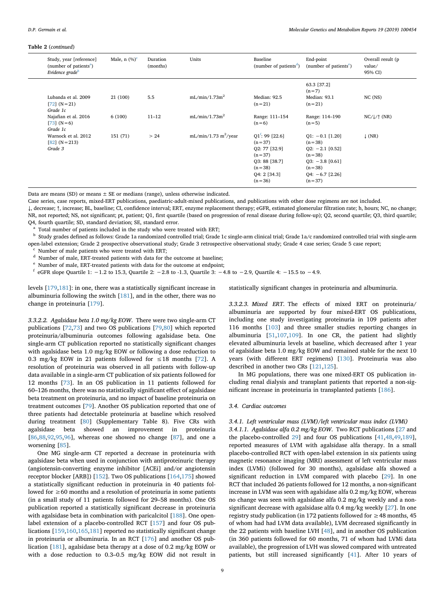#### **Table 2** (*continued*)

| Study, year [reference]<br>(number of patients <sup>a</sup> )<br>Evidence grade <sup>b</sup> | Male, $n$ $(\%)^c$ | Duration<br>(months) | Units                            | Baseline<br>(number of patients <sup>d</sup> )                                                                       | End-point<br>(number of patients <sup>e</sup> )                                                                                  | Overall result (p)<br>value/<br>95% CI) |
|----------------------------------------------------------------------------------------------|--------------------|----------------------|----------------------------------|----------------------------------------------------------------------------------------------------------------------|----------------------------------------------------------------------------------------------------------------------------------|-----------------------------------------|
| Lubanda et al. 2009<br>$[72] (N = 21)$<br>Grade 1c                                           | 21 (100)           | 5.5                  | mL/min/1.73m <sup>2</sup>        | Median: 92.5<br>$(n = 21)$                                                                                           | 63.3 [37.2]<br>$(n=7)$<br>Median: 93.1<br>$(n = 21)$                                                                             | $NC$ $(NS)$                             |
| Najafian et al. 2016<br>$[73] (N=6)$<br>Grade 1c                                             | 6(100)             | $11 - 12$            | mL/min/1.73m <sup>2</sup>        | Range: 111-154<br>$(n=6)$                                                                                            | Range: 114-190<br>$(n=5)$                                                                                                        | $NC/\sqrt{\uparrow}$ (NR)               |
| Warnock et al. 2012<br>$[82] (N = 213)$<br>Grade 3                                           | 151 (71)           | > 24                 | mL/min/1.73 m <sup>2</sup> /year | $Q1$ : 99 [22.6]<br>$(n=37)$<br>02: 77 [32.9]<br>$(n=37)$<br>Q3: 88 [38.7]<br>$(n=38)$<br>Q4: 2 [34.3]<br>$(n = 36)$ | $Q1: -0.1$ [1.20]<br>$(n=38)$<br>$Q2: -2.1$ [0.52]<br>$(n=38)$<br>$Q3: -3.8$ [0.61]<br>$(n=38)$<br>$Q4: -6.7$ [2.26]<br>$(n=37)$ | $\downarrow$ (NR)                       |

Data are means (SD) or means  $\pm$  SE or medians (range), unless otherwise indicated.

Case series, case reports, mixed-ERT publications, paediatric-adult-mixed publications, and publications with other dose regimens are not included.

↓, decrease; ↑, increase; BL, baseline; CI, confidence interval; ERT, enzyme replacement therapy; eGFR, estimated glomerular filtration rate; h, hours; NC, no change; NR, not reported; NS, not significant; pt, patient; Q1, first quartile (based on progression of renal disease during follow-up); Q2, second quartile; Q3, third quartile; Q4, fourth quartile; SD, standard deviation; SE, standard error.

<span id="page-8-0"></span>Total number of patients included in the study who were treated with ERT;

<span id="page-8-1"></span><sup>b</sup> Study grades defined as follows: Grade 1a randomized controlled trial; Grade 1c single-arm clinical trial; Grade 1a/c randomized controlled trial with single-arm open-label extension; Grade 2 prospective observational study; Grade 3 retrospective observational study; Grade 4 case series; Grade 5 case report;

<span id="page-8-2"></span>Number of male patients who were treated with ERT;

<span id="page-8-3"></span><sup>d</sup> Number of male, ERT-treated patients with data for the outcome at baseline;

<span id="page-8-4"></span>Number of male, ERT-treated patients with data for the outcome at endpoint;

<span id="page-8-5"></span><sup>f</sup> eGFR slope Quartile 1: −1.2 to 15.3, Quartile 2: −2.8 to -1.3, Quartile 3: −4.8 to −2.9, Quartile 4: −15.5 to −4.9.

levels [\[179,](#page-18-24)[181](#page-18-25)]: in one, there was a statistically significant increase in albuminuria following the switch  $[181]$  $[181]$  $[181]$ , and in the other, there was no change in proteinuria [\[179\]](#page-18-24).

*3.3.2.2. Agalsidase beta 1.0 mg/kg EOW*. There were two single-arm CT publications [[72](#page-16-6)[,73](#page-16-14)] and two OS publications [[79,](#page-16-21)[80\]](#page-16-9) which reported proteinuria/albuminuria outcomes following agalsidase beta. One single-arm CT publication reported no statistically significant changes with agalsidase beta 1.0 mg/kg EOW or following a dose reduction to 0.3 mg/kg EOW in 21 patients followed for  $\leq$  18 months [\[72](#page-16-6)]. A resolution of proteinuria was observed in all patients with follow-up data available in a single-arm CT publication of six patients followed for 12 months [[73\]](#page-16-14). In an OS publication in 11 patients followed for 60–126 months, there was no statistically significant effect of agalsidase beta treatment on proteinuria, and no impact of baseline proteinuria on treatment outcomes [[79\]](#page-16-21). Another OS publication reported that one of three patients had detectable proteinuria at baseline which resolved during treatment [[80\]](#page-16-9) (Supplementary Table 8). Five CRs with agalsidase beta showed an improvement in proteinuria [[86](#page-16-42)[,88](#page-17-27)[,92](#page-17-28),[95,](#page-17-29)[96\]](#page-17-30), whereas one showed no change [\[87](#page-17-31)], and one a worsening [\[85\]](#page-16-43).

One MG single-arm CT reported a decrease in proteinuria with agalsidase beta when used in conjunction with antiproteinuric therapy (angiotensin-converting enzyme inhibitor [ACEi] and/or angiotensin receptor blocker [ARB]) [[152](#page-18-26)]. Two OS publications [\[164,](#page-18-31)[175](#page-18-29)] showed a statistically significant reduction in proteinuria in 40 patients followed for ≥60 months and a resolution of proteinuria in some patients (in a small study of 11 patients followed for 29–58 months). One OS publication reported a statistically significant decrease in proteinuria with agalsidase beta in combination with paricalcitol [[188](#page-18-30)]. One openlabel extension of a placebo-controlled RCT [\[157\]](#page-18-3) and four OS publications [[159](#page-18-27),[160](#page-18-4)[,165,](#page-18-28)[181](#page-18-25)] reported no statistically significant change in proteinuria or albuminuria. In an RCT [\[176\]](#page-18-1) and another OS publication [\[181\]](#page-18-25), agalsidase beta therapy at a dose of 0.2 mg/kg EOW or with a dose reduction to 0.3–0.5 mg/kg EOW did not result in

statistically significant changes in proteinuria and albuminuria.

*3.3.2.3. Mixed ERT*. The effects of mixed ERT on proteinuria/ albuminuria are supported by four mixed-ERT OS publications, including one study investigating proteinuria in 109 patients after 116 months [[103](#page-17-19)] and three smaller studies reporting changes in albuminuria [[51,](#page-16-33)[107](#page-17-21)[,109\]](#page-17-10). In one CR, the patient had slightly elevated albuminuria levels at baseline, which decreased after 1 year of agalsidase beta 1.0 mg/kg EOW and remained stable for the next 10 years (with different ERT regimens) [[130](#page-17-14)]. Proteinuria was also described in another two CRs [[121](#page-17-32)[,125\]](#page-17-25).

In MG populations, there was one mixed-ERT OS publication including renal dialysis and transplant patients that reported a non-significant increase in proteinuria in transplanted patients [[186](#page-18-9)].

#### *3.4. Cardiac outcomes*

#### *3.4.1. Left ventricular mass (LVM)/left ventricular mass index (LVMi)*

*3.4.1.1. Agalsidase alfa 0.2 mg/kg EOW*. Two RCT publications [\[27](#page-15-14) and the placebo-controlled [29\]](#page-15-15) and four OS publications [[41](#page-16-18)[,48](#page-16-17)[,49](#page-16-19),[189](#page-18-0)], reported measures of LVM with agalsidase alfa therapy. In a small placebo-controlled RCT with open-label extension in six patients using magnetic resonance imaging (MRI) assessment of left ventricular mass index (LVMi) (followed for 30 months), agalsidase alfa showed a significant reduction in LVM compared with placebo [[29\]](#page-15-15). In one RCT that included 26 patients followed for 12 months, a non-significant increase in LVM was seen with agalsidase alfa 0.2 mg/kg EOW, whereas no change was seen with agalsidase alfa 0.2 mg/kg weekly and a nonsignificant decrease with agalsidase alfa 0.4 mg/kg weekly [[27\]](#page-15-14). In one registry study publication (in 172 patients followed for  $\geq$  48 months, 45 of whom had had LVM data available), LVM decreased significantly in the 22 patients with baseline LVH [\[48](#page-16-17)], and in another OS publication (in 360 patients followed for 60 months, 71 of whom had LVMi data available), the progression of LVH was slowed compared with untreated patients, but still increased significantly [[41\]](#page-16-18). After 10 years of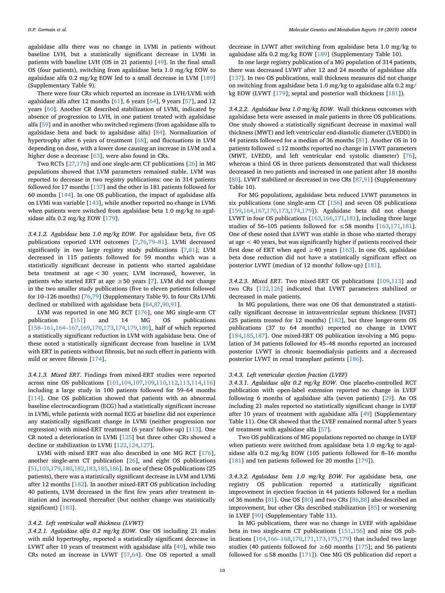agalsidase alfa there was no change in LVMi in patients without baseline LVH, but a statistically significant decrease in LVMi in patients with baseline LVH (OS in 21 patients) [\[49](#page-16-19)]. In the final small OS (four patients), switching from agalsidase beta 1.0 mg/kg EOW to agalsidase alfa 0.2 mg/kg EOW led to a small decrease in LVM [[189](#page-18-0)] (Supplementary Table 9).

There were four CRs which reported an increase in LVH/LVMi with agalsidase alfa after 12 months [[61](#page-16-44)], 6 years [\[64](#page-16-40)], 9 years [[57\]](#page-16-45), and 12 years [[60\]](#page-16-34). Another CR described stabilization of LVMi, indicated by absence of progression to LVH, in one patient treated with agalsidase alfa [[59\]](#page-16-46) and in another who switched regimens (from agalsidase alfa to agalsidase beta and back to agalsidase alfa) [[84\]](#page-16-37). Normalization of hypertrophy after 6 years of treatment [[68\]](#page-16-47), and fluctuations in LVM depending on dose, with a lower dose causing an increase in LVM and a higher dose a decrease [[63\]](#page-16-41), were also found in CRs.

Two RCTs [\[27](#page-15-14),[176](#page-18-1)] and one single-arm CT publications [\[26](#page-15-13)] in MG populations showed that LVM parameters remained stable. LVM was reported to decrease in two registry publications: one in 314 patients followed for 17 months [\[137\]](#page-17-17) and the other in 181 patients followed for 60 months [[144](#page-18-22)]. In one OS publication, the impact of agalsidase alfa on LVMi was variable [[143](#page-18-14)], while another reported no change in LVMi when patients were switched from agalsidase beta 1.0 mg/kg to agalsidase alfa 0.2 mg/kg EOW [[179](#page-18-24)].

*3.4.1.2. Agalsidase beta 1.0 mg/kg EOW*. For agalsidase beta, five OS publications reported LVH outcomes [[7](#page-15-16)[,76](#page-16-7),[79–81\]](#page-16-21). LVMi decreased significantly in two large registry study publications [[7](#page-15-16),[81\]](#page-16-23); LVM decreased in 115 patients followed for 59 months which was a statistically significant decrease in patients who started agalsidase beta treatment at age < 30 years; LVM increased, however, in patients who started ERT at age  $\geq$  50 years [[7](#page-15-16)]. LVM did not change in the two smaller study publications (five to eleven patients followed for 10–126 months) [\[76](#page-16-7)[,79](#page-16-21)] (Supplementary Table 9). In four CRs LVMi declined or stabilized with agalsidase beta [[84,](#page-16-37)[87](#page-17-31)[,90](#page-17-33)[,91](#page-17-4)].

LVM was reported in one MG RCT [\[176\]](#page-18-1), one MG single-arm CT publication [\[151\]](#page-18-32) and 14 MG OS publications [[158–161,](#page-18-33)[164–167](#page-18-31)[,169,](#page-18-34)[170](#page-18-35),[173](#page-18-36)[,174,](#page-18-37)[179](#page-18-24),[180](#page-18-8)], half of which reported a statistically significant reduction in LVM with agalsidase beta. One of these noted a statistically significant decrease from baseline in LVM with ERT in patients without fibrosis, but no such effect in patients with mild or severe fibrosis [[174](#page-18-37)].

*3.4.1.3. Mixed ERT*. Findings from mixed-ERT studies were reported across nine OS publications [\[101,](#page-17-1)[104](#page-17-20),[107](#page-17-21)[,109,](#page-17-10)[110,](#page-17-9)[112](#page-17-22)[,113](#page-17-34)[,114,](#page-17-23)[116](#page-17-24)] including a large study in 100 patients followed for 59–64 months [[114](#page-17-23)]. One OS publication showed that patients with an abnormal baseline electrocardiogram (ECG) had a statistically significant increase in LVMi, while patients with normal ECG at baseline did not experience any statistically significant change in LVMi (neither progression nor regression) with mixed-ERT treatment (6 years' follow-up) [[113](#page-17-34)]. One CR noted a deterioration in LVMi [\[125\]](#page-17-25) but three other CRs showed a decline or stabilization in LVMi [\[122,](#page-17-35)[124](#page-17-36),[127](#page-17-37)].

LVMi with mixed ERT was also described in one MG RCT [[176](#page-18-1)], another single-arm CT publication [[26\]](#page-15-13), and eight OS publications [[51](#page-16-33)[,103,](#page-17-19)[179](#page-18-24),[180](#page-18-8)[,182,](#page-18-10)[183](#page-18-38),[185](#page-18-39)[,186\]](#page-18-9). In one of these OS publications (25 patients), there was a statistically significant decrease in LVM and LVMi after 12 months [\[182\]](#page-18-10). In another mixed-ERT OS publication including 40 patients, LVM decreased in the first few years after treatment initiation and increased thereafter (but neither change was statistically significant) [\[183\]](#page-18-38).

#### *3.4.2. Left ventricular wall thickness (LVWT)*

*3.4.2.1. Agalsidase alfa 0.2 mg/kg EOW*. One OS including 21 males with mild hypertrophy, reported a statistically significant decrease in LVWT after 10 years of treatment with agalsidase alfa [\[49](#page-16-19)], while two CRs noted an increase in LVWT [\[57](#page-16-45)[,64](#page-16-40)]. One OS reported a small

decrease in LVWT after switching from agalsidase beta 1.0 mg/kg to agalsidase alfa 0.2 mg/kg EOW [[189](#page-18-0)] (Supplementary Table 10).

In one large registry publication of a MG population of 314 patients, there was decreased LVWT after 12 and 24 months of agalsidase alfa [[137](#page-17-17)]. In two OS publications, wall thickness measures did not change on switching from agalsidase beta 1.0 mg/kg to agalsidase alfa 0.2 mg/ kg EOW (LVWT [[179](#page-18-24)]; septal and posterior wall thickness [\[181\]](#page-18-25)).

*3.4.2.2. Agalsidase beta 1.0 mg/kg EOW*. Wall thickness outcomes with agalsidase beta were assessed in male patients in three OS publications. One study showed a statistically significant decrease in maximal wall thickness (MWT) and left ventricular end-diastolic diameter (LVEDD) in 44 patients followed for a median of 36 months [[81\]](#page-16-23). Another OS in 10 patients followed ≤12 months reported no change in LVWT parameters (MWT, LVEDD, and left ventricular end systolic diameter) [\[76](#page-16-7)], whereas a third OS in three patients demonstrated that wall thickness decreased in two patients and increased in one patient after 18 months [[80\]](#page-16-9). LVWT stabilized or decreased in two CRs [[87,](#page-17-31)[91](#page-17-4)] (Supplementary Table 10).

For MG populations, agalsidase beta reduced LVWT parameters in six publications (one single-arm CT [[156](#page-18-40)] and seven OS publications [[159](#page-18-27),[164](#page-18-31)[,167,](#page-18-41)[170](#page-18-35),[173](#page-18-36)[,174](#page-18-37)[,179\]](#page-18-24)). Agalsidase beta did not change LVWT in four OS publications [\[163](#page-18-5)[,166,](#page-18-6)[171](#page-18-42),[181\]](#page-18-25), including three large studies of 56–105 patients followed for ≤58 months [\[163,](#page-18-5)[171](#page-18-42),[181](#page-18-25)]. One of these noted that LVWT was stable in those who started therapy at age < 40 years, but was significantly higher if patients received their first dose of ERT when aged  $\geq$  40 years [[163](#page-18-5)]. In one OS, agalsidase beta dose reduction did not have a statistically significant effect on posterior LVWT (median of 12 months' follow-up) [[181](#page-18-25)].

*3.4.2.3. Mixed ERT*. Two mixed-ERT OS publications [\[109,](#page-17-10)[113](#page-17-34)] and two CRs [[122](#page-17-35)[,126\]](#page-17-38) indicated that LVWT parameters stabilized or decreased in male patients.

In MG populations, there was one OS that demonstrated a statistically significant decrease in intraventricular septum thickness [IVST] (25 patients treated for 12 months) [[182\]](#page-18-10), but three longer-term OS publications (37 to 64 months) reported no change in LVWT [[184](#page-18-43),[185](#page-18-39)[,187\]](#page-18-44). One mixed-ERT OS publication involving a MG population of 34 patients followed for 45–48 months reported an increased posterior LVWT in chronic haemodialysis patients and a decreased posterior LVWT in renal transplant patients [[186](#page-18-9)].

#### *3.4.3. Left ventricular ejection fraction (LVEF)*

*3.4.3.1. Agalsidase alfa 0.2 mg/kg EOW*. One placebo-controlled RCT publication with open-label extension reported no change in LVEF following 6 months of agalsidase alfa (seven patients) [\[29](#page-15-15)]. An OS including 21 males reported no statistically significant change in LVEF after 10 years of treatment with agalsidase alfa [[49\]](#page-16-19) (Supplementary Table 11). One CR showed that the LVEF remained normal after 5 years of treatment with agalsidase alfa [[57](#page-16-45)].

Two OS publications of MG populations reported no change in LVEF when patients were switched from agalsidase beta 1.0 mg/kg to agalsidase alfa 0.2 mg/kg EOW (105 patients followed for 8–16 months [[181](#page-18-25)] and ten patients followed for 20 months [\[179\]](#page-18-24)).

*3.4.3.2. Agalsidase beta 1.0 mg/kg EOW*. For agalsidase beta, one registry OS publication reported a statistically significant improvement in ejection fraction in 44 patients followed for a median of 36 months [[81](#page-16-23)]. One OS [\[80](#page-16-9)] and two CRs [\[86](#page-16-42),[88\]](#page-17-27) also described an improvement, but other CRs described stabilization [\[85](#page-16-43)] or worsening in LVEF [[90\]](#page-17-33) (Supplementary Table 11).

In MG publications, there was no change in LVEF with agalsidase beta in two single-arm CT publications [[151](#page-18-32)[,156\]](#page-18-40) and nine OS publications [\[164](#page-18-31)[,166–168](#page-18-6)[,170,](#page-18-35)[171](#page-18-42),[173](#page-18-36)[,175,](#page-18-29)[179\]](#page-18-24) that included two large studies (40 patients followed for  $\geq 60$  months [\[175\]](#page-18-29); and 56 patients followed for  $\leq$  58 months [[171](#page-18-42)]). One MG OS publication did report a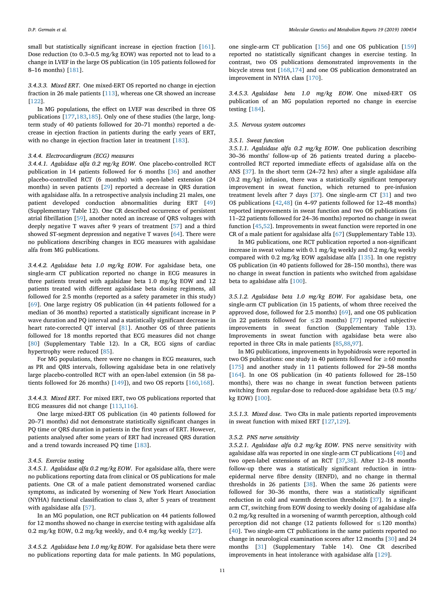small but statistically significant increase in ejection fraction [[161](#page-18-45)]. Dose reduction (to 0.3–0.5 mg/kg EOW) was reported not to lead to a change in LVEF in the large OS publication (in 105 patients followed for 8–16 months) [[181](#page-18-25)].

# *3.4.3.3. Mixed ERT*. One mixed-ERT OS reported no change in ejection fraction in 26 male patients [\[113\]](#page-17-34), whereas one CR showed an increase [[122](#page-17-35)].

In MG populations, the effect on LVEF was described in three OS publications [[177](#page-18-23)[,183,](#page-18-38)[185](#page-18-39)]. Only one of these studies (the large, longterm study of 40 patients followed for 20–71 months) reported a decrease in ejection fraction in patients during the early years of ERT, with no change in ejection fraction later in treatment [\[183\]](#page-18-38).

# *3.4.4. Electrocardiogram (ECG) measures*

*3.4.4.1. Agalsidase alfa 0.2 mg/kg EOW*. One placebo-controlled RCT publication in 14 patients followed for 6 months [\[36](#page-16-3)] and another placebo-controlled RCT (6 months) with open-label extension (24 months) in seven patients [[29\]](#page-15-15) reported a decrease in QRS duration with agalsidase alfa. In a retrospective analysis including 21 males, one patient developed conduction abnormalities during ERT [\[49](#page-16-19)] (Supplementary Table 12). One CR described occurrence of persistent atrial fibrillation [\[59](#page-16-46)], another noted an increase of QRS voltages with deeply negative T waves after 9 years of treatment [[57\]](#page-16-45) and a third showed ST-segment depression and negative T waves [[64\]](#page-16-40). There were no publications describing changes in ECG measures with agalsidase alfa from MG publications.

*3.4.4.2. Agalsidase beta 1.0 mg/kg EOW*. For agalsidase beta, one single-arm CT publication reported no change in ECG measures in three patients treated with agalsidase beta 1.0 mg/kg EOW and 12 patients treated with different agalsidase beta dosing regimens, all followed for 2.5 months (reported as a safety parameter in this study) [[69\]](#page-16-10). One large registry OS publication (in 44 patients followed for a median of 36 months) reported a statistically significant increase in P wave duration and PQ interval and a statistically significant decrease in heart rate-corrected QT interval [[81\]](#page-16-23). Another OS of three patients followed for 18 months reported that ECG measures did not change [[80\]](#page-16-9) (Supplementary Table 12). In a CR, ECG signs of cardiac hypertrophy were reduced [[85\]](#page-16-43).

For MG populations, there were no changes in ECG measures, such as PR and QRS intervals, following agalsidase beta in one relatively large placebo-controlled RCT with an open-label extension (in 58 patients followed for 26 months) [\[149\]](#page-18-2)), and two OS reports [\[160,](#page-18-4)[168](#page-18-7)].

*3.4.4.3. Mixed ERT*. For mixed ERT, two OS publications reported that ECG measures did not change [[113](#page-17-34),[116](#page-17-24)].

One large mixed-ERT OS publication (in 40 patients followed for 20–71 months) did not demonstrate statistically significant changes in PQ time or QRS duration in patients in the first years of ERT. However, patients analysed after some years of ERT had increased QRS duration and a trend towards increased PQ time [\[183\]](#page-18-38).

## *3.4.5. Exercise testing*

*3.4.5.1. Agalsidase alfa 0.2 mg/kg EOW*. For agalsidase alfa, there were no publications reporting data from clinical or OS publications for male patients. One CR of a male patient demonstrated worsened cardiac symptoms, as indicated by worsening of New York Heart Association (NYHA) functional classification to class 3, after 5 years of treatment with agalsidase alfa [[57\]](#page-16-45).

In an MG population, one RCT publication on 44 patients followed for 12 months showed no change in exercise testing with agalsidase alfa 0.2 mg/kg EOW, 0.2 mg/kg weekly, and 0.4 mg/kg weekly [\[27](#page-15-14)].

*3.4.5.2. Agalsidase beta 1.0 mg/kg EOW*. For agalsidase beta there were no publications reporting data for male patients. In MG populations,

one single-arm CT publication [\[156\]](#page-18-40) and one OS publication [[159](#page-18-27)] reported no statistically significant changes in exercise testing. In contrast, two OS publications demonstrated improvements in the bicycle stress test [\[168,](#page-18-7)[174](#page-18-37)] and one OS publication demonstrated an improvement in NYHA class [\[170\]](#page-18-35).

*3.4.5.3. Agalsidase beta 1.0 mg/kg EOW*. One mixed-ERT OS publication of an MG population reported no change in exercise testing [\[184\]](#page-18-43).

## *3.5. Nervous system outcomes*

#### *3.5.1. Sweat function*

*3.5.1.1. Agalsidase alfa 0.2 mg/kg EOW*. One publication describing 30–36 months' follow-up of 26 patients treated during a placebocontrolled RCT reported immediate effects of agalsidase alfa on the ANS [\[37](#page-16-25)]. In the short term (24–72 hrs) after a single agalsidase alfa (0.2 mg/kg) infusion, there was a statistically significant temporary improvement in sweat function, which returned to pre-infusion treatment levels after 7 days [[37\]](#page-16-25). One single-arm CT [[31\]](#page-15-18) and two OS publications [\[42](#page-16-22),[48\]](#page-16-17) (in 4–97 patients followed for 12–48 months) reported improvements in sweat function and two OS publications (in 11–22 patients followed for 24–36 months) reported no change in sweat function [\[45](#page-16-26),[52\]](#page-16-2). Improvements in sweat function were reported in one CR of a male patient for agalsidase alfa [\[67](#page-16-36)] (Supplementary Table 13).

In MG publications, one RCT publication reported a non-significant increase in sweat volume with 0.1 mg/kg weekly and 0.2 mg/kg weekly compared with 0.2 mg/kg EOW agalsidase alfa [[135](#page-17-2)]. In one registry OS publication (in 40 patients followed for 28–150 months), there was no change in sweat function in patients who switched from agalsidase beta to agalsidase alfa [[100](#page-17-3)].

*3.5.1.2. Agalsidase beta 1.0 mg/kg EOW*. For agalsidase beta, one single-arm CT publication (in 15 patients, of whom three received the approved dose, followed for 2.5 months) [\[69](#page-16-10)], and one OS publication (in 22 patients followed for  $\leq$  23 months) [[77\]](#page-16-27) reported subjective improvements in sweat function (Supplementary Table 13). Improvements in sweat function with agalsidase beta were also reported in three CRs in male patients [\[85](#page-16-43)[,88](#page-17-27),[97](#page-17-15)].

In MG publications, improvements in hypohidrosis were reported in two OS publications: one study in 40 patients followed for  $\geq 60$  months [[175](#page-18-29)] and another study in 11 patients followed for 29–58 months [[164](#page-18-31)]. In one OS publication (in 40 patients followed for 28–150 months), there was no change in sweat function between patients switching from regular-dose to reduced-dose agalsidase beta (0.5 mg/ kg EOW) [[100](#page-17-3)].

*3.5.1.3. Mixed dose*. Two CRs in male patients reported improvements in sweat function with mixed ERT [\[127](#page-17-37)[,129\]](#page-17-39).

# *3.5.2. PNS nerve sensitivity*

*3.5.2.1. Agalsidase alfa 0.2 mg/kg EOW*. PNS nerve sensitivity with agalsidase alfa was reported in one single-arm CT publications [\[40](#page-16-24)] and two open-label extensions of an RCT [\[37](#page-16-25)[,38](#page-16-12)]. After 12–18 months follow-up there was a statistically significant reduction in intraepidermal nerve fibre density (IENFD), and no change in thermal thresholds in 26 patients [[38\]](#page-16-12). When the same 26 patients were followed for 30–36 months, there was a statistically significant reduction in cold and warmth detection thresholds [[37\]](#page-16-25). In a singlearm CT, switching from EOW dosing to weekly dosing of agalsidase alfa 0.2 mg/kg resulted in a worsening of warmth perception, although cold perception did not change (12 patients followed for  $\leq$  120 months) [[40\]](#page-16-24). Two single-arm CT publications in the same patients reported no change in neurological examination scores after 12 months [\[30](#page-15-17)] and 24 months [[31\]](#page-15-18) (Supplementary Table 14). One CR described improvements in heat intolerance with agalsidase alfa [[129\]](#page-17-39).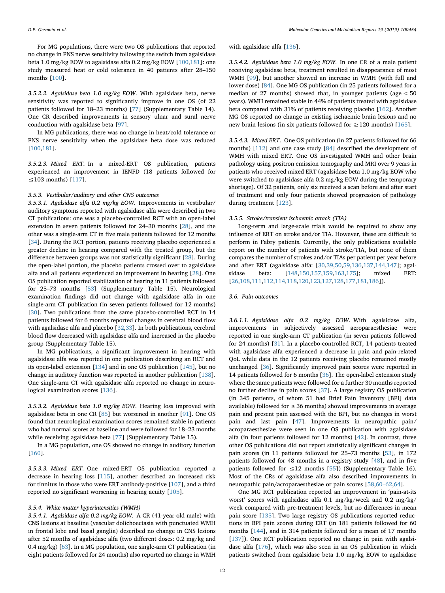For MG populations, there were two OS publications that reported no change in PNS nerve sensitivity following the switch from agalsidase beta 1.0 mg/kg EOW to agalsidase alfa 0.2 mg/kg EOW [[100](#page-17-3),[181](#page-18-25)]: one study measured heat or cold tolerance in 40 patients after 28–150 months [[100](#page-17-3)].

*3.5.2.2. Agalsidase beta 1.0 mg/kg EOW*. With agalsidase beta, nerve sensitivity was reported to significantly improve in one OS (of 22 patients followed for 18–23 months) [[77\]](#page-16-27) (Supplementary Table 14). One CR described improvements in sensory ulnar and sural nerve conduction with agalsidase beta [[97\]](#page-17-15).

In MG publications, there was no change in heat/cold tolerance or PNS nerve sensitivity when the agalsidase beta dose was reduced [[100](#page-17-3),[181](#page-18-25)].

*3.5.2.3. Mixed ERT*. In a mixed-ERT OS publication, patients experienced an improvement in IENFD (18 patients followed for ≤103 months) [[117](#page-17-40)].

#### *3.5.3. Vestibular/auditory and other CNS outcomes*

*3.5.3.1. Agalsidase alfa 0.2 mg/kg EOW*. Improvements in vestibular/ auditory symptoms reported with agalsidase alfa were described in two CT publications: one was a placebo-controlled RCT with an open-label extension in seven patients followed for 24–30 months [\[28](#page-15-19)], and the other was a single-arm CT in five male patients followed for 12 months [[34\]](#page-16-28). During the RCT portion, patients receiving placebo experienced a greater decline in hearing compared with the treated group, but the difference between groups was not statistically significant [\[28](#page-15-19)]. During the open-label portion, the placebo patients crossed over to agalsidase alfa and all patients experienced an improvement in hearing [\[28](#page-15-19)]. One OS publication reported stabilization of hearing in 11 patients followed for 25–73 months [\[53](#page-16-29)] (Supplementary Table 15). Neurological examination findings did not change with agalsidase alfa in one single-arm CT publication (in seven patients followed for 12 months) [[30\]](#page-15-17). Two publications from the same placebo-controlled RCT in 14 patients followed for 6 months reported changes in cerebral blood flow with agalsidase alfa and placebo [\[32](#page-15-20)[,33](#page-15-21)]. In both publications, cerebral blood flow decreased with agalsidase alfa and increased in the placebo group (Supplementary Table 15).

In MG publications, a significant improvement in hearing with agalsidase alfa was reported in one publication describing an RCT and its open-label extension [[134](#page-17-41)] and in one OS publication [\[145\]](#page-18-46), but no change in auditory function was reported in another publication [[138](#page-18-47)]. One single-arm CT with agalsidase alfa reported no change in neurological examination scores [[136](#page-17-18)].

*3.5.3.2. Agalsidase beta 1.0 mg/kg EOW*. Hearing loss improved with agalsidase beta in one CR [\[85](#page-16-43)] but worsened in another [\[91](#page-17-4)]. One OS found that neurological examination scores remained stable in patients who had normal scores at baseline and were followed for 18–23 months while receiving agalsidase beta [\[77](#page-16-27)] (Supplementary Table 15).

In a MG population, one OS showed no change in auditory function [[160](#page-18-4)].

*3.5.3.3. Mixed ERT*. One mixed-ERT OS publication reported a decrease in hearing loss [[115](#page-17-42)], another described an increased risk for tinnitus in those who were ERT antibody-positive [[107](#page-17-21)], and a third reported no significant worsening in hearing acuity [[105](#page-17-43)].

# *3.5.4. White matter hyperintensities (WMH)*

*3.5.4.1. Agalsidase alfa 0.2 mg/kg EOW*. A CR (41-year-old male) with CNS lesions at baseline (vascular dolichoectasia with punctuated WMH in frontal lobe and basal ganglia) described no change in CNS lesions after 52 months of agalsidase alfa (two different doses: 0.2 mg/kg and 0.4 mg/kg) [\[63](#page-16-41)]. In a MG population, one single-arm CT publication (in eight patients followed for 24 months) also reported no change in WMH with agalsidase alfa [[136](#page-17-18)].

*3.5.4.2. Agalsidase beta 1.0 mg/kg EOW*. In one CR of a male patient receiving agalsidase beta, treatment resulted in disappearance of most WMH [[99\]](#page-17-11), but another showed an increase in WMH (with full and lower dose) [\[84](#page-16-37)]. One MG OS publication (in 25 patients followed for a median of 27 months) showed that, in younger patients (age < 50 years), WMH remained stable in 44% of patients treated with agalsidase beta compared with 31% of patients receiving placebo [\[162\]](#page-18-48). Another MG OS reported no change in existing ischaemic brain lesions and no new brain lesions (in six patients followed for ≥120 months) [\[165\]](#page-18-28).

*3.5.4.3. Mixed ERT*. One OS publication (in 27 patients followed for 66 months) [[112](#page-17-22)] and one case study [\[84](#page-16-37)] described the development of WMH with mixed ERT. One OS investigated WMH and other brain pathology using positron emission tomography and MRI over 9 years in patients who received mixed ERT (agalsidase beta 1.0 mg/kg EOW who were switched to agalsidase alfa 0.2 mg/kg EOW during the temporary shortage). Of 32 patients, only six received a scan before and after start of treatment and only four patients showed progression of pathology during treatment [[123](#page-17-44)].

# *3.5.5. Stroke/transient ischaemic attack (TIA)*

Long-term and large-scale trials would be required to show any influence of ERT on stroke and/or TIA. However, these are difficult to perform in Fabry patients. Currently, the only publications available report on the number of patients with stroke/TIA, but none of them compares the number of strokes and/or TIAs per patient per year before and after ERT (agalsidase alfa: [[30](#page-15-17)[,39](#page-16-1)[,50](#page-16-48),[59,](#page-16-46)[136](#page-17-18)[,137](#page-17-17)[,144,](#page-18-22)[147](#page-18-21)]; agalsidase beta: [\[148,](#page-18-49)[150](#page-18-13)[,157](#page-18-3)[,159,](#page-18-27)[163](#page-18-5),[175](#page-18-29)]; mixed ERT: [[26](#page-15-13)[,108,](#page-17-26)[111](#page-17-45),[112](#page-17-22)[,114,](#page-17-23)[118](#page-17-46),[120](#page-17-7)[,123,](#page-17-44)[127](#page-17-37),[128](#page-17-47)[,177,](#page-18-23)[181,](#page-18-25)[186](#page-18-9)]).

# *3.6. Pain outcomes*

*3.6.1.1. Agalsidase alfa 0.2 mg/kg EOW*. With agalsidase alfa, improvements in subjectively assessed acroparaesthesiae were reported in one single-arm CT publication (in seven patients followed for 24 months) [[31\]](#page-15-18). In a placebo-controlled RCT, 14 patients treated with agalsidase alfa experienced a decrease in pain and pain-related QoL while data in the 12 patients receiving placebo remained mostly unchanged [[36\]](#page-16-3). Significantly improved pain scores were reported in 14 patients followed for 6 months [\[36](#page-16-3)]. The open-label extension study where the same patients were followed for a further 30 months reported no further decline in pain scores [\[37](#page-16-25)]. A large registry OS publication (in 345 patients, of whom 51 had Brief Pain Inventory [BPI] data available) followed for  $\leq$  36 months) showed improvements in average pain and present pain assessed with the BPI, but no changes in worst pain and last pain [\[47](#page-16-30)]. Improvements in neuropathic pain/ acroparaesthesiae were seen in one OS publication with agalsidase alfa (in four patients followed for 12 months) [\[42](#page-16-22)]. In contrast, three other OS publications did not report statistically significant changes in pain scores (in 11 patients followed for 25–73 months [\[53](#page-16-29)], in 172 patients followed for 48 months in a registry study [\[48](#page-16-17)], and in five patients followed for  $\leq$  12 months [[55\]](#page-16-13)) (Supplementary Table 16). Most of the CRs of agalsidase alfa also described improvements in neuropathic pain/acroparaesthesiae or pain scores [\[58](#page-16-49)[,60–62](#page-16-34)[,64](#page-16-40)].

One MG RCT publication reported an improvement in 'pain-at-its worst' scores with agalsidase alfa 0.1 mg/kg/week and 0.2 mg/kg/ week compared with pre-treatment levels, but no differences in mean pain score [\[135\]](#page-17-2). Two large registry OS publications reported reductions in BPI pain scores during ERT (in 181 patients followed for 60 months [[144](#page-18-22)], and in 314 patients followed for a mean of 17 months [[137](#page-17-17)]). One RCT publication reported no change in pain with agalsidase alfa [[176](#page-18-1)], which was also seen in an OS publication in which patients switched from agalsidase beta 1.0 mg/kg EOW to agalsidase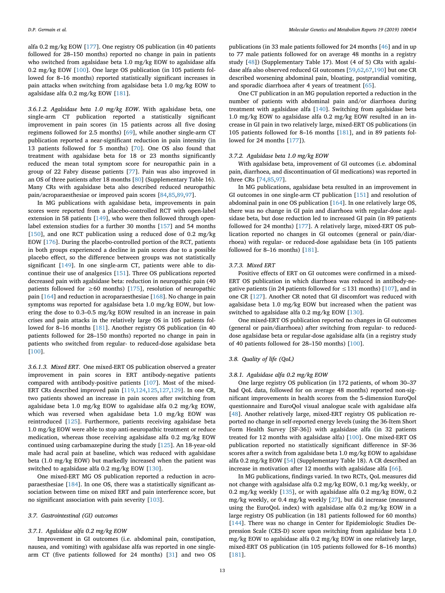alfa 0.2 mg/kg EOW [[177](#page-18-23)]. One registry OS publication (in 40 patients followed for 28–150 months) reported no change in pain in patients who switched from agalsidase beta 1.0 mg/kg EOW to agalsidase alfa 0.2 mg/kg EOW [[100](#page-17-3)]. One large OS publication (in 105 patients followed for 8–16 months) reported statistically significant increases in pain attacks when switching from agalsidase beta 1.0 mg/kg EOW to agalsidase alfa 0.2 mg/kg EOW [[181](#page-18-25)].

*3.6.1.2. Agalsidase beta 1.0 mg/kg EOW*. With agalsidase beta, one single-arm CT publication reported a statistically significant improvement in pain scores (in 15 patients across all five dosing regimens followed for 2.5 months) [[69\]](#page-16-10), while another single-arm CT publication reported a near-significant reduction in pain intensity (in 13 patients followed for 5 months) [\[70\]](#page-16-4). One OS also found that treatment with agalsidase beta for 18 or 23 months significantly reduced the mean total symptom score for neuropathic pain in a group of 22 Fabry disease patients [\[77](#page-16-27)]. Pain was also improved in an OS of three patients after 18 months [\[80](#page-16-9)] (Supplementary Table 16). Many CRs with agalsidase beta also described reduced neuropathic pain/acroparaesthesiae or improved pain scores [\[84](#page-16-37),[85,](#page-16-43)[89,](#page-17-13)[97\]](#page-17-15).

In MG publications with agalsidase beta, improvements in pain scores were reported from a placebo-controlled RCT with open-label extension in 58 patients [\[149\]](#page-18-2), who were then followed through openlabel extension studies for a further 30 months [\[157\]](#page-18-3) and 54 months [[150](#page-18-13)], and one RCT publication using a reduced dose of 0.2 mg/kg EOW [\[176\]](#page-18-1). During the placebo-controlled portion of the RCT, patients in both groups experienced a decline in pain scores due to a possible placebo effect, so the difference between groups was not statistically significant [\[149](#page-18-2)]. In one single-arm CT, patients were able to discontinue their use of analgesics [[151](#page-18-32)]. Three OS publications reported decreased pain with agalsidase beta: reduction in neuropathic pain (40 patients followed for  $\geq 60$  months) [[175](#page-18-29)], resolution of neuropathic pain [\[164\]](#page-18-31) and reduction in acroparaesthesiae [[168](#page-18-7)]. No change in pain symptoms was reported for agalsidase beta 1.0 mg/kg EOW, but lowering the dose to 0.3–0.5 mg/kg EOW resulted in an increase in pain crises and pain attacks in the relatively large OS in 105 patients followed for 8–16 months [[181](#page-18-25)]. Another registry OS publication (in 40 patients followed for 28–150 months) reported no change in pain in patients who switched from regular- to reduced-dose agalsidase beta [[100](#page-17-3)].

*3.6.1.3. Mixed ERT*. One mixed-ERT OS publication observed a greater improvement in pain scores in ERT antibody-negative patients compared with antibody-positive patients [[107](#page-17-21)]. Most of the mixed-ERT CRs described improved pain [[119](#page-17-48),[124](#page-17-36)[,125,](#page-17-25)[127](#page-17-37),[129](#page-17-39)]. In one CR, two patients showed an increase in pain scores after switching from agalsidase beta 1.0 mg/kg EOW to agalsidase alfa 0.2 mg/kg EOW, which was reversed when agalsidase beta 1.0 mg/kg EOW was reintroduced [\[125\]](#page-17-25). Furthermore, patients receiving agalsidase beta 1.0 mg/kg EOW were able to stop anti-neuropathic treatment or reduce medication, whereas those receiving agalsidase alfa 0.2 mg/kg EOW continued using carbamazepine during the study [[125](#page-17-25)]. An 18-year-old male had acral pain at baseline, which was reduced with agalsidase beta (1.0 mg/kg EOW) but markedly increased when the patient was switched to agalsidase alfa 0.2 mg/kg EOW [\[130\]](#page-17-14).

One mixed-ERT MG OS publication reported a reduction in acroparaesthesiae [\[184\]](#page-18-43). In one OS, there was a statistically significant association between time on mixed ERT and pain interference score, but no significant association with pain severity [\[103\]](#page-17-19).

#### *3.7. Gastrointestinal (GI) outcomes*

#### *3.7.1. Agalsidase alfa 0.2 mg/kg EOW*

Improvement in GI outcomes (i.e. abdominal pain, constipation, nausea, and vomiting) with agalsidase alfa was reported in one singlearm CT (five patients followed for 24 months) [[31\]](#page-15-18) and two OS

publications (in 33 male patients followed for 24 months [\[46](#page-16-31)] and in up to 77 male patients followed for on average 48 months in a registry study [\[48\]](#page-16-17)) (Supplementary Table 17). Most (4 of 5) CRs with agalsidase alfa also observed reduced GI outcomes [\[59](#page-16-46)[,62](#page-16-35)[,67](#page-16-36),[190](#page-18-50)] but one CR described worsening abdominal pain, bloating, postprandial vomiting, and sporadic diarrhoea after 4 years of treatment [[65\]](#page-16-39).

One CT publication in an MG population reported a reduction in the number of patients with abdominal pain and/or diarrhoea during treatment with agalsidase alfa [[140](#page-18-51)]. Switching from agalsidase beta 1.0 mg/kg EOW to agalsidase alfa 0.2 mg/kg EOW resulted in an increase in GI pain in two relatively large, mixed-ERT OS publications (in 105 patients followed for 8–16 months [\[181\]](#page-18-25), and in 89 patients followed for 24 months [\[177\]](#page-18-23)).

## *3.7.2. Agalsidase beta 1.0 mg/kg EOW*

With agalsidase beta, improvement of GI outcomes (i.e. abdominal pain, diarrhoea, and discontinuation of GI medications) was reported in three CRs [[74,](#page-16-50)[85](#page-16-43)[,97](#page-17-15)].

In MG publications, agalsidase beta resulted in an improvement in GI outcomes in one single-arm CT publication [\[151\]](#page-18-32) and resolution of abdominal pain in one OS publication [\[164\]](#page-18-31). In one relatively large OS, there was no change in GI pain and diarrhoea with regular-dose agalsidase beta, but dose reduction led to increased GI pain (in 89 patients followed for 24 months) [\[177\]](#page-18-23). A relatively large, mixed-ERT OS publication reported no changes in GI outcomes (general or pain/diarrhoea) with regular- or reduced-dose agalsidase beta (in 105 patients followed for 8–16 months) [[181](#page-18-25)].

### *3.7.3. Mixed ERT*

Positive effects of ERT on GI outcomes were confirmed in a mixed-ERT OS publication in which diarrhoea was reduced in antibody-negative patients (in 24 patients followed for  $\leq$  131 months) [[107](#page-17-21)], and in one CR [\[127\]](#page-17-37). Another CR noted that GI discomfort was reduced with agalsidase beta 1.0 mg/kg EOW but increased when the patient was switched to agalsidase alfa 0.2 mg/kg EOW [\[130\]](#page-17-14).

One mixed-ERT OS publication reported no changes in GI outcomes (general or pain/diarrhoea) after switching from regular- to reduceddose agalsidase beta or regular-dose agalsidase alfa (in a registry study of 40 patients followed for 28–150 months) [[100](#page-17-3)].

# *3.8. Quality of life (QoL)*

## *3.8.1. Agalsidase alfa 0.2 mg/kg EOW*

One large registry OS publication (in 172 patients, of whom 30–37 had QoL data, followed for on average 48 months) reported non-significant improvements in health scores from the 5-dimension EuroQol questionnaire and EuroQol visual analogue scale with agalsidase alfa [[48\]](#page-16-17). Another relatively large, mixed-ERT registry OS publication reported no change in self-reported energy levels (using the 36-Item Short Form Health Survey [SF-36]) with agalsidase alfa (in 32 patients treated for 12 months with agalsidase alfa) [\[100\]](#page-17-3). One mixed-ERT OS publication reported no statistically significant difference in SF-36 scores after a switch from agalsidase beta 1.0 mg/kg EOW to agalsidase alfa 0.2 mg/kg EOW [[54](#page-16-11)] (Supplementary Table 18). A CR described an increase in motivation after 12 months with agalsidase alfa [\[66](#page-16-51)].

In MG publications, findings varied. In two RCTs, QoL measures did not change with agalsidase alfa 0.2 mg/kg EOW, 0.1 mg/kg weekly, or 0.2 mg/kg weekly [[135](#page-17-2)], or with agalsidase alfa 0.2 mg/kg EOW, 0.2 mg/kg weekly, or 0.4 mg/kg weekly [\[27](#page-15-14)], but did increase (measured using the EuroQoL index) with agalsidase alfa 0.2 mg/kg EOW in a large registry OS publication (in 181 patients followed for 60 months) [[144](#page-18-22)]. There was no change in Center for Epidemiologic Studies Depression Scale (CES-D) score upon switching from agalsidase beta 1.0 mg/kg EOW to agalsidase alfa 0.2 mg/kg EOW in one relatively large, mixed-ERT OS publication (in 105 patients followed for 8–16 months) [[181](#page-18-25)].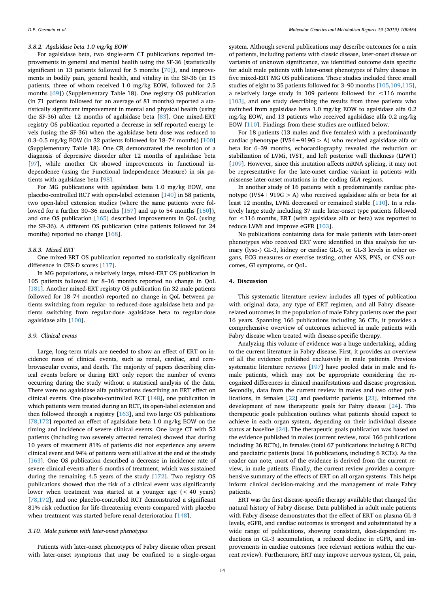### *3.8.2. Agalsidase beta 1.0 mg/kg EOW*

For agalsidase beta, two single-arm CT publications reported improvements in general and mental health using the SF-36 (statistically significant in 13 patients followed for 5 months [[70\]](#page-16-4)), and improvements in bodily pain, general health, and vitality in the SF-36 (in 15 patients, three of whom received 1.0 mg/kg EOW, followed for 2.5 months [\[69](#page-16-10)]) (Supplementary Table 18). One registry OS publication (in 71 patients followed for an average of 81 months) reported a statistically significant improvement in mental and physical health (using the SF-36) after 12 months of agalsidase beta [[83\]](#page-16-32). One mixed-ERT registry OS publication reported a decrease in self-reported energy levels (using the SF-36) when the agalsidase beta dose was reduced to 0.3–0.5 mg/kg EOW (in 32 patients followed for 18–74 months) [[100](#page-17-3)] (Supplementary Table 18). One CR demonstrated the resolution of a diagnosis of depressive disorder after 12 months of agalsidase beta [[97\]](#page-17-15), while another CR showed improvements in functional independence (using the Functional Independence Measure) in six patients with agalsidase beta [[98\]](#page-17-6).

For MG publications with agalsidase beta 1.0 mg/kg EOW, one placebo-controlled RCT with open-label extension [\[149\]](#page-18-2) in 58 patients, two open-label extension studies (where the same patients were followed for a further 30–36 months [[157](#page-18-3)] and up to 54 months [[150](#page-18-13)]), and one OS publication [\[165\]](#page-18-28) described improvements in QoL (using the SF-36). A different OS publication (nine patients followed for 24 months) reported no change [[168\]](#page-18-7).

#### *3.8.3. Mixed ERT*

One mixed-ERT OS publication reported no statistically significant difference in CES-D scores [[117](#page-17-40)].

In MG populations, a relatively large, mixed-ERT OS publication in 105 patients followed for 8–16 months reported no change in QoL [[181](#page-18-25)]. Another mixed-ERT registry OS publication (in 32 male patients followed for 18–74 months) reported no change in QoL between patients switching from regular- to reduced-dose agalsidase beta and patients switching from regular-dose agalsidase beta to regular-dose agalsidase alfa [\[100\]](#page-17-3).

# *3.9. Clinical events*

Large, long-term trials are needed to show an effect of ERT on incidence rates of clinical events, such as renal, cardiac, and cerebrovascular events, and death. The majority of papers describing clinical events before or during ERT only report the number of events occurring during the study without a statistical analysis of the data. There were no agalsidase alfa publications describing an ERT effect on clinical events. One placebo-controlled RCT [\[148](#page-18-49)], one publication in which patients were treated during an RCT, its open-label extension and then followed through a registry [\[163\]](#page-18-5), and two large OS publications [[78](#page-16-52)[,172\]](#page-18-52) reported an effect of agalsidase beta 1.0 mg/kg EOW on the timing and incidence of severe clinical events. One large CT with 52 patients (including two severely affected females) showed that during 10 years of treatment 81% of patients did not experience any severe clinical event and 94% of patients were still alive at the end of the study [[163](#page-18-5)]. One OS publication described a decrease in incidence rate of severe clinical events after 6 months of treatment, which was sustained during the remaining 4.5 years of the study [[172](#page-18-52)]. Two registry OS publications showed that the risk of a clinical event was significantly lower when treatment was started at a younger age (< 40 years) [[78](#page-16-52)[,172\]](#page-18-52), and one placebo-controlled RCT demonstrated a significant 81% risk reduction for life-threatening events compared with placebo when treatment was started before renal deterioration [\[148\]](#page-18-49).

# *3.10. Male patients with later-onset phenotypes*

Patients with later-onset phenotypes of Fabry disease often present with later-onset symptoms that may be confined to a single-organ

system. Although several publications may describe outcomes for a mix of patients, including patients with classic disease, later-onset disease or variants of unknown significance, we identified outcome data specific for adult male patients with later-onset phenotypes of Fabry disease in five mixed-ERT MG OS publications. These studies included three small studies of eight to 35 patients followed for 3–90 months [\[105,](#page-17-43)[109](#page-17-10),[115](#page-17-42)], a relatively large study in 109 patients followed for ≤116 months [[103](#page-17-19)], and one study describing the results from three patients who switched from agalsidase beta 1.0 mg/kg EOW to agalsidase alfa 0.2 mg/kg EOW, and 13 patients who received agalsidase alfa 0.2 mg/kg EOW [[110](#page-17-9)]. Findings from these studies are outlined below.

For 18 patients (13 males and five females) with a predominantly cardiac phenotype (IVS4+919G  $> A$ ) who received agalsidase alfa or beta for 6–39 months, echocardiography revealed the reduction or stabilization of LVMi, IVST, and left posterior wall thickness (LPWT) [[109](#page-17-10)]. However, since this mutation affects mRNA splicing, it may not be representative for the late-onset cardiac variant in patients with missense later-onset mutations in the coding *GLA* regions.

In another study of 16 patients with a predominantly cardiac phenotype (IVS4+919G  $>$  A) who received agalsidase alfa or beta for at least 12 months, LVMi decreased or remained stable [\[110\]](#page-17-9). In a relatively large study including 37 male later-onset type patients followed for ≤116 months, ERT (with agalsidase alfa or beta) was reported to reduce LVMi and improve eGFR [\[103\]](#page-17-19).

No publications containing data for male patients with later-onset phenotypes who received ERT were identified in this analysis for urinary (lyso-) GL-3, kidney or cardiac GL-3, or GL-3 levels in other organs, ECG measures or exercise testing, other ANS, PNS, or CNS outcomes, GI symptoms, or QoL.

# **4. Discussion**

This systematic literature review includes all types of publication with original data, any type of ERT regimen, and all Fabry diseaserelated outcomes in the population of male Fabry patients over the past 16 years. Spanning 166 publications including 36 CTs, it provides a comprehensive overview of outcomes achieved in male patients with Fabry disease when treated with disease-specific therapy.

Analyzing this volume of evidence was a huge undertaking, adding to the current literature in Fabry disease. First, it provides an overview of all the evidence published exclusively in male patients. Previous systematic literature reviews [\[197\]](#page-19-1) have pooled data in male and female patients, which may not be appropriate considering the recognized differences in clinical manifestations and disease progression. Secondly, data from the current review in males and two other publications, in females [\[22](#page-15-9)] and paediatric patients [[23\]](#page-15-10), informed the development of new therapeutic goals for Fabry disease [[24\]](#page-15-11). This therapeutic goals publication outlines what patients should expect to achieve in each organ system, depending on their individual disease status at baseline [[24\]](#page-15-11). The therapeutic goals publication was based on the evidence published in males (current review, total 166 publications including 36 RCTs), in females (total 67 publications including 6 RCTs) and paediatric patients (total 16 publications, including 6 RCTs). As the reader can note, most of the evidence is derived from the current review, in male patients. Finally, the current review provides a comprehensive summary of the effects of ERT on all organ systems. This helps inform clinical decision-making and the management of male Fabry patients.

ERT was the first disease-specific therapy available that changed the natural history of Fabry disease. Data published in adult male patients with Fabry disease demonstrates that the effect of ERT on plasma GL-3 levels, eGFR, and cardiac outcomes is strongest and substantiated by a wide range of publications, showing consistent, dose-dependent reductions in GL-3 accumulation, a reduced decline in eGFR, and improvements in cardiac outcomes (see relevant sections within the current review). Furthermore, ERT may improve nervous system, GI, pain,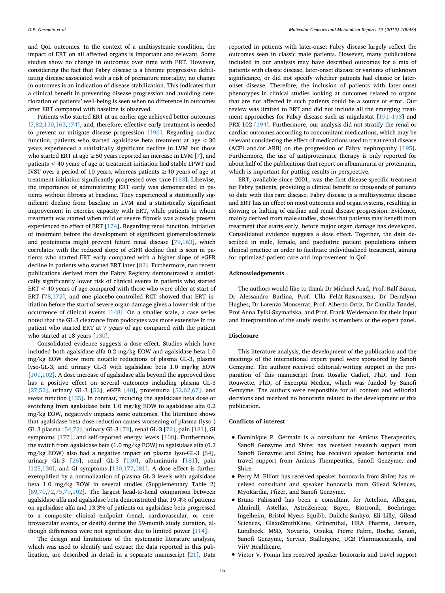and QoL outcomes. In the context of a multisystemic condition, the impact of ERT on all affected organs is important and relevant. Some studies show no change in outcomes over time with ERT. However, considering the fact that Fabry disease is a lifetime progressive debilitating disease associated with a risk of premature mortality, no change in outcomes is an indication of disease stabilization. This indicates that a clinical benefit in preventing disease progression and avoiding deterioration of patients' well-being is seen when no difference in outcomes after ERT compared with baseline is observed.

Patients who started ERT at an earlier age achieved better outcomes [[7](#page-15-16),[82,](#page-16-20)[130](#page-17-14),[163](#page-18-5)[,174\]](#page-18-37), and, therefore, effective early treatment is needed to prevent or mitigate disease progression [\[196\]](#page-19-2). Regarding cardiac function, patients who started agalsidase beta treatment at age < 30 years experienced a statistically significant decline in LVM but those who started ERT at age  $\geq$  50 years reported an increase in LVM [[7](#page-15-16)], and patients < 40 years of age at treatment initiation had stable LPWT and IVST over a period of 10 years, whereas patients  $\geq$  40 years of age at treatment initiation significantly progressed over time [\[163\]](#page-18-5). Likewise, the importance of administering ERT early was demonstrated in patients without fibrosis at baseline. They experienced a statistically significant decline from baseline in LVM and a statistically significant improvement in exercise capacity with ERT, while patients in whom treatment was started when mild or severe fibrosis was already present experienced no effect of ERT [\[174\]](#page-18-37). Regarding renal function, initiation of treatment before the development of significant glomerulosclerosis and proteinuria might prevent future renal disease [[79](#page-16-21)[,163\]](#page-18-5), which correlates with the reduced slope of eGFR decline that is seen in patients who started ERT early compared with a higher slope of eGFR decline in patients who started ERT later [[82\]](#page-16-20). Furthermore, two recent publications derived from the Fabry Registry demonstrated a statistically significantly lower risk of clinical events in patients who started ERT < 40 years of age compared with those who were older at start of ERT [\[78](#page-16-52)[,172\]](#page-18-52), and one placebo-controlled RCT showed that ERT initiation before the start of severe organ damage gives a lower risk of the occurrence of clinical events [[148](#page-18-49)]. On a smaller scale, a case series noted that the GL-3 clearance from podocytes was more extensive in the patient who started ERT at 7 years of age compared with the patient who started at 18 years [[130](#page-17-14)].

Consolidated evidence suggests a dose effect. Studies which have included both agalsidase alfa 0.2 mg/kg EOW and agalsidase beta 1.0 mg/kg EOW show more notable reductions of plasma GL-3, plasma lyso-GL-3, and urinary GL-3 with agalsidase beta 1.0 mg/kg EOW [[101](#page-17-1),[102](#page-17-0)]. A dose increase of agalsidase alfa beyond the approved dose has a positive effect on several outcomes including plasma GL-3 [[27](#page-15-14)[,52](#page-16-2)], urinary GL-3 [[52\]](#page-16-2), eGFR [\[40](#page-16-24)], proteinuria [[52,](#page-16-2)[62,](#page-16-35)[67](#page-16-36)], and sweat function [\[135\]](#page-17-2). In contrast, reducing the agalsidase beta dose or switching from agalsidase beta 1.0 mg/kg EOW to agalsidase alfa 0.2 mg/kg EOW, negatively impacts some outcomes. The literature shows that agalsidase beta dose reduction causes worsening of plasma (lyso-) GL-3 plasma [\[54](#page-16-11),[72\]](#page-16-6), urinary GL-3 [\[72](#page-16-6)], renal GL-3 [\[72](#page-16-6)], pain [[181](#page-18-25)], GI symptoms [[177](#page-18-23)], and self-reported energy levels [[100](#page-17-3)]. Furthermore, the switch from agalsidase beta (1.0 mg/kg EOW) to agalsidase alfa (0.2 mg/kg EOW) also had a negative impact on plasma lyso-GL-3 [\[54](#page-16-11)], urinary GL-3 [[26\]](#page-15-13), renal GL-3 [\[130](#page-17-14)], albuminuria [[181](#page-18-25)], pain [[125](#page-17-25),[130](#page-17-14)], and GI symptoms [[130](#page-17-14),[177](#page-18-23)[,181\]](#page-18-25). A dose effect is further exemplified by a normalization of plasma GL-3 levels with agalsidase beta 1.0 mg/kg EOW in several studies (Supplementary Table 2) [[69](#page-16-10)[,70](#page-16-4)[,72](#page-16-6),[75,](#page-16-8)[79,](#page-16-21)[102](#page-17-0)]. The largest head-to-head comparison between agalsidase alfa and agalsidase beta demonstrated that 19.4% of patients on agalsidase alfa and 13.3% of patients on agalsidase beta progressed to a composite clinical endpoint (renal, cardiovascular, or cerebrovascular events, or death) during the 59-month study duration, although differences were not significant due to limited power [[114](#page-17-23)].

The design and limitations of the systematic literature analysis, which was used to identify and extract the data reported in this publication, are described in detail in a separate manuscript [\[21](#page-15-8)]. Data

reported in patients with later-onset Fabry disease largely reflect the outcomes seen in classic male patients. However, many publications included in our analysis may have described outcomes for a mix of patients with classic disease, later-onset disease or variants of unknown significance, or did not specify whether patients had classic or lateronset disease. Therefore, the inclusion of patients with later-onset phenotypes in clinical studies looking at outcomes related to organs that are not affected in such patients could be a source of error. Our review was limited to ERT and did not include all the emerging treatment approaches for Fabry disease such as migalastat [\[191–193](#page-19-3)] and PRX-102 [[194\]](#page-19-4). Furthermore, our analysis did not stratify the renal or cardiac outcomes according to concomitant medications, which may be relevant considering the effect of medications used to treat renal disease (ACEi and/or ARB) on the progression of Fabry nephropathy [[195](#page-19-5)]. Furthermore, the use of antiproteinuric therapy is only reported for about half of the publications that report on albuminuria or proteinuria, which is important for putting results in perspective.

ERT, available since 2001, was the first disease-specific treatment for Fabry patients, providing a clinical benefit to thousands of patients to date with this rare disease. Fabry disease is a multisystemic disease and ERT has an effect on most outcomes and organ systems, resulting in slowing or halting of cardiac and renal disease progression. Evidence, mainly derived from male studies, shows that patients may benefit from treatment that starts early, before major organ damage has developed. Consolidated evidence suggests a dose effect. Together, the data described in male, female, and paediatric patient populations inform clinical practice in order to facilitate individualized treatment, aiming for optimized patient care and improvement in QoL.

# **Acknowledgements**

The authors would like to thank Dr Michael Arad, Prof. Ralf Baron, Dr Alessandro Burlina, Prof. Ulla Feldt-Rasmussen, Dr Derralynn Hughes, Dr Lorenzo Monserrat, Prof. Alberto Ortiz, Dr Camilla Tøndel, Prof Anna Tylki-Szymańska, and Prof. Frank Weidemann for their input and interpretation of the study results as members of the expert panel.

# **Disclosure**

This literature analysis, the development of the publication and the meetings of the international expert panel were sponsored by Sanofi Genzyme. The authors received editorial/writing support in the preparation of this manuscript from Rosalie Gadiot, PhD, and Tom Rouwette, PhD, of Excerpta Medica, which was funded by Sanofi Genzyme. The authors were responsible for all content and editorial decisions and received no honoraria related to the development of this publication.

#### **Conflicts of interest**

- Dominique P. Germain is a consultant for Amicus Therapeutics, Sanofi Genzyme and Shire; has received research support from Sanofi Genzyme and Shire; has received speaker honoraria and travel support from Amicus Therapeutics, Sanofi Genzyme, and Shire.
- Perry M. Elliott has received speaker honoraria from Shire; has received consultant and speaker honoraria from Gilead Sciences, MyoKardia, Pfizer, and Sanofi Genzyme.
- Bruno Falissard has been a consultant for Actelion, Allergan, Almirall, Astellas, AstraZeneca, Bayer, Biotronik, Boehringer Ingelheim, Bristol-Myers Squibb, Daiichi-Sankyo, Eli Lilly, Gilead Sciences, GlaxoSmithKline, Grünenthal, HRA Pharma, Janssen, Lundbeck, MSD, Novartis, Otsuka, Pierre Fabre, Roche, Sanofi, Sanofi Genzyme, Servier, Stallergene, UCB Pharmaceuticals, and ViiV Healthcare.
- Victor V. Fomin has received speaker honoraria and travel support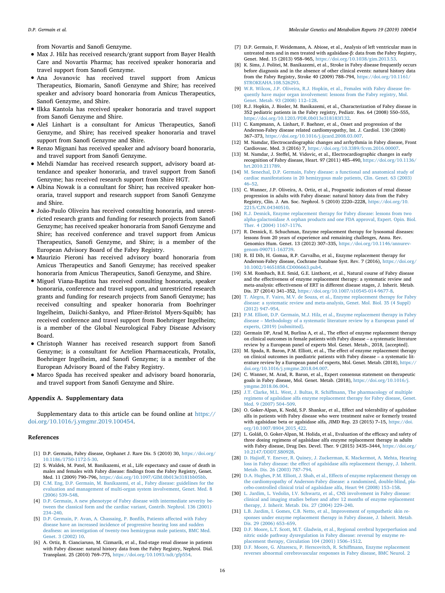from Novartis and Sanofi Genzyme.

- Max J. Hilz has received research/grant support from Bayer Health Care and Novartis Pharma; has received speaker honoraria and travel support from Sanofi Genzyme.
- Ana Jovanovic has received travel support from Amicus Therapeutics, Biomarin, Sanofi Genzyme and Shire; has received speaker and advisory board honoraria from Amicus Therapeutics, Sanofi Genzyme, and Shire.
- Ilkka Kantola has received speaker honoraria and travel support from Sanofi Genzyme and Shire.
- Aleš Linhart is a consultant for Amicus Therapeutics, Sanofi Genzyme, and Shire; has received speaker honoraria and travel support from Sanofi Genzyme and Shire.
- Renzo Mignani has received speaker and advisory board honoraria, and travel support from Sanofi Genzyme.
- Mehdi Namdar has received research support, advisory board attendance and speaker honoraria, and travel support from Sanofi Genzyme; has received research support from Shire HGT.
- Albina Nowak is a consultant for Shire; has received speaker honoraria, travel support and research support from Sanofi Genzyme and Shire.
- João-Paulo Oliveira has received consulting honoraria, and unrestricted research grants and funding for research projects from Sanofi Genzyme; has received speaker honoraria from Sanofi Genzyme and Shire; has received conference and travel support from Amicus Therapeutics, Sanofi Genzyme, and Shire; is a member of the European Advisory Board of the Fabry Registry.
- Maurizio Pieroni has received advisory board honoraria from Amicus Therapeutics and Sanofi Genzyme; has received speaker honoraria from Amicus Therapeutics, Sanofi Genzyme, and Shire.
- Miguel Viana-Baptista has received consulting honoraria, speaker honoraria, conference and travel support, and unrestricted research grants and funding for research projects from Sanofi Genzyme; has received consulting and speaker honoraria from Boehringer Ingelheim, Daiichi-Sankyo, and Pfizer-Bristol Myers-Squibb; has received conference and travel support from Boehringer Ingelheim; is a member of the Global Neurological Fabry Disease Advisory Board.
- Christoph Wanner has received research support from Sanofi Genzyme; is a consultant for Actelion Pharmaceuticals, Protalix, Boehringer Ingelheim, and Sanofi Genzyme; is a member of the European Advisory Board of the Fabry Registry.
- Marco Spada has received speaker and advisory board honoraria, and travel support from Sanofi Genzyme and Shire.

# **Appendix A. Supplementary data**

Supplementary data to this article can be found online at [https://](https://doi.org/10.1016/j.ymgmr.2019.100454) [doi.org/10.1016/j.ymgmr.2019.100454.](https://doi.org/10.1016/j.ymgmr.2019.100454)

#### **References**

- <span id="page-15-0"></span>[1] D.P. Germain, Fabry disease, Orphanet J. Rare Dis. 5 (2010) 30, [https://doi.org/](https://doi.org/10.1186/1750-1172-5-30) [10.1186/1750-1172-5-30.](https://doi.org/10.1186/1750-1172-5-30)
- <span id="page-15-1"></span>[2] S. Waldek, M. Patel, M. Banikazemi, et al., Life expectancy and cause of death in males and females with Fabry disease: findings from the Fabry Registry, Genet. Med. 11 (2009) 790–796, [https://doi.org/10.1097/GIM.0b013e3181bb05bb.](https://doi.org/10.1097/GIM.0b013e3181bb05bb)
- <span id="page-15-2"></span>[3] [C.M. Eng, D.P. Germain, M. Banikazemi, et al., Fabry disease: guidelines for the](http://refhub.elsevier.com/S2214-4269(19)30009-6/rf0015) [evaluation and management of multi-organ system involvement, Genet. Med. 8](http://refhub.elsevier.com/S2214-4269(19)30009-6/rf0015) [\(2006\) 539–548.](http://refhub.elsevier.com/S2214-4269(19)30009-6/rf0015)
- <span id="page-15-3"></span>[4] [D.P. Germain, A new phenotype of Fabry disease with intermediate severity be](http://refhub.elsevier.com/S2214-4269(19)30009-6/rf0020)[tween the classical form and the cardiac variant, Contrib. Nephrol. 136 \(2001\)](http://refhub.elsevier.com/S2214-4269(19)30009-6/rf0020) [234–240.](http://refhub.elsevier.com/S2214-4269(19)30009-6/rf0020)
- <span id="page-15-4"></span>[5] [D.P. Germain, P. Avan, A. Chassaing, P. Bonfils, Patients affected with Fabry](http://refhub.elsevier.com/S2214-4269(19)30009-6/rf0025) [disease have an increased incidence of progressive hearing loss and sudden](http://refhub.elsevier.com/S2214-4269(19)30009-6/rf0025) [deafness: an investigation of twenty-two hemizygous male patients, BMC Med.](http://refhub.elsevier.com/S2214-4269(19)30009-6/rf0025) [Genet. 3 \(2002\) 10.](http://refhub.elsevier.com/S2214-4269(19)30009-6/rf0025)
- [6] A. Ortiz, B. Cianciaruso, M. Cizmarik, et al., End-stage renal disease in patients with Fabry disease: natural history data from the Fabry Registry, Nephrol. Dial. Transplant. 25 (2010) 769–775, [https://doi.org/10.1093/ndt/gfp554.](https://doi.org/10.1093/ndt/gfp554)
- <span id="page-15-16"></span>[7] D.P. Germain, F. Weidemann, A. Abiose, et al., Analysis of left ventricular mass in untreated men and in men treated with agalsidase-β: data from the Fabry Registry, Genet. Med. 15 (2013) 958–965, [https://doi.org/10.1038/gim.2013.53.](https://doi.org/10.1038/gim.2013.53)
- [8] K. Sims, J. Politei, M. Banikazemi, et al., Stroke in Fabry disease frequently occurs before diagnosis and in the absence of other clinical events: natural history data from the Fabry Registry, Stroke 40 (2009) 788–794, [https://doi.org/10.1161/](https://doi.org/10.1161/STROKEAHA.108.526293) [STROKEAHA.108.526293.](https://doi.org/10.1161/STROKEAHA.108.526293)
- [9] [W.R. Wilcox, J.P. Oliveira, R.J. Hopkin, et al., Females with Fabry disease fre](http://refhub.elsevier.com/S2214-4269(19)30009-6/rf0045)[quently have major organ involvement: lessons from the Fabry registry, Mol.](http://refhub.elsevier.com/S2214-4269(19)30009-6/rf0045) [Genet. Metab. 93 \(2008\) 112–128.](http://refhub.elsevier.com/S2214-4269(19)30009-6/rf0045)
- [10] R.J. Hopkin, J. Bissler, M. Banikazemi, et al., Characterization of Fabry disease in 352 pediatric patients in the Fabry registry, Pediatr. Res. 64 (2008) 550–555, [https://doi.org/10.1203/PDR.0b013e318183f132.](https://doi.org/10.1203/PDR.0b013e318183f132)
- [11] C. Kampmann, A. Linhart, F. Baehner, et al., Onset and progression of the Anderson-Fabry disease related cardiomyopathy, Int. J. Cardiol. 130 (2008) 367–373, [https://doi.org/10.1016/j.ijcard.2008.03.007.](https://doi.org/10.1016/j.ijcard.2008.03.007)
- [12] M. Namdar, Electrocardiographic changes and arrhythmia in Fabry disease, Front Cardiovasc. Med. 3 (2016) 7, [https://doi.org/10.3389/fcvm.2016.00007.](https://doi.org/10.3389/fcvm.2016.00007)
- [13] M. Namdar, J. Steffel, M. Vidovic, et al., Electrocardiographic changes in early recognition of Fabry disease, Heart. 97 (2011) 485–490, [https://doi.org/10.1136/](https://doi.org/10.1136/hrt.2010.211789) [hrt.2010.211789.](https://doi.org/10.1136/hrt.2010.211789)
- [14] [M. Senechal, D.P. Germain, Fabry disease: a functional and anatomical study of](http://refhub.elsevier.com/S2214-4269(19)30009-6/rf0070) [cardiac manifestations in 20 hemizygous male patients, Clin. Genet. 63 \(2003\)](http://refhub.elsevier.com/S2214-4269(19)30009-6/rf0070) [46–52.](http://refhub.elsevier.com/S2214-4269(19)30009-6/rf0070)
- [15] C. Wanner, J.P. Oliveira, A. Ortiz, et al., Prognostic indicators of renal disease progression in adults with Fabry disease: natural history data from the Fabry Registry, Clin. J. Am. Soc. Nephrol. 5 (2010) 2220–2228, [https://doi.org/10.](https://doi.org/10.2215/CJN.04340510) [2215/CJN.04340510.](https://doi.org/10.2215/CJN.04340510)
- <span id="page-15-5"></span>[16] [R.J. Desnick, Enzyme replacement therapy for Fabry disease: lessons from two](http://refhub.elsevier.com/S2214-4269(19)30009-6/rf0080) [alpha-galactosidase A orphan products and one FDA approval, Expert. Opin. Biol.](http://refhub.elsevier.com/S2214-4269(19)30009-6/rf0080) [Ther. 4 \(2004\) 1167–1176.](http://refhub.elsevier.com/S2214-4269(19)30009-6/rf0080)
- <span id="page-15-6"></span>[17] R. Desnick, E. Schuchman, Enzyme replacement therapy for lysosomal diseases: lessons from 20 years of experience and remaining challenges, Annu. Rev. Genomics Hum. Genet. 13 (2012) 307–335, [https://doi.org/10.1146/annurev](https://doi.org/10.1146/annurev-genom-090711-163739)[genom-090711-163739.](https://doi.org/10.1146/annurev-genom-090711-163739)
- <span id="page-15-7"></span>[18] R. El Dib, H. Gomaa, R.P. Carvalho, et al., Enzyme replacement therapy for Anderson-Fabry disease, Cochrane Database Syst. Rev. 7 (2016), [https://doi.org/](https://doi.org/10.1002/14651858.CD006663.pub4) [10.1002/14651858.CD006663.pub4.](https://doi.org/10.1002/14651858.CD006663.pub4)
- [19] S.M. Rombach, B.E. Smid, G.E. Linthorst, et al., Natural course of Fabry disease and the effectiveness of enzyme replacement therapy: a systematic review and meta-analysis: effectiveness of ERT in different disease stages, J. Inherit. Metab. Dis. 37 (2014) 341–352, [https://doi.org/10.1007/s10545-014-9677-8.](https://doi.org/10.1007/s10545-014-9677-8)
- [20] [T. Alegra, F. Vairo, M.V. de Souza, et al., Enzyme replacement therapy for Fabry](http://refhub.elsevier.com/S2214-4269(19)30009-6/rf0100) [disease: a systematic review and meta-analysis, Genet. Mol. Biol. 35 \(4 Suppl\)](http://refhub.elsevier.com/S2214-4269(19)30009-6/rf0100) [\(2012\) 947–954.](http://refhub.elsevier.com/S2214-4269(19)30009-6/rf0100)
- <span id="page-15-8"></span>[21] [P.M. Elliott, D.P. Germain, M.J. Hilz, et al., Enzyme replacement therapy in Fabry](http://refhub.elsevier.com/S2214-4269(19)30009-6/rf0105) [disease – Methodology of a systematic literature review by a European panel of](http://refhub.elsevier.com/S2214-4269(19)30009-6/rf0105) [experts, \(2019\) \[submitted\].](http://refhub.elsevier.com/S2214-4269(19)30009-6/rf0105)
- <span id="page-15-9"></span>[22] Germain DP, Arad M, Burlina A, et al., The effect of enzyme replacement therapy on clinical outcomes in female patients with Fabry disease – a systematic literature review by a European panel of experts Mol. Genet. Metab., 2018, [accepted].
- <span id="page-15-10"></span>[23] M. Spada, R. Baron, P.M. Elliott, et al., The effect of enzyme replacement therapy on clinical outcomes in paediatric patients with Fabry disease – a systematic literature review by a European panel of experts, Mol. Genet. Metab. (2018), [https://](https://doi.org/10.1016/j.ymgme.2018.04.007) [doi.org/10.1016/j.ymgme.2018.04.007.](https://doi.org/10.1016/j.ymgme.2018.04.007)
- <span id="page-15-11"></span>[24] C. Wanner, M. Arad, R. Baron, et al., Expert consensus statement on therapeutic goals in Fabry disease, Mol. Genet. Metab. (2018), [https://doi.org/10.1016/j.](https://doi.org/10.1016/j.ymgme.2018.06.004) [ymgme.2018.06.004.](https://doi.org/10.1016/j.ymgme.2018.06.004)
- <span id="page-15-12"></span>[25] [J.T. Clarke, M.L. West, J. Bultas, R. Schiffmann, The pharmacology of multiple](http://refhub.elsevier.com/S2214-4269(19)30009-6/rf0120) [regimens of agalsidase alfa enzyme replacement therapy for Fabry disease, Genet.](http://refhub.elsevier.com/S2214-4269(19)30009-6/rf0120) [Med. 9 \(2007\) 504–509.](http://refhub.elsevier.com/S2214-4269(19)30009-6/rf0120)
- <span id="page-15-13"></span>[26] O. Goker-Alpan, K. Nedd, S.P. Shankar, et al., Effect and tolerability of agalsidase alfa in patients with Fabry disease who were treatment naïve or formerly treated with agalsidase beta or agalsidase alfa, JIMD Rep. 23 (2015) 7–15, [https://doi.](https://doi.org/10.1007/8904_2015_422) [org/10.1007/8904\\_2015\\_422.](https://doi.org/10.1007/8904_2015_422)
- <span id="page-15-14"></span>[27] L. Goláň, O. Goker-Alpan, M. Holida, et al., Evaluation of the efficacy and safety of three dosing regimens of agalsidase alfa enzyme replacement therapy in adults with Fabry disease, Drug Des. Devel. Ther. 9 (2015) 3435–3444, [https://doi.org/](https://doi.org/10.2147/DDDT.S80928) [10.2147/DDDT.S80928.](https://doi.org/10.2147/DDDT.S80928)
- <span id="page-15-19"></span>[28] [D. Hajioff, Y. Enever, R. Quiney, J. Zuckerman, K. Mackermot, A. Mehta, Hearing](http://refhub.elsevier.com/S2214-4269(19)30009-6/rf0135) [loss in Fabry disease: the effect of agalsidase alfa replacement therapy, J. Inherit.](http://refhub.elsevier.com/S2214-4269(19)30009-6/rf0135) [Metab. Dis. 26 \(2003\) 787–794.](http://refhub.elsevier.com/S2214-4269(19)30009-6/rf0135)
- <span id="page-15-15"></span>[29] [D.A. Hughes, P.M. Elliott, J. Shah, et al., Effects of enzyme replacement therapy on](http://refhub.elsevier.com/S2214-4269(19)30009-6/rf0140) [the cardiomyopathy of Anderson-Fabry disease: a randomised, double-blind, pla](http://refhub.elsevier.com/S2214-4269(19)30009-6/rf0140)[cebo-controlled clinical trial of agalsidase alfa, Heart 94 \(2008\) 153–158.](http://refhub.elsevier.com/S2214-4269(19)30009-6/rf0140)
- <span id="page-15-17"></span>[30] [L. Jardim, L. Vedolin, I.V. Schwartz, et al., CNS involvement in Fabry disease:](http://refhub.elsevier.com/S2214-4269(19)30009-6/rf0145) [clinical and imaging studies before and after 12 months of enzyme replacement](http://refhub.elsevier.com/S2214-4269(19)30009-6/rf0145) [therapy, J. Inherit. Metab. Dis. 27 \(2004\) 229–240.](http://refhub.elsevier.com/S2214-4269(19)30009-6/rf0145)
- <span id="page-15-18"></span>[31] [L.B. Jardim, I. Gomes, C.B. Netto, et al., Improvement of sympathetic skin re](http://refhub.elsevier.com/S2214-4269(19)30009-6/rf0150)[sponses under enzyme replacement therapy in Fabry disease, J. Inherit. Metab.](http://refhub.elsevier.com/S2214-4269(19)30009-6/rf0150) [Dis. 29 \(2006\) 653–659.](http://refhub.elsevier.com/S2214-4269(19)30009-6/rf0150)
- <span id="page-15-20"></span>[32] [D.F. Moore, L.T. Scott, M.T. Gladwin, et al., Regional cerebral hyperperfusion and](http://refhub.elsevier.com/S2214-4269(19)30009-6/rf0155) [nitric oxide pathway dysregulation in Fabry disease: reversal by enzyme re](http://refhub.elsevier.com/S2214-4269(19)30009-6/rf0155)[placement therapy, Circulation 104 \(2001\) 1506–1512.](http://refhub.elsevier.com/S2214-4269(19)30009-6/rf0155)
- <span id="page-15-21"></span>[33] [D.F. Moore, G. Altarescu, P. Herscovitch, R. Schiffmann, Enzyme replacement](http://refhub.elsevier.com/S2214-4269(19)30009-6/rf0160) [reverses abnormal cerebrovascular responses in Fabry disease, BMC Neurol. 2](http://refhub.elsevier.com/S2214-4269(19)30009-6/rf0160)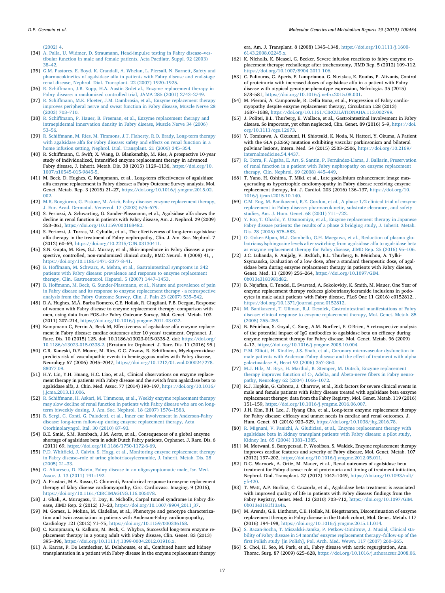[\(2002\) 4.](http://refhub.elsevier.com/S2214-4269(19)30009-6/rf0160)

- <span id="page-16-28"></span>[34] [A. Palla, U. Widmer, D. Straumann, Head-impulse testing in Fabry disease–ves](http://refhub.elsevier.com/S2214-4269(19)30009-6/rf0165)[tibular function in male and female patients, Acta Paediatr. Suppl. 92 \(2003\)](http://refhub.elsevier.com/S2214-4269(19)30009-6/rf0165) [38–42.](http://refhub.elsevier.com/S2214-4269(19)30009-6/rf0165)
- <span id="page-16-0"></span>[35] [G.M. Pastores, E. Boyd, K. Crandall, A. Whelan, L. Piersall, N. Barnett, Safety and](http://refhub.elsevier.com/S2214-4269(19)30009-6/rf0170) [pharmacokinetics of agalsidase alfa in patients with Fabry disease and end-stage](http://refhub.elsevier.com/S2214-4269(19)30009-6/rf0170) [renal disease, Nephrol. Dial. Transplant. 22 \(2007\) 1920–1925.](http://refhub.elsevier.com/S2214-4269(19)30009-6/rf0170)
- <span id="page-16-3"></span>[36] [R. Schiffmann, J.B. Kopp, H.A. Austin 3rdet al., Enzyme replacement therapy in](http://refhub.elsevier.com/S2214-4269(19)30009-6/rf0175) [Fabry disease: a randomized controlled trial, JAMA 285 \(2001\) 2743–2749.](http://refhub.elsevier.com/S2214-4269(19)30009-6/rf0175)
- <span id="page-16-25"></span>[37] [R. Schiffmann, M.K. Floeter, J.M. Dambrosia, et al., Enzyme replacement therapy](http://refhub.elsevier.com/S2214-4269(19)30009-6/rf0180) [improves peripheral nerve and sweat function in Fabry disease, Muscle Nerve 28](http://refhub.elsevier.com/S2214-4269(19)30009-6/rf0180) [\(2003\) 703–710.](http://refhub.elsevier.com/S2214-4269(19)30009-6/rf0180)
- <span id="page-16-12"></span>[38] [R. Schiffmann, P. Hauer, B. Freeman, et al., Enzyme replacement therapy and](http://refhub.elsevier.com/S2214-4269(19)30009-6/rf0185) [intraepidermal innervation density in Fabry disease, Muscle Nerve 34 \(2006\)](http://refhub.elsevier.com/S2214-4269(19)30009-6/rf0185) [53–56.](http://refhub.elsevier.com/S2214-4269(19)30009-6/rf0185)
- <span id="page-16-1"></span>[39] [R. Schiffmann, M. Ries, M. Timmons, J.T. Flaherty, R.O. Brady, Long-term therapy](http://refhub.elsevier.com/S2214-4269(19)30009-6/rf0190) [with agalsidase alfa for Fabry disease: safety and effects on renal function in a](http://refhub.elsevier.com/S2214-4269(19)30009-6/rf0190) [home infusion setting, Nephrol. Dial. Transplant. 21 \(2006\) 345–354.](http://refhub.elsevier.com/S2214-4269(19)30009-6/rf0190)
- <span id="page-16-24"></span>[40] R. Schiffmann, C. Swift, X. Wang, D. Blankenship, M. Ries, A prospective 10-year study of individualized, intensified enzyme replacement therapy in advanced Fabry disease, J. Inherit. Metab. Dis. 38 (2015) 1129–1136, [https://doi.org/10.](https://doi.org/10.1007/s10545-015-9845-5) [1007/s10545-015-9845-5.](https://doi.org/10.1007/s10545-015-9845-5)
- <span id="page-16-18"></span>[41] M. Beck, D. Hughes, C. Kampmann, et al., Long-term effectiveness of agalsidase alfa enzyme replacement in Fabry disease: a Fabry Outcome Survey analysis, Mol. Genet. Metab. Rep. 3 (2015) 21–27, [https://doi.org/10.1016/j.ymgmr.2015.02.](https://doi.org/10.1016/j.ymgmr.2015.02.002) [002.](https://doi.org/10.1016/j.ymgmr.2015.02.002)
- <span id="page-16-22"></span>[42] [M.R. Bongiorno, G. Pistone, M. Aricò, Fabry disease: enzyme replacement therapy,](http://refhub.elsevier.com/S2214-4269(19)30009-6/rf0205) [J. Eur. Acad. Dermatol. Venereol. 17 \(2003\) 676–679.](http://refhub.elsevier.com/S2214-4269(19)30009-6/rf0205)
- <span id="page-16-15"></span>[43] S. Feriozzi, A. Schwarting, G. Sunder-Plassmann, et al., Agalsidase alfa slows the decline in renal function in patients with Fabry disease, Am. J. Nephrol. 29 (2009) 353–361, [https://doi.org/10.1159/000168482.](https://doi.org/10.1159/000168482)
- <span id="page-16-16"></span>[44] S. Feriozzi, J. Torras, M. Cybulla, et al., The effectiveness of long-term agalsidase alfa therapy in the treatment of Fabry nephropathy, Clin. J. Am. Soc. Nephrol. 7 (2012) 60–69, [https://doi.org/10.2215/CJN.03130411.](https://doi.org/10.2215/CJN.03130411)
- <span id="page-16-26"></span>[45] S.N. Gupta, M. Ries, G.J. Murray, et al., Skin-impedance in Fabry disease: a prospective, controlled, non-randomized clinical study, BMC Neurol. 8 (2008) 41, [https://doi.org/10.1186/1471-2377-8-41.](https://doi.org/10.1186/1471-2377-8-41)
- <span id="page-16-31"></span>[46] [B. Hoffmann, M. Schwarz, A. Mehta, et al., Gastrointestinal symptoms in 342](http://refhub.elsevier.com/S2214-4269(19)30009-6/rf0225) [patients with Fabry disease: prevalence and response to enzyme replacement](http://refhub.elsevier.com/S2214-4269(19)30009-6/rf0225) [therapy, Clin. Gastroenterol. Hepatol. 5 \(2007\) 1447–1453.](http://refhub.elsevier.com/S2214-4269(19)30009-6/rf0225)
- <span id="page-16-30"></span>[47] [B. Hoffmann, M. Beck, G. Sunder-Plassmann, et al., Nature and prevalence of pain](http://refhub.elsevier.com/S2214-4269(19)30009-6/rf0230) [in Fabry disease and its response to enzyme replacement therapy - a retrospective](http://refhub.elsevier.com/S2214-4269(19)30009-6/rf0230) [analysis from the Fabry Outcome Survey, Clin. J. Pain 23 \(2007\) 535–542.](http://refhub.elsevier.com/S2214-4269(19)30009-6/rf0230)
- <span id="page-16-17"></span>[48] D.A. Hughes, M.Á. Barba Romero, C.E. Hollak, R. Giugliani, P.B. Deegan, Response of women with Fabry disease to enzyme replacement therapy: comparison with men, using data from FOS–the Fabry Outcome Survey, Mol. Genet. Metab. 103 (2011) 207–214, [https://doi.org/10.1016/j.ymgme.2011.03.022.](https://doi.org/10.1016/j.ymgme.2011.03.022)
- <span id="page-16-19"></span>[49] Kampmann C, Perrin A, Beck M, Effectiveness of agalsidase alfa enzyme replacement in Fabry disease: cardiac outcomes after 10 years' treatment. Orphanet. J. Rare. Dis. 10 (2015) 125. doi: 10.1186/s13023-015-0338-2. doi: [https://doi.org/](https://doi.org/10.1186/s13023-015-0338-2) [10.1186/s13023-015-0338-2.](https://doi.org/10.1186/s13023-015-0338-2) [Erratum in: Orphanet. J. Rare. Dis. 11 (2016) 95.]
- <span id="page-16-48"></span>[50] C.R. Kaneski, D.F. Moore, M. Ries, G.C. Zirzow, R. Schiffmann, Myeloperoxidase predicts risk of vasculopathic events in hemizgygous males with Fabry disease, Neurology 67 (2006) 2045–2047, [https://doi.org/10.1212/01.wnl.0000247278.](https://doi.org/10.1212/01.wnl.0000247278.88077.09) [88077.09.](https://doi.org/10.1212/01.wnl.0000247278.88077.09)
- <span id="page-16-33"></span>[51] H.Y. Lin, Y.H. Huang, H.C. Liao, et al., Clinical observations on enzyme replacement therapy in patients with Fabry disease and the switch from agalsidase beta to agalsidase alfa, J. Chin. Med. Assoc. 77 (2014) 190–197, [https://doi.org/10.1016/](https://doi.org/10.1016/j.jcma.2013.11.006) [j.jcma.2013.11.006.](https://doi.org/10.1016/j.jcma.2013.11.006)
- <span id="page-16-2"></span>[52] [R. Schiffmann, H. Askari, M. Timmons, et al., Weekly enzyme replacement therapy](http://refhub.elsevier.com/S2214-4269(19)30009-6/rf0250) [may slow decline of renal function in patients with Fabry disease who are on long](http://refhub.elsevier.com/S2214-4269(19)30009-6/rf0250)[term biweekly dosing, J. Am. Soc. Nephrol. 18 \(2007\) 1576–1583.](http://refhub.elsevier.com/S2214-4269(19)30009-6/rf0250)
- <span id="page-16-29"></span>[53] [B. Sergi, G. Conti, G. Paludetti, et al., Inner ear involvement in Anderson-Fabry](http://refhub.elsevier.com/S2214-4269(19)30009-6/rf0255) [disease: long-term follow-up during enzyme replacement therapy, Acta](http://refhub.elsevier.com/S2214-4269(19)30009-6/rf0255) [Otorhinolaryngol. Ital. 30 \(2010\) 87–93.](http://refhub.elsevier.com/S2214-4269(19)30009-6/rf0255)
- <span id="page-16-11"></span>[54] B.E. Smid, S.M. Rombach, J.M. Aerts, et al., Consequences of a global enzyme shortage of agalsidase beta in adult Dutch Fabry patients, Orphanet. J. Rare. Dis. 6 (2011) 69, [https://doi.org/10.1186/1750-1172-6-69.](https://doi.org/10.1186/1750-1172-6-69)
- <span id="page-16-13"></span>[55] [P.D. Whitfield, J. Calvin, S. Hogg, et al., Monitoring enzyme replacement therapy](http://refhub.elsevier.com/S2214-4269(19)30009-6/rf0265) [in Fabry disease–role of urine globotriaosylceramide, J. Inherit. Metab. Dis. 28](http://refhub.elsevier.com/S2214-4269(19)30009-6/rf0265) [\(2005\) 21–33.](http://refhub.elsevier.com/S2214-4269(19)30009-6/rf0265)
- <span id="page-16-38"></span>[56] [G. Altarescu, D. Elstein, Fabry disease in an oligosymptomatic male, Isr. Med.](http://refhub.elsevier.com/S2214-4269(19)30009-6/rf0270) [Assoc. J. 13 \(2011\) 191–192.](http://refhub.elsevier.com/S2214-4269(19)30009-6/rf0270)
- <span id="page-16-45"></span>[57] A. Frustaci, M.A. Russo, C. Chimenti, Paradoxical response to enzyme replacement therapy of fabry disease cardiomyopathy, Circ. Cardiovasc. Imaging. 9 (2016), [https://doi.org/10.1161/CIRCIMAGING.116.005078.](https://doi.org/10.1161/CIRCIMAGING.116.005078)
- <span id="page-16-49"></span>[58] J. Ghali, A. Murugasu, T. Day, K. Nicholls, Carpal tunnel syndrome in Fabry disease, JIMD Rep. 2 (2012) 17–23, [https://doi.org/10.1007/8904\\_2011\\_37.](https://doi.org/10.1007/8904_2011_37)
- <span id="page-16-46"></span>[59] M. Gomez, L. Molina, M. Cladellas, et al., Phenotype and genotype characterization and twin association in patients with Anderson-Fabry cardiomyopathy, Cardiology 121 (2012) 71–75, [https://doi.org/10.1159/000336168.](https://doi.org/10.1159/000336168)
- <span id="page-16-34"></span>[60] C. Kampmann, G. Kalkum, M. Beck, C. Whybra, Successful long-term enzyme replacement therapy in a young adult with Fabry disease, Clin. Genet. 83 (2013) 395–396, [https://doi.org/10.1111/j.1399-0004.2012.01916.x.](https://doi.org/10.1111/j.1399-0004.2012.01916.x)
- <span id="page-16-44"></span>[61] A. Karras, P. De Lentdecker, M. Delahousse, et al., Combined heart and kidney transplantation in a patient with Fabry disease in the enzyme replacement therapy

era, Am. J. Transplant. 8 (2008) 1345–1348, [https://doi.org/10.1111/j.1600-](https://doi.org/10.1111/j.1600-6143.2008.02245.x) [6143.2008.02245.x.](https://doi.org/10.1111/j.1600-6143.2008.02245.x)

- <span id="page-16-35"></span>[62] K. Nicholls, K. Bleasel, G. Becker, Severe infusion reactions to fabry enzyme replacement therapy: rechallenge after tracheostomy, JIMD Rep. 5 (2012) 109–112, [https://doi.org/10.1007/8904\\_2011\\_106.](https://doi.org/10.1007/8904_2011_106)
- <span id="page-16-41"></span>[63] C. Paliouras, G. Aperis, F. Lamprianou, G. Ntetskas, K. Roufas, P. Alivanis, Control of proteinuria with increased doses of agalsidase alfa in a patient with Fabry disease with atypical genotype-phenotype expression, Nefrologia. 35 (2015) 578–581, [https://doi.org/10.1016/j.nefro.2015.08.001.](https://doi.org/10.1016/j.nefro.2015.08.001)
- <span id="page-16-40"></span>[64] M. Pieroni, A. Camporeale, R. Della Bona, et al., Progression of Fabry cardiomyopathy despite enzyme replacement therapy, Circulation 128 (2013) 1687–1688, [https://doi.org/10.1161/CIRCULATIONAHA.113.002799.](https://doi.org/10.1161/CIRCULATIONAHA.113.002799)
- <span id="page-16-39"></span>[65] J. Politei, B.L. Thurberg, E. Wallace, et al., Gastrointestinal involvement in Fabry disease. So important, yet often neglected, Clin. Genet. 89 (2016) 5–9, [https://doi.](https://doi.org/10.1111/cge.12673) [org/10.1111/cge.12673.](https://doi.org/10.1111/cge.12673)
- <span id="page-16-51"></span>[66] Y. Tomizawa, A. Okuzumi, H. Shiotsuki, K. Noda, N. Hattori, Y. Okuma, A Patient with the GLA p.E66Q mutation exhibiting vascular parkinsonism and bilateral pulvinar lesions, Intern. Med. 54 (2015) 2503–2506, [https://doi.org/10.2169/](https://doi.org/10.2169/internalmedicine.54.4437) [internalmedicine.54.4437.](https://doi.org/10.2169/internalmedicine.54.4437)
- <span id="page-16-36"></span>[67] [R. Torra, F. Algaba, E. Ars, S. Santin, P. Fernández-Llama, J. Ballarin, Preservation](http://refhub.elsevier.com/S2214-4269(19)30009-6/rf0325) [of renal function in a patient with Fabry nephropathy on enzyme replacement](http://refhub.elsevier.com/S2214-4269(19)30009-6/rf0325) [therapy, Clin. Nephrol. 69 \(2008\) 445–449.](http://refhub.elsevier.com/S2214-4269(19)30009-6/rf0325)
- <span id="page-16-47"></span>[68] T. Yano, H. Oshima, T. Miki, et al., Late gadolinium enhancement image masquerading as hypertrophic cardiomyopathy in Fabry disease receiving enzyme replacement therapy, Int. J. Cardiol. 203 (2016) 136–137, [https://doi.org/10.](https://doi.org/10.1016/j.ijcard.2015.10.140) [1016/j.ijcard.2015.10.140.](https://doi.org/10.1016/j.ijcard.2015.10.140)
- <span id="page-16-10"></span>[69] [C.M. Eng, M. Banikazemi, R.E. Gordon, et al., A phase 1/2 clinical trial of enzyme](http://refhub.elsevier.com/S2214-4269(19)30009-6/rf0335) [replacement in Fabry disease: pharmacokinetic, substrate clearance, and safety](http://refhub.elsevier.com/S2214-4269(19)30009-6/rf0335) [studies, Am. J. Hum. Genet. 68 \(2001\) 711–722.](http://refhub.elsevier.com/S2214-4269(19)30009-6/rf0335)
- <span id="page-16-4"></span>[70] [Y. Eto, T. Ohashi, Y. Utsunomiya, et al., Enzyme replacement therapy in Japanese](http://refhub.elsevier.com/S2214-4269(19)30009-6/rf0340) [Fabry disease patients: the results of a phase 2 bridging study, J. Inherit. Metab.](http://refhub.elsevier.com/S2214-4269(19)30009-6/rf0340) [Dis. 28 \(2005\) 575–583.](http://refhub.elsevier.com/S2214-4269(19)30009-6/rf0340)
- <span id="page-16-5"></span>[71] [O. Goker-Alpan, M.J. Gambello, G.H. Maegawa, et al., Reduction of plasma glo](http://refhub.elsevier.com/S2214-4269(19)30009-6/rf0345)[botriaosylsphingosine levels after switching from agalsidase alfa to agalsidase beta](http://refhub.elsevier.com/S2214-4269(19)30009-6/rf0345) [as enzyme replacement therapy for Fabry disease, JIMD Rep. 25 \(2016\) 95–106.](http://refhub.elsevier.com/S2214-4269(19)30009-6/rf0345)
- <span id="page-16-6"></span>[72] J.C. Lubanda, E. Anijalg, V. Bzdúch, B.L. Thurberg, B. Bénichou, A. Tylki-Szymanska, Evaluation of a low dose, after a standard therapeutic dose, of agalsidase beta during enzyme replacement therapy in patients with Fabry disease, Genet. Med. 11 (2009) 256–264, [https://doi.org/10.1097/GIM.](https://doi.org/10.1097/GIM.0b013e3181981d82) [0b013e3181981d82.](https://doi.org/10.1097/GIM.0b013e3181981d82)
- <span id="page-16-14"></span>[73] B. Najafian, C. Tøndel, E. Svarstad, A. Sokolovkiy, K. Smith, M. Mauer, One Year of enzyme replacement therapy reduces globotriaosylceramide inclusions in podocytes in male adult patients with Fabry disease, PLoS One 11 (2016) e0152812, , [https://doi.org/10.1371/journal.pone.0152812.](https://doi.org/10.1371/journal.pone.0152812)
- <span id="page-16-50"></span>[74] [M. Banikazemi, T. Ullman, R.J. Desnick, Gastrointestinal manifestations of Fabry](http://refhub.elsevier.com/S2214-4269(19)30009-6/rf0360) [disease: clinical response to enzyme replacement therapy, Mol. Genet. Metab. 85](http://refhub.elsevier.com/S2214-4269(19)30009-6/rf0360) [\(2005\) 255–259.](http://refhub.elsevier.com/S2214-4269(19)30009-6/rf0360)
- <span id="page-16-8"></span>[75] B. Bénichou, S. Goyal, C. Sung, A.M. Norfleet, F. O'Brien, A retrospective analysis of the potential impact of IgG antibodies to agalsidase beta on efficacy during enzyme replacement therapy for Fabry disease, Mol. Genet. Metab. 96 (2009) 4–12, [https://doi.org/10.1016/j.ymgme.2008.10.004.](https://doi.org/10.1016/j.ymgme.2008.10.004)
- <span id="page-16-7"></span>[76] [P.M. Elliott, H. Kindler, J.S. Shah, et al., Coronary microvascular dysfunction in](http://refhub.elsevier.com/S2214-4269(19)30009-6/rf0370) [male patients with Anderson-Fabry disease and the effect of treatment with alpha](http://refhub.elsevier.com/S2214-4269(19)30009-6/rf0370) [galactosidase A, Heart 92 \(2006\) 357–360.](http://refhub.elsevier.com/S2214-4269(19)30009-6/rf0370)
- <span id="page-16-27"></span>[77] [M.J. Hilz, M. Brys, H. Marthol, B. Stemper, M. Dütsch, Enzyme replacement](http://refhub.elsevier.com/S2214-4269(19)30009-6/rf0375) [therapy improves function of C-, Adelta, and Abeta-nerve fibers in Fabry neuro](http://refhub.elsevier.com/S2214-4269(19)30009-6/rf0375)[pathy, Neurology 62 \(2004\) 1066–1072.](http://refhub.elsevier.com/S2214-4269(19)30009-6/rf0375)
- <span id="page-16-52"></span>[78] R.J. Hopkin, G. Cabrera, J. Charrow, et al., Risk factors for severe clinical events in male and female patients with Fabry disease treated with agalsidase beta enzyme replacement therapy: data from the Fabry Registry, Mol. Genet. Metab. 119 (2016) 151–159, [https://doi.org/10.1016/j.ymgme.2016.06.007.](https://doi.org/10.1016/j.ymgme.2016.06.007)
- <span id="page-16-21"></span>[79] J.H. Kim, B.H. Lee, J. Hyang Cho, et al., Long-term enzyme replacement therapy for Fabry disease: efficacy and unmet needs in cardiac and renal outcomes, J. Hum. Genet. 61 (2016) 923–929, [https://doi.org/10.1038/jhg.2016.78.](https://doi.org/10.1038/jhg.2016.78)
- <span id="page-16-9"></span>[80] [R. Mignani, V. Panichi, A. Giudicissi, et al., Enzyme replacement therapy with](http://refhub.elsevier.com/S2214-4269(19)30009-6/rf0390) [agalsidase beta in kidney transplant patients with Fabry disease: a pilot study,](http://refhub.elsevier.com/S2214-4269(19)30009-6/rf0390) [Kidney Int. 65 \(2004\) 1381–1385.](http://refhub.elsevier.com/S2214-4269(19)30009-6/rf0390)
- <span id="page-16-23"></span>[81] M. Motwani, S. Banypersad, P. Woolfson, S. Waldek, Enzyme replacement therapy improves cardiac features and severity of Fabry disease, Mol. Genet. Metab. 107 (2012) 197–202, [https://doi.org/10.1016/j.ymgme.2012.05.011.](https://doi.org/10.1016/j.ymgme.2012.05.011)
- <span id="page-16-20"></span>[82] D.G. Warnock, A. Ortiz, M. Mauer, et al., Renal outcomes of agalsidase beta treatment for Fabry disease: role of proteinuria and timing of treatment initiation, Nephrol. Dial. Transplant. 27 (2012) 1042–1049, [https://doi.org/10.1093/ndt/](https://doi.org/10.1093/ndt/gfr420) [gfr420.](https://doi.org/10.1093/ndt/gfr420)
- <span id="page-16-32"></span>[83] T. Watt, A.P. Burlina, C. Cazzorla, et al., Agalsidase beta treatment is associated with improved quality of life in patients with Fabry disease: findings from the Fabry Registry, Genet. Med. 12 (2010) 703–712, [https://doi.org/10.1097/GIM.](https://doi.org/10.1097/GIM.0b013e3181f13a4a) [0b013e3181f13a4a.](https://doi.org/10.1097/GIM.0b013e3181f13a4a)
- <span id="page-16-37"></span>[84] M. Arends, G.E. Linthorst, C.E. Hollak, M. Biegstraaten, Discontinuation of enzyme replacement therapy in Fabry disease in the Dutch cohort, Mol. Genet. Metab. 117 (2016) 194–198, [https://doi.org/10.1016/j.ymgme.2015.11.014.](https://doi.org/10.1016/j.ymgme.2015.11.014)
- <span id="page-16-43"></span>[85] [S. Bazan-Socha, T. Miszalski-Jamka, P. Petkow-Dimitrow, J. Musiał, Clinical sta](http://refhub.elsevier.com/S2214-4269(19)30009-6/rf0415)[bility of Fabry disease in 54 months' enzyme replacement therapy–follow-up of the](http://refhub.elsevier.com/S2214-4269(19)30009-6/rf0415) [first Polish study \[in Polish\], Pol. Arch. Med. Wewn. 117 \(2007\) 260–265.](http://refhub.elsevier.com/S2214-4269(19)30009-6/rf0415)
- <span id="page-16-42"></span>[86] S. Choi, H. Seo, M. Park, et al., Fabry disease with aortic regurgitation, Ann. Thorac. Surg. 87 (2009) 625–628, [https://doi.org/10.1016/j.athoracsur.2008.06.](https://doi.org/10.1016/j.athoracsur.2008.06.023)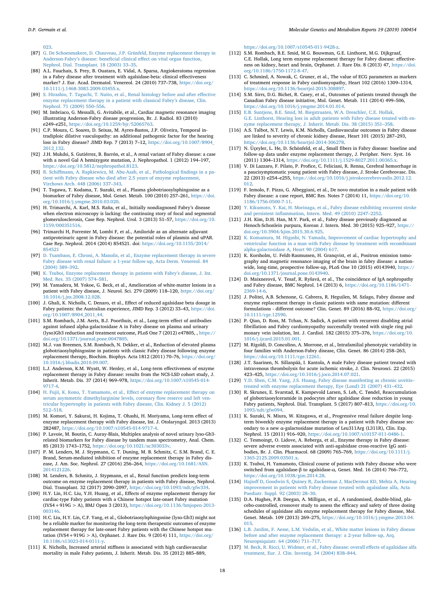[023.](https://doi.org/10.1016/j.athoracsur.2008.06.023)

- <span id="page-17-31"></span>[87] [G. De Schoenmakere, D. Chauveau, J.P. Grünfeld, Enzyme replacement therapy in](http://refhub.elsevier.com/S2214-4269(19)30009-6/rf0425) [Anderson-Fabry's disease: beneficial clinical effect on vital organ function,](http://refhub.elsevier.com/S2214-4269(19)30009-6/rf0425) [Nephrol. Dial. Transplant. 18 \(2003\) 33–35.](http://refhub.elsevier.com/S2214-4269(19)30009-6/rf0425)
- <span id="page-17-27"></span>[88] A.L. Fauchais, S. Prey, B. Ouatara, E. Vidal, A. Sparsa, Angiokeratoma regression in a Fabry disease after treatment with agalsidase-beta: clinical effectiveness marker? J. Eur. Acad. Dermatol. Venereol. 24 (2010) 737–738, [https://doi.org/](https://doi.org/10.1111/j.1468-3083.2009.03455.x) [10.1111/j.1468-3083.2009.03455.x.](https://doi.org/10.1111/j.1468-3083.2009.03455.x)
- <span id="page-17-13"></span>[89] [S. Hirashio, T. Taguchi, T. Naito, et al., Renal histology before and after effective](http://refhub.elsevier.com/S2214-4269(19)30009-6/rf0435) [enzyme replacement therapy in a patient with classical Fabry's disease, Clin.](http://refhub.elsevier.com/S2214-4269(19)30009-6/rf0435) [Nephrol. 71 \(2009\) 550–556.](http://refhub.elsevier.com/S2214-4269(19)30009-6/rf0435)
- <span id="page-17-33"></span>[90] M. Imbriaco, G. Messalli, G. Avitabile, et al., Cardiac magnetic resonance imaging illustrating Anderson-Fabry disease progression, Br. J. Radiol. 83 (2010) e249–e251, [https://doi.org/10.1259/bjr/52065763.](https://doi.org/10.1259/bjr/52065763)
- <span id="page-17-4"></span>[91] C.P. Moura, C. Soares, D. Seixas, M. Ayres-Bastos, J.P. Oliveira, Temporal intradiploic dilative vasculopathy: an additional pathogenic factor for the hearing loss in Fabry disease? JIMD Rep. 7 (2013) 7–12, [https://doi.org/10.1007/8904\\_](https://doi.org/10.1007/8904_2012_132) [2012\\_132.](https://doi.org/10.1007/8904_2012_132)
- <span id="page-17-28"></span>[92] J.H. Mukdsi, S. Gutiérrez, B. Barrón, et al., A renal variant of Fabry disease: a case with a novel Gal A hemizygote mutation, J. Nephropathol. 1 (2012) 194–197, [https://doi.org/10.5812/nephropathol.8123.](https://doi.org/10.5812/nephropathol.8123)
- <span id="page-17-16"></span>[93] [R. Schiffmann, A. Rapkiewicz, M. Abu-Asab, et al., Pathological findings in a pa](http://refhub.elsevier.com/S2214-4269(19)30009-6/rf0455)[tient with Fabry disease who died after 2.5 years of enzyme replacement,](http://refhub.elsevier.com/S2214-4269(19)30009-6/rf0455) [Virchows Arch. 448 \(2006\) 337–343.](http://refhub.elsevier.com/S2214-4269(19)30009-6/rf0455)
- <span id="page-17-5"></span>[94] T. Togawa, T. Kodama, T. Suzuki, et al., Plasma globotriaosylsphingosine as a biomarker of Fabry disease, Mol. Genet. Metab. 100 (2010) 257–261, [https://doi.](https://doi.org/10.1016/j.ymgme.2010.03.020) [org/10.1016/j.ymgme.2010.03.020.](https://doi.org/10.1016/j.ymgme.2010.03.020)
- <span id="page-17-29"></span>[95] H. Trimarchi, A. Karl, M.S. Raña, et al., Initially nondiagnosed Fabry's disease when electron microscopy is lacking: the continuing story of focal and segmental glomerulosclerosis, Case Rep. Nephrol. Urol. 3 (2013) 51–57, [https://doi.org/10.](https://doi.org/10.1159/000351516) [1159/000351516.](https://doi.org/10.1159/000351516)
- <span id="page-17-30"></span>[96] Trimarchi H, Forrester M, Lombi F, et al., Amiloride as an alternate adjuvant antiproteinuric agent in Fabry disease: the potential roles of plasmin and uPAR. Case Rep. Nephrol. 2014 (2014) 854521. doi: [https://doi.org/10.1155/2014/](https://doi.org/10.1155/2014/854521) [854521](https://doi.org/10.1155/2014/854521)
- <span id="page-17-15"></span>[97] [D. Tsambaos, E. Chroni, A. Manolis, et al., Enzyme replacement therapy in severe](http://refhub.elsevier.com/S2214-4269(19)30009-6/rf0470) [Fabry disease with renal failure: a 1-year follow-up, Acta Derm. Venereol. 84](http://refhub.elsevier.com/S2214-4269(19)30009-6/rf0470) [\(2004\) 389–392.](http://refhub.elsevier.com/S2214-4269(19)30009-6/rf0470)
- <span id="page-17-6"></span>[98] [K. Tsuboi, Enzyme replacement therapy in patients with Fabry's disease, J. Int.](http://refhub.elsevier.com/S2214-4269(19)30009-6/rf0475) [Med. Res. 35 \(2007\) 574–581.](http://refhub.elsevier.com/S2214-4269(19)30009-6/rf0475)
- <span id="page-17-11"></span>[99] M. Yamadera, M. Yokoe, G. Beck, et al., Amelioration of white-matter lesions in a patient with Fabry disease, J. Neurol. Sci. 279 (2009) 118–120, [https://doi.org/](https://doi.org/10.1016/j.jns.2008.12.028) [10.1016/j.jns.2008.12.028.](https://doi.org/10.1016/j.jns.2008.12.028)
- <span id="page-17-3"></span>[100] J. Ghali, K. Nicholls, C. Denaro, et al., Effect of reduced agalsidase beta dosage in Fabry patients: the Australian experience, JIMD Rep. 3 (2012) 33–43, [https://doi.](https://doi.org/10.1007/8904_2011_44) [org/10.1007/8904\\_2011\\_44.](https://doi.org/10.1007/8904_2011_44)
- <span id="page-17-1"></span>[101] S.M. Rombach, J.M. Aerts, B.J. Poorthuis, et al., Long-term effect of antibodies against infused alpha-galactosidase A in Fabry disease on plasma and urinary (lyso)Gb3 reduction and treatment outcome, PLoS One 7 (2012) e47805, , [https://](https://doi.org/10.1371/journal.pone.0047805) [doi.org/10.1371/journal.pone.0047805.](https://doi.org/10.1371/journal.pone.0047805)
- <span id="page-17-0"></span>[102] M.J. van Breemen, S.M. Rombach, N. Dekker, et al., Reduction of elevated plasma globotriaosylsphingosine in patients with classic Fabry disease following enzyme replacement therapy, Biochim. Biophys. Acta 1812 (2011) 70–76, [https://doi.org/](https://doi.org/10.1016/j.bbadis.2010.09.007) [10.1016/j.bbadis.2010.09.007.](https://doi.org/10.1016/j.bbadis.2010.09.007)
- <span id="page-17-19"></span>[103] L.J. Anderson, K.M. Wyatt, W. Henley, et al., Long-term effectiveness of enzyme replacement therapy in Fabry disease: results from the NCS-LSD cohort study, J. Inherit. Metab. Dis. 37 (2014) 969–978, [https://doi.org/10.1007/s10545-014-](https://doi.org/10.1007/s10545-014-9717-4) [9717-4.](https://doi.org/10.1007/s10545-014-9717-4)
- <span id="page-17-20"></span>[104] [H. Fujii, K. Kono, T. Yamamoto, et al., Effect of enzyme replacement therapy on](http://refhub.elsevier.com/S2214-4269(19)30009-6/rf0505) [serum asymmetric dimethylarginine levels, coronary flow reserve and left ven](http://refhub.elsevier.com/S2214-4269(19)30009-6/rf0505)[tricular hypertrophy in patients with Fabry disease, Clin. Kidney J. 5 \(2012\)](http://refhub.elsevier.com/S2214-4269(19)30009-6/rf0505) [512–518.](http://refhub.elsevier.com/S2214-4269(19)30009-6/rf0505)
- <span id="page-17-43"></span>[105] M. Komori, Y. Sakurai, H. Kojima, T. Ohashi, H. Moriyama, Long-term effect of enzyme replacement therapy with Fabry disease, Int. J. Otolaryngol. 2013 (2013) 282487, [https://doi.org/10.1007/s10545-014-9717-4.](https://doi.org/10.1007/s10545-014-9717-4)
- <span id="page-17-12"></span>[106] P. Lavoie, M. Boutin, C. Auray-Blais, Multiplex analysis of novel urinary lyso-Gb3 related biomarkers for Fabry disease by tandem mass spectrometry, Anal. Chem. 85 (2013) 1743–1752, [https://doi.org/10.1021/ac303033v.](https://doi.org/10.1021/ac303033v)
- <span id="page-17-21"></span>[107] P. M. Lenders, M. J. Stypmann, C. T. Duning, M. B. Schmitz, C. S.M. Brand, C. E. Brand, Serum-mediated inhibition of enzyme replacement therapy in Fabry disease, J. Am. Soc. Nephrol. 27 (2016) 256–264, [https://doi.org/10.1681/ASN.](https://doi.org/10.1681/ASN.2014121226) [2014121226.](https://doi.org/10.1681/ASN.2014121226)
- <span id="page-17-26"></span>[108] M. Lenders, B. Schmitz, J. Stypmann, et al., Renal function predicts long-term outcome on enzyme replacement therapy in patients with Fabry disease, Nephrol. Dial. Transplant. 32 (2017) 2090–2097, [https://doi.org/10.1093/ndt/gfw334.](https://doi.org/10.1093/ndt/gfw334)
- <span id="page-17-10"></span>[109] H.Y. Lin, H.C. Liu, Y.H. Huang, et al., Effects of enzyme replacement therapy for cardiac-type Fabry patients with a Chinese hotspot late-onset Fabry mutation (IVS4+919G > A), BMJ Open 3 (2013), [https://doi.org/10.1136/bmjopen-2013-](https://doi.org/10.1136/bmjopen-2013-003146) [003146.](https://doi.org/10.1136/bmjopen-2013-003146)
- <span id="page-17-9"></span>[110] H.C. Liu, H.Y. Lin, C.F. Yang, et al., Globotriaosylsphingosine (lyso-Gb3) might not be a reliable marker for monitoring the long-term therapeutic outcomes of enzyme replacement therapy for late-onset Fabry patients with the Chinese hotspot mutation (IVS4+919G > A), Orphanet. J. Rare Dis. 9 (2014) 111, [https://doi.org/](https://doi.org/10.1186/s13023-014-0111-y) [10.1186/s13023-014-0111-y.](https://doi.org/10.1186/s13023-014-0111-y)
- <span id="page-17-45"></span>[111] K. Nicholls, Increased arterial stiffness is associated with high cardiovascular mortality in male Fabry patients, J. Inherit. Metab. Dis. 35 (2012) 885–889,

[https://doi.org/10.1007/s10545-011-9428-z.](https://doi.org/10.1007/s10545-011-9428-z)

- <span id="page-17-22"></span>[112] S.M. Rombach, B.E. Smid, M.G. Bouwman, G.E. Linthorst, M.G. Dijkgraaf, C.E. Hollak, Long term enzyme replacement therapy for Fabry disease: effectiveness on kidney, heart and brain, Orphanet. J. Rare Dis. 8 (2013) 47, [https://doi.](https://doi.org/10.1186/1750-1172-8-47) [org/10.1186/1750-1172-8-47.](https://doi.org/10.1186/1750-1172-8-47)
- <span id="page-17-34"></span>[113] C. Schmied, A. Nowak, C. Gruner, et al., The value of ECG parameters as markers of treatment response in Fabry cardiomyopathy, Heart 102 (2016) 1309–1314, [https://doi.org/10.1136/heartjnl-2015-308897.](https://doi.org/10.1136/heartjnl-2015-308897)
- <span id="page-17-23"></span>[114] S.M. Sirrs, D.G. Bichet, R. Casey, et al., Outcomes of patients treated through the Canadian Fabry disease initiative, Mol. Genet. Metab. 111 (2014) 499–506, [https://doi.org/10.1016/j.ymgme.2014.01.014.](https://doi.org/10.1016/j.ymgme.2014.01.014)
- <span id="page-17-42"></span>[115] [E.B. Suntjens, B.E. Smid, M. Biegstraaten, W.A. Dreschler, C.E. Hollak,](http://refhub.elsevier.com/S2214-4269(19)30009-6/rf0560) [G.E. Linthorst, Hearing loss in adult patients with Fabry disease treated with en](http://refhub.elsevier.com/S2214-4269(19)30009-6/rf0560)[zyme replacement therapy, J. Inherit. Metab. Dis. 38 \(2015\) 351–358.](http://refhub.elsevier.com/S2214-4269(19)30009-6/rf0560)
- <span id="page-17-24"></span>[116] A.S. Talbot, N.T. Lewis, K.M. Nicholls, Cardiovascular outcomes in Fabry disease are linked to severity of chronic kidney disease, Heart 101 (2015) 287–293, [https://doi.org/10.1136/heartjnl-2014-306278.](https://doi.org/10.1136/heartjnl-2014-306278)
- <span id="page-17-40"></span>[117] N. Üçeyler, L. He, D. Schönfeld, et al., Small fibers in Fabry disease: baseline and follow-up data under enzyme replacement therapy, J. Peripher. Nerv. Syst. 16 (2011) 1304–1314, [https://doi.org/10.1111/j.1529-8027.2011.00365.x.](https://doi.org/10.1111/j.1529-8027.2011.00365.x)
- <span id="page-17-46"></span>[118] V. Di Lazzaro, F. Pilato, P. Profice, C. Feliciani, R. Renna, Cerebral hemorrhage in a paucisymptomatic young patient with Fabry disease, J. Stroke Cerebrovasc. Dis. 22 (2013) e254–e255, [https://doi.org/10.1016/j.jstrokecerebrovasdis.2012.12.](https://doi.org/10.1016/j.jstrokecerebrovasdis.2012.12.012) [012.](https://doi.org/10.1016/j.jstrokecerebrovasdis.2012.12.012)
- <span id="page-17-48"></span>[119] F. Iemolo, F. Pizzo, G. Albeggiani, et al., De novo mutation in a male patient with Fabry disease: a case report, BMC Res. Notes 7 (2014) 11, [https://doi.org/10.](https://doi.org/10.1186/1756-0500-7-11) [1186/1756-0500-7-11.](https://doi.org/10.1186/1756-0500-7-11)
- <span id="page-17-7"></span>[120] [Y. Kikumoto, Y. Kai, H. Morinaga, et al., Fabry disease exhibiting recurrent stroke](http://refhub.elsevier.com/S2214-4269(19)30009-6/rf0585) [and persistent inflammation, Intern. Med. 49 \(2010\) 2247–2252.](http://refhub.elsevier.com/S2214-4269(19)30009-6/rf0585)
- <span id="page-17-32"></span>[121] J.H. Kim, D.H. Han, M.Y. Park, et al., Fabry disease previously diagnosed as Henoch-Schonlein purpura, Korean J. Intern. Med. 30 (2015) 925–927, [https://](https://doi.org/10.3904/kjim.2015.30.6.925) [doi.org/10.3904/kjim.2015.30.6.925.](https://doi.org/10.3904/kjim.2015.30.6.925)
- <span id="page-17-35"></span>[122] [K. Komamura, M. Higashi, N. Yamada, Improvement of cardiac hypertrophy and](http://refhub.elsevier.com/S2214-4269(19)30009-6/rf0595) [ventricular function in a man with Fabry disease by treatment with recombinant](http://refhub.elsevier.com/S2214-4269(19)30009-6/rf0595) [alpha-galactosidase A, Heart 90 \(2004\) 617.](http://refhub.elsevier.com/S2214-4269(19)30009-6/rf0595)
- <span id="page-17-44"></span>[123] K. Korsholm, U. Feldt-Rasmussen, H. Granqvist, et al., Positron emission tomography and magnetic resonance imaging of the brain in fabry disease: a nationwide, long-time, prospective follow-up, PLoS One 10 (2015) e0143940, [https://](https://doi.org/10.1371/journal.pone.0143940) [doi.org/10.1371/journal.pone.0143940.](https://doi.org/10.1371/journal.pone.0143940)
- <span id="page-17-36"></span>[124] D. Maixnerová, V. Tesař, R. Ryšavá, et al., The coincidence of IgA nephropathy and Fabry disease, BMC Nephrol. 14 (2013) 6, [https://doi.org/10.1186/1471-](https://doi.org/10.1186/1471-2369-14-6) [2369-14-6.](https://doi.org/10.1186/1471-2369-14-6)
- <span id="page-17-25"></span>[125] J. Politei, A.B. Schenone, G. Cabrera, R. Heguilen, M. Szlago, Fabry disease and enzyme replacement therapy in classic patients with same mutation: different formulations - different outcome? Clin. Genet. 89 (2016) 88–92, [https://doi.org/](https://doi.org/10.1111/cge.12590) [10.1111/cge.12590.](https://doi.org/10.1111/cge.12590)
- <span id="page-17-38"></span>[126] P. Qian, D. Ross, M. Tchan, N. Sadick, A patient with recurrent disabling atrial fibrillation and Fabry cardiomyopathy successfully treated with single ring pulmonary vein isolation, Int. J. Cardiol. 182 (2015) 375–376, [https://doi.org/10.](https://doi.org/10.1016/j.ijcard.2015.01.001) [1016/j.ijcard.2015.01.001.](https://doi.org/10.1016/j.ijcard.2015.01.001)
- <span id="page-17-37"></span>[127] M. Rigoldi, D. Concolino, A. Morrone, et al., Intrafamilial phenotypic variability in four families with Anderson-Fabry disease, Clin. Genet. 86 (2014) 258–263, [https://doi.org/10.1111/cge.12261.](https://doi.org/10.1111/cge.12261)
- <span id="page-17-47"></span>[128] J.T. Saarinen, N. Sillanpää, I. Kantola, A male Fabry disease patient treated with intravenous thrombolysis for acute ischemic stroke, J. Clin. Neurosci. 22 (2015) 423–425, [https://doi.org/10.1016/j.jocn.2014.07.021.](https://doi.org/10.1016/j.jocn.2014.07.021)
- <span id="page-17-39"></span>[129] [Y.D. Shen, C.M. Yang, J.S. Huang, Fabry disease manifesting as chronic uveitis–](http://refhub.elsevier.com/S2214-4269(19)30009-6/rf0630) [treated with enzyme replacement therapy, Eye \(Lond\) 21 \(2007\) 431–432.](http://refhub.elsevier.com/S2214-4269(19)30009-6/rf0630)
- <span id="page-17-14"></span>[130] R. Skrunes, E. Svarstad, K. Kampevold Larsen, S. Leh, C. Tøndel, Reaccumulation of globotriaosylceramide in podocytes after agalsidase dose reduction in young Fabry patients, Nephrol. Dial. Transplant. 5 (2017) 807–813, [https://doi.org/10.](https://doi.org/10.1093/ndt/gfw094) [1093/ndt/gfw094.](https://doi.org/10.1093/ndt/gfw094)
- [131] K. Suzuki, N. Miura, W. Kitagawa, et al., Progressive renal failure despite longterm biweekly enzyme replacement therapy in a patient with Fabry disease secondary to a new α-galactosidase mutation of Leu311Arg (L311R), Clin. Exp. Nephrol. 15 (2011) 916–920, [https://doi.org/10.1007/s10157-011-0486-1.](https://doi.org/10.1007/s10157-011-0486-1)
- [132] C. Tesmoingt, O. Lidove, A. Reberga, et al., Enzyme therapy in Fabry disease: severe adverse events associated with anti-agalsidase cross-reactive IgG antibodies, Br. J. Clin. Pharmacol. 68 (2009) 765–769, [https://doi.org/10.1111/j.](https://doi.org/10.1111/j.1365-2125.2009.03501.x) [1365-2125.2009.03501.x.](https://doi.org/10.1111/j.1365-2125.2009.03501.x)
- <span id="page-17-8"></span>[133] K. Tsuboi, H. Yamamoto, Clinical course of patients with Fabry disease who were switched from agalsidase-β to agalsidase-α, Genet. Med. 16 (2014) 766–772, [https://doi.org/10.1038/gim.2014.28.](https://doi.org/10.1038/gim.2014.28)
- <span id="page-17-41"></span>[134] [Hajioff D, Goodwin S, Quiney R, Zuckerman J, MacDermot KD, Mehta A, Hearing](http://refhub.elsevier.com/S2214-4269(19)30009-6/rf0655) [improvement in patients with Fabry disease treated with agalsidase alfa, Acta](http://refhub.elsevier.com/S2214-4269(19)30009-6/rf0655) [Paediatr. Suppl. 92 \(2003\) 28–30.](http://refhub.elsevier.com/S2214-4269(19)30009-6/rf0655)
- <span id="page-17-2"></span>[135] D.A. Hughes, P.B. Deegan, A. Milligan, et al., A randomised, double-blind, placebo-controlled, crossover study to assess the efficacy and safety of three dosing schedules of agalsidase alfa enzyme replacement therapy for Fabry disease, Mol. Genet. Metab. 109 (2013) 269–275, [https://doi.org/10.1016/j.ymgme.2013.04.](https://doi.org/10.1016/j.ymgme.2013.04.015) [015.](https://doi.org/10.1016/j.ymgme.2013.04.015)
- <span id="page-17-18"></span>[136] [L.B. Jardim, F. Aesse, L.M. Vedolin, et al., White matter lesions in Fabry disease](http://refhub.elsevier.com/S2214-4269(19)30009-6/rf0665) [before and after enzyme replacement therapy: a 2-year follow-up, Arq.](http://refhub.elsevier.com/S2214-4269(19)30009-6/rf0665) [Neuropsiquiatr. 64 \(2006\) 711–717.](http://refhub.elsevier.com/S2214-4269(19)30009-6/rf0665)
- <span id="page-17-17"></span>[137] [M. Beck, R. Ricci, U. Widmer, et al., Fabry disease: overall effects of agalsidase alfa](http://refhub.elsevier.com/S2214-4269(19)30009-6/rf0670) [treatment, Eur. J. Clin. Investig. 34 \(2004\) 838–844.](http://refhub.elsevier.com/S2214-4269(19)30009-6/rf0670)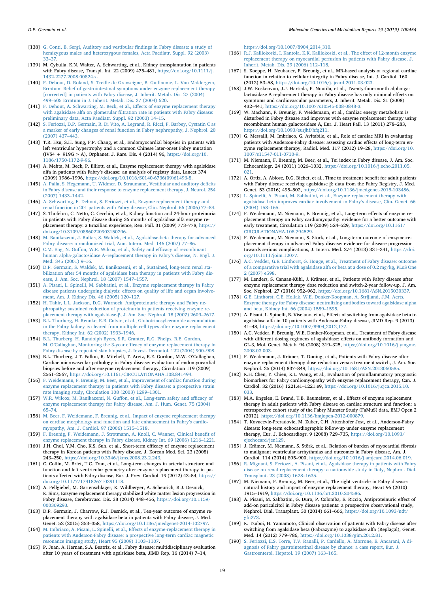- <span id="page-18-47"></span>[138] [G. Conti, B. Sergi, Auditory and vestibular findings in Fabry disease: a study of](http://refhub.elsevier.com/S2214-4269(19)30009-6/rf0675) [hemizygous males and heterozygous females, Acta Paediatr. Suppl. 92 \(2003\)](http://refhub.elsevier.com/S2214-4269(19)30009-6/rf0675) [33–37.](http://refhub.elsevier.com/S2214-4269(19)30009-6/rf0675)
- <span id="page-18-17"></span>[139] M. Cybulla, K.N. Walter, A. Schwarting, et al., Kidney transplantation in patients with Fabry disease, Transpl. Int. 22 (2009) 475–481, [https://doi.org/10.1111/j.](https://doi.org/10.1111/j.1432-2277.2008.00824.x) [1432-2277.2008.00824.x.](https://doi.org/10.1111/j.1432-2277.2008.00824.x)
- <span id="page-18-51"></span>[140] [F. Dehout, D. Roland, S. Treille de Granseigne, B. Guillaume, L. Van Maldergem,](http://refhub.elsevier.com/S2214-4269(19)30009-6/rf0685) [Erratum: Relief of gastrointestinal symptoms under enzyme replacement therapy](http://refhub.elsevier.com/S2214-4269(19)30009-6/rf0685) [\[corrected\] in patients with Fabry disease, J. Inherit. Metab. Dis. 27 \(2004\)](http://refhub.elsevier.com/S2214-4269(19)30009-6/rf0685) [499–505 Erratum in J. Inherit. Metab. Dis. 27 \(2004\) 620.](http://refhub.elsevier.com/S2214-4269(19)30009-6/rf0685)
- <span id="page-18-18"></span>[141] [F. Dehout, A. Schwarting, M. Beck, et al., Effects of enzyme replacement therapy](http://refhub.elsevier.com/S2214-4269(19)30009-6/rf0690) [with agalsidase alfa on glomerular filtration rate in patients with Fabry disease:](http://refhub.elsevier.com/S2214-4269(19)30009-6/rf0690) [preliminary data, Acta Paediatr. Suppl. 92 \(2003\) 14–15.](http://refhub.elsevier.com/S2214-4269(19)30009-6/rf0690)
- <span id="page-18-19"></span>[142] [S. Feriozzi, D.P. Germain, R. Di Vito, A. Legrand, R. Ricci, F. Barbey, Cystatin C as](http://refhub.elsevier.com/S2214-4269(19)30009-6/rf0695) [a marker of early changes of renal function in Fabry nephropathy, J. Nephrol. 20](http://refhub.elsevier.com/S2214-4269(19)30009-6/rf0695) [\(2007\) 437–443.](http://refhub.elsevier.com/S2214-4269(19)30009-6/rf0695)
- <span id="page-18-14"></span>[143] T.R. Hsu, S.H. Sung, F.P. Chang, et al., Endomyocardial biopsies in patients with left ventricular hypertrophy and a common Chinese later-onset Fabry mutation (IVS4 + 919G > A), Orphanet. J. Rare. Dis. 4 (2014) 96, [https://doi.org/10.](https://doi.org/10.1186/1750-1172-9-96) [1186/1750-1172-9-96.](https://doi.org/10.1186/1750-1172-9-96)
- <span id="page-18-22"></span>[144] A. Mehta, M. Beck, P. Elliott, et al., Enzyme replacement therapy with agalsidase alfa in patients with Fabry's disease: an analysis of registry data, Lancet 374 (2009) 1986–1996, [https://doi.org/10.1016/S0140-6736\(09\)61493-8.](https://doi.org/10.1016/S0140-6736(09)61493-8)
- <span id="page-18-46"></span>[145] [A. Palla, S. Hegemann, U. Widmer, D. Straumann, Vestibular and auditory deficits](http://refhub.elsevier.com/S2214-4269(19)30009-6/rf0710) [in Fabry disease and their response to enzyme replacement therapy, J. Neurol. 254](http://refhub.elsevier.com/S2214-4269(19)30009-6/rf0710) [\(2007\) 1433–1442.](http://refhub.elsevier.com/S2214-4269(19)30009-6/rf0710)
- <span id="page-18-20"></span>[146] [A. Schwarting, F. Dehout, S. Feriozzi, et al., Enzyme replacement therapy and](http://refhub.elsevier.com/S2214-4269(19)30009-6/rf0715) [renal function in 201 patients with Fabry disease, Clin. Nephrol. 66 \(2006\) 77–84.](http://refhub.elsevier.com/S2214-4269(19)30009-6/rf0715)
- <span id="page-18-21"></span>[147] S. Thofehrn, C. Netto, C. Cecchin, et al., Kidney function and 24-hour proteinuria in patients with Fabry disease during 36 months of agalsidase alfa enzyme replacement therapy: a Brazilian experience, Ren. Fail. 31 (2009) 773–778, [https://](https://doi.org/10.3109/08860220903150296) [doi.org/10.3109/08860220903150296.](https://doi.org/10.3109/08860220903150296)
- <span id="page-18-49"></span>[148] [M. Banikazemi, J. Bultas, S. Waldek, et al., Agalsidase-beta therapy for advanced](http://refhub.elsevier.com/S2214-4269(19)30009-6/rf0725) [Fabry disease: a randomized trial, Ann. Intern. Med. 146 \(2007\) 77–86.](http://refhub.elsevier.com/S2214-4269(19)30009-6/rf0725)
- <span id="page-18-2"></span>[149] [C.M. Eng, N. Guffon, W.R. Wilcox, et al., Safety and efficacy of recombinant](http://refhub.elsevier.com/S2214-4269(19)30009-6/rf0730) [human alpha-galactosidase A–replacement therapy in Fabry's disease, N. Engl. J.](http://refhub.elsevier.com/S2214-4269(19)30009-6/rf0730) [Med. 345 \(2001\) 9–16.](http://refhub.elsevier.com/S2214-4269(19)30009-6/rf0730)
- <span id="page-18-13"></span>[150] [D.P. Germain, S. Waldek, M. Banikazemi, et al., Sustained, long-term renal sta](http://refhub.elsevier.com/S2214-4269(19)30009-6/rf0735)[bilization after 54 months of agalsidase beta therapy in patients with Fabry dis](http://refhub.elsevier.com/S2214-4269(19)30009-6/rf0735)[ease, J. Am. Soc. Nephrol. 18 \(2007\) 1547–1557.](http://refhub.elsevier.com/S2214-4269(19)30009-6/rf0735)
- <span id="page-18-32"></span>[151] [A. Pisani, L. Spinelli, M. Sabbatini, et al., Enzyme replacement therapy in Fabry](http://refhub.elsevier.com/S2214-4269(19)30009-6/rf0740) [disease patients undergoing dialysis: effects on quality of life and organ involve](http://refhub.elsevier.com/S2214-4269(19)30009-6/rf0740)[ment, Am. J. Kidney Dis. 46 \(2005\) 120–127.](http://refhub.elsevier.com/S2214-4269(19)30009-6/rf0740)
- <span id="page-18-26"></span>[152] [H. Tahir, L.L. Jackson, D.G. Warnock, Antiproteinuric therapy and Fabry ne](http://refhub.elsevier.com/S2214-4269(19)30009-6/rf0745)[phropathy: sustained reduction of proteinuria in patients receiving enzyme re](http://refhub.elsevier.com/S2214-4269(19)30009-6/rf0745)[placement therapy with agalsidase-β, J. Am. Soc. Nephrol. 18 \(2007\) 2609–2617.](http://refhub.elsevier.com/S2214-4269(19)30009-6/rf0745)
- <span id="page-18-12"></span>[153] [B.L. Thurberg, H. Rennke, R.B. Colvin, et al., Globotriaosylceramide accumulation](http://refhub.elsevier.com/S2214-4269(19)30009-6/rf0750) [in the Fabry kidney is cleared from multiple cell types after enzyme replacement](http://refhub.elsevier.com/S2214-4269(19)30009-6/rf0750) [therapy, Kidney Int. 62 \(2002\) 1933–1946.](http://refhub.elsevier.com/S2214-4269(19)30009-6/rf0750)
- <span id="page-18-16"></span>[154] [B.L. Thurberg, H. Randolph Byers, S.R. Granter, R.G. Phelps, R.E. Gordon,](http://refhub.elsevier.com/S2214-4269(19)30009-6/rf0755) [M. O'Callaghan, Monitoring the 3-year efficacy of enzyme replacement therapy in](http://refhub.elsevier.com/S2214-4269(19)30009-6/rf0755) [Fabry disease by repeated skin biopsies, J. Invest. Dermatol. 122 \(2004\) 900–908.](http://refhub.elsevier.com/S2214-4269(19)30009-6/rf0755)
- <span id="page-18-15"></span>[155] B.L. Thurberg, J.T. Fallon, R. Mitchell, T. Aretz, R.E. Gordon, M.W. O'Callaghan, Cardiac microvascular pathology in Fabry disease: evaluation of endomyocardial biopsies before and after enzyme replacement therapy, Circulation 119 (2009) 2561–2567, [https://doi.org/10.1161/CIRCULATIONAHA.108.841494.](https://doi.org/10.1161/CIRCULATIONAHA.108.841494)
- <span id="page-18-40"></span>[156] [F. Weidemann, F. Breunig, M. Beer, et al., Improvement of cardiac function during](http://refhub.elsevier.com/S2214-4269(19)30009-6/rf0765) [enzyme replacement therapy in patients with Fabry disease: a prospective strain](http://refhub.elsevier.com/S2214-4269(19)30009-6/rf0765) [rate imaging study, Circulation 108 \(2003\) 1299–1301.](http://refhub.elsevier.com/S2214-4269(19)30009-6/rf0765)
- <span id="page-18-3"></span>[157] [W.R. Wilcox, M. Banikazemi, N. Guffon, et al., Long-term safety and efficacy of](http://refhub.elsevier.com/S2214-4269(19)30009-6/rf0770) [enzyme replacement therapy for Fabry disease, Am. J. Hum. Genet. 75 \(2004\)](http://refhub.elsevier.com/S2214-4269(19)30009-6/rf0770) [65–74.](http://refhub.elsevier.com/S2214-4269(19)30009-6/rf0770)
- <span id="page-18-33"></span>[158] [M. Beer, F. Weidemann, F. Breunig, et al., Impact of enzyme replacement therapy](http://refhub.elsevier.com/S2214-4269(19)30009-6/rf0775) [on cardiac morphology and function and late enhancement in Fabry's cardio](http://refhub.elsevier.com/S2214-4269(19)30009-6/rf0775)[myopathy, Am. J. Cardiol. 97 \(2006\) 1515–1518.](http://refhub.elsevier.com/S2214-4269(19)30009-6/rf0775)
- <span id="page-18-27"></span>[159] [F. Breunig, F. Weidemann, J. Strotmann, A. Knoll, C. Wanner, Clinical benefit of](http://refhub.elsevier.com/S2214-4269(19)30009-6/rf0780) [enzyme replacement therapy in Fabry disease, Kidney Int. 69 \(2006\) 1216–1221.](http://refhub.elsevier.com/S2214-4269(19)30009-6/rf0780)
- <span id="page-18-4"></span>[160] J.H. Choi, Y.M. Cho, K.S. Suh, et al., Short-term efficacy of enzyme replacement therapy in Korean patients with Fabry disease, J. Korean Med. Sci. 23 (2008) 243–250, [https://doi.org/10.3346/jkms.2008.23.2.243.](https://doi.org/10.3346/jkms.2008.23.2.243)
- <span id="page-18-45"></span>[161] C. Collin, M. Briet, T.C. Tran, et al., Long-term changes in arterial structure and function and left ventricular geometry after enzyme replacement therapy in patients affected with Fabry disease, Eur. J. Prev. Cardiol. 19 (2012) 43–54, [https://](https://doi.org/10.1177/1741826710391118) [doi.org/10.1177/1741826710391118.](https://doi.org/10.1177/1741826710391118)
- <span id="page-18-48"></span>[162] A. Fellgiebel, M. Gartenschläger, K. Wildberger, A. Scheurich, R.J. Desnick, K. Sims, Enzyme replacement therapy stabilized white matter lesion progression in Fabry disease, Cerebrovasc. Dis. 38 (2014) 448–456, [https://doi.org/10.1159/](https://doi.org/10.1159/000369293) [000369293.](https://doi.org/10.1159/000369293)
- <span id="page-18-5"></span>[163] D.P. Germain, J. Charrow, R.J. Desnick, et al., Ten-year outcome of enzyme replacement therapy with agalsidase beta in patients with Fabry disease, J. Med. Genet. 52 (2015) 353–358, [https://doi.org/10.1136/jmedgenet-2014-102797.](https://doi.org/10.1136/jmedgenet-2014-102797)
- <span id="page-18-31"></span>[164] [M. Imbriaco, A. Pisani, L. Spinelli, et al., Effects of enzyme-replacement therapy in](http://refhub.elsevier.com/S2214-4269(19)30009-6/rf0805) [patients with Anderson-Fabry disease: a prospective long-term cardiac magnetic](http://refhub.elsevier.com/S2214-4269(19)30009-6/rf0805) [resonance imaging study, Heart 95 \(2009\) 1103–1107.](http://refhub.elsevier.com/S2214-4269(19)30009-6/rf0805)
- <span id="page-18-28"></span>[165] P. Juan, A. Hernan, S.A. Beatriz, et al., Fabry disease: multidisciplinary evaluation after 10 years of treatment with agalsidase beta, JIMD Rep. 16 (2014) 7–14,

[https://doi.org/10.1007/8904\\_2014\\_310.](https://doi.org/10.1007/8904_2014_310)

- <span id="page-18-6"></span>[166] [R.J. Kalliokoski, I. Kantola, K.K. Kalliokoski, et al., The effect of 12-month enzyme](http://refhub.elsevier.com/S2214-4269(19)30009-6/rf0815) [replacement therapy on myocardial perfusion in patients with Fabry disease, J.](http://refhub.elsevier.com/S2214-4269(19)30009-6/rf0815) [Inherit. Metab. Dis. 29 \(2006\) 112–118.](http://refhub.elsevier.com/S2214-4269(19)30009-6/rf0815)
- <span id="page-18-41"></span>[167] S. Koeppe, H. Neubauer, F. Breunig, et al., MR-based analysis of regional cardiac function in relation to cellular integrity in Fabry disease, Int. J. Cardiol. 160 (2012) 53–58, [https://doi.org/10.1016/j.ijcard.2011.03.023.](https://doi.org/10.1016/j.ijcard.2011.03.023)
- <span id="page-18-7"></span>[168] J.W. Koskenvuo, J.J. Hartiala, P. Nuutila, et al., Twenty-four-month alpha-galactosidase A replacement therapy in Fabry disease has only minimal effects on symptoms and cardiovascular parameters, J. Inherit. Metab. Dis. 31 (2008) 432–441, [https://doi.org/10.1007/s10545-008-0848-3.](https://doi.org/10.1007/s10545-008-0848-3)
- <span id="page-18-34"></span>[169] W. Machann, F. Breunig, F. Weidemann, et al., Cardiac energy metabolism is disturbed in Fabry disease and improves with enzyme replacement therapy using recombinant human galactosidase A, Eur. J. Heart Fail. 13 (2011) 278–283, [https://doi.org/10.1093/eurjhf/hfq211.](https://doi.org/10.1093/eurjhf/hfq211)
- <span id="page-18-35"></span>[170] G. Messalli, M. Imbriaco, G. Avitabile, et al., Role of cardiac MRI in evaluating patients with Anderson-Fabry disease: assessing cardiac effects of long-term enzyme replacement therapy, Radiol. Med. 117 (2012) 19–28, [https://doi.org/10.](https://doi.org/10.1007/s11547-011-0710-9) [1007/s11547-011-0710-9.](https://doi.org/10.1007/s11547-011-0710-9)
- <span id="page-18-42"></span>[171] M. Niemann, F. Breunig, M. Beer, et al., Tei index in Fabry disease, J. Am. Soc. Echocardiogr. 24 (2011) 1026–1032, [https://doi.org/10.1016/j.echo.2011.05.](https://doi.org/10.1016/j.echo.2011.05.021) [021.](https://doi.org/10.1016/j.echo.2011.05.021)
- <span id="page-18-52"></span>[172] A. Ortiz, A. Abiose, D.G. Bichet, et al., Time to treatment benefit for adult patients with Fabry disease receiving agalsidase β: data from the Fabry Registry, J. Med. Genet. 53 (2016) 495–502, [https://doi.org/10.1136/jmedgenet-2015-103486.](https://doi.org/10.1136/jmedgenet-2015-103486)
- <span id="page-18-36"></span>[173] [L. Spinelli, A. Pisani, M. Sabbatini, et al., Enzyme replacement therapy with](http://refhub.elsevier.com/S2214-4269(19)30009-6/rf0850) [agalsidase beta improves cardiac involvement in Fabry's disease, Clin. Genet. 66](http://refhub.elsevier.com/S2214-4269(19)30009-6/rf0850) [\(2004\) 158–165.](http://refhub.elsevier.com/S2214-4269(19)30009-6/rf0850)
- <span id="page-18-37"></span>[174] F. Weidemann, M. Niemann, F. Breunig, et al., Long-term effects of enzyme replacement therapy on Fabry cardiomyopathy: evidence for a better outcome with early treatment, Circulation 119 (2009) 524-529, [https://doi.org/10.1161/](https://doi.org/10.1161/CIRCULATIONAHA.108.794529) [CIRCULATIONAHA.108.794529.](https://doi.org/10.1161/CIRCULATIONAHA.108.794529)
- <span id="page-18-29"></span>[175] F. Weidemann, M. Niemann, S. Störk, et al., Long-term outcome of enzyme-replacement therapy in advanced Fabry disease: evidence for disease progression towards serious complications, J. Intern. Med. 274 (2013) 331–341, [https://doi.](https://doi.org/10.1111/joim.12077) [org/10.1111/joim.12077.](https://doi.org/10.1111/joim.12077)
- <span id="page-18-1"></span>[176] [A.C. Vedder, G.E. Linthorst, G. Houge, et al., Treatment of Fabry disease: outcome](http://refhub.elsevier.com/S2214-4269(19)30009-6/rf0865) [of a comparative trial with agalsidase alfa or beta at a dose of 0.2 mg/kg, PLoS One](http://refhub.elsevier.com/S2214-4269(19)30009-6/rf0865) [2 \(2007\) e598.](http://refhub.elsevier.com/S2214-4269(19)30009-6/rf0865)
- <span id="page-18-23"></span>[177] M. Lenders, S. Canaan-Kühl, J. Krämer, et al., Patients with Fabry disease after enzyme replacement therapy dose reduction and switch-2-year follow-up, J. Am. Soc. Nephrol. 27 (2016) 952–962, [https://doi.org/10.1681/ASN.2015030337.](https://doi.org/10.1681/ASN.2015030337)
- <span id="page-18-11"></span>[178] [G.E. Linthorst, C.E. Hollak, W.E. Donker-Koopman, A. Strijland, J.M. Aerts,](http://refhub.elsevier.com/S2214-4269(19)30009-6/rf0875) [Enzyme therapy for Fabry disease: neutralizing antibodies toward agalsidase alpha](http://refhub.elsevier.com/S2214-4269(19)30009-6/rf0875) [and beta, Kidney Int. 66 \(2004\) 1589–1595.](http://refhub.elsevier.com/S2214-4269(19)30009-6/rf0875)
- <span id="page-18-24"></span>[179] A. Pisani, L. Spinelli, B. Visciano, et al., Effects of switching from agalsidase beta to agalsidase alfa in 10 patients with Anderson-Fabry disease, JIMD Rep. 9 (2013) 41–48, [https://doi.org/10.1007/8904\\_2012\\_177.](https://doi.org/10.1007/8904_2012_177)
- <span id="page-18-8"></span>[180] A.C. Vedder, F. Breunig, W.E. Donker-Koopman, et al., Treatment of Fabry disease with different dosing regimens of agalsidase: effects on antibody formation and GL-3, Mol. Genet. Metab. 94 (2008) 319–325, [https://doi.org/10.1016/j.ymgme.](https://doi.org/10.1016/j.ymgme.2008.03.003) [2008.03.003.](https://doi.org/10.1016/j.ymgme.2008.03.003)
- <span id="page-18-25"></span>[181] F. Weidemann, J. Krämer, T. Duning, et al., Patients with Fabry disease after enzyme replacement therapy dose reduction versus treatment switch, J. Am. Soc. Nephrol. 25 (2014) 837–849, [https://doi.org/10.1681/ASN.2013060585.](https://doi.org/10.1681/ASN.2013060585)
- <span id="page-18-10"></span>[182] K.H. Chen, Y. Chien, K.L. Wang, et al., Evaluation of proinflammatory prognostic biomarkers for Fabry cardiomyopathy with enzyme replacement therapy, Can. J. Cardiol. 32 (2016) 1221.e1–1221.e9, [https://doi.org/10.1016/j.cjca.2015.10.](https://doi.org/10.1016/j.cjca.2015.10.033) [033.](https://doi.org/10.1016/j.cjca.2015.10.033)
- <span id="page-18-38"></span>[183] M.A. Engelen, E. Brand, T.B. Baumeister, et al., Effects of enzyme replacement therapy in adult patients with Fabry disease on cardiac structure and function: a retrospective cohort study of the Fabry Munster Study (FaMuS) data, BMJ Open 2 (2012), [https://doi.org/10.1136/bmjopen-2012-000879.](https://doi.org/10.1136/bmjopen-2012-000879)
- <span id="page-18-43"></span>[184] T. Kovacevic-Preradovic, M. Zuber, C.H. Attenhofer Jost, et al., Anderson-Fabry disease: long-term echocardiographic follow-up under enzyme replacement therapy, Eur. J. Echocardiogr. 9 (2008) 729–735, [https://doi.org/10.1093/](https://doi.org/10.1093/ejechocard/jen129) [ejechocard/jen129.](https://doi.org/10.1093/ejechocard/jen129)
- <span id="page-18-39"></span>[185] J. Krämer, M. Niemann, S. Störk, et al., Relation of burden of myocardial fibrosis to malignant ventricular arrhythmias and outcomes in Fabry disease, Am. J. Cardiol. 114 (2014) 895–900, [https://doi.org/10.1016/j.amjcard.2014.06.019.](https://doi.org/10.1016/j.amjcard.2014.06.019)
- <span id="page-18-9"></span>[186] [R. Mignani, S. Feriozzi, A. Pisani, et al., Agalsidase therapy in patients with Fabry](http://refhub.elsevier.com/S2214-4269(19)30009-6/rf0915) [disease on renal replacement therapy: a nationwide study in Italy, Nephrol. Dial.](http://refhub.elsevier.com/S2214-4269(19)30009-6/rf0915) [Transplant. 23 \(2008\) 1628–1635.](http://refhub.elsevier.com/S2214-4269(19)30009-6/rf0915)
- <span id="page-18-44"></span>[187] M. Niemann, F. Breunig, M. Beer, et al., The right ventricle in Fabry disease: natural history and impact of enzyme replacement therapy, Heart 96 (2010) 1915–1919, [https://doi.org/10.1136/hrt.2010.204586.](https://doi.org/10.1136/hrt.2010.204586)
- <span id="page-18-30"></span>[188] A. Pisani, M. Sabbatini, G. Duro, P. Colomba, E. Riccio, Antiproteinuric effect of add-on paricalcitol in Fabry disease patients: a prospective observational study, Nephrol. Dial. Transplant. 30 (2014) 661–666, [https://doi.org/10.1093/ndt/](https://doi.org/10.1093/ndt/gfu273) [gfu273.](https://doi.org/10.1093/ndt/gfu273)
- <span id="page-18-0"></span>[189] K. Tsuboi, H. Yamamoto, Clinical observation of patients with Fabry disease after switching from agalsidase beta (Fabrazyme) to agalsidase alfa (Replagal), Genet. Med. 14 (2012) 779–786, [https://doi.org/10.1038/gim.2012.81.](https://doi.org/10.1038/gim.2012.81)
- <span id="page-18-50"></span>[190] [S. Feriozzi, E.S. Torre, T.V. Ranalli, P. Cardello, A. Morrone, E. Ancarani, A di](http://refhub.elsevier.com/S2214-4269(19)30009-6/rf0935)[agnosis of Fabry gastrointestinal disease by chance: a case report, Eur. J.](http://refhub.elsevier.com/S2214-4269(19)30009-6/rf0935) [Gastroenterol. Hepatol. 19 \(2007\) 163–165.](http://refhub.elsevier.com/S2214-4269(19)30009-6/rf0935)